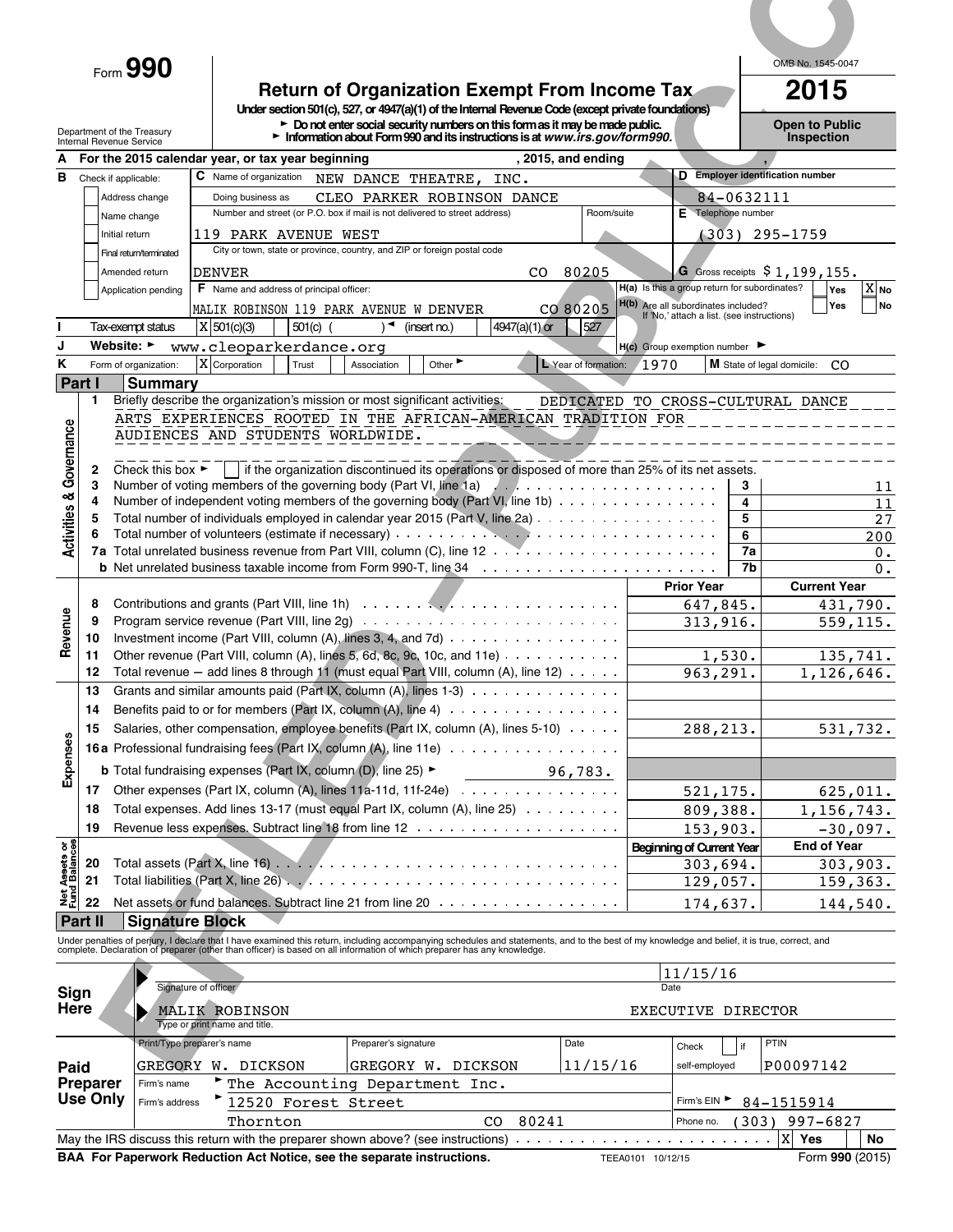# **Return of Organization Exempt From Income Tax**<br>
Under section 501(c), 527, or 4947(a)(1) of the Internal Revenue Code (except private foundations)

| )pen to Public    |  |  |
|-------------------|--|--|
| <b>Inspection</b> |  |  |

|                                                    | $_{\text{Form}}$ 990                                    |                                                                                            |                                                                                                                                                                                                                                                                                  |                      |                                                                                      | OMB No. 1545-0047                                          |
|----------------------------------------------------|---------------------------------------------------------|--------------------------------------------------------------------------------------------|----------------------------------------------------------------------------------------------------------------------------------------------------------------------------------------------------------------------------------------------------------------------------------|----------------------|--------------------------------------------------------------------------------------|------------------------------------------------------------|
|                                                    |                                                         |                                                                                            | <b>Return of Organization Exempt From Income Tax.</b>                                                                                                                                                                                                                            |                      |                                                                                      | 2015                                                       |
| Internal Revenue Service                           | Department of the Treasury                              |                                                                                            | Under section 501(c), 527, or 4947(a)(1) of the Internal Revenue Code (except private foundations)<br>$\triangleright$ Do not enter social security numbers on this form as it may be made public.<br>Information about Form 990 and its instructions is at www.irs.gov/form990. |                      |                                                                                      | <b>Open to Public</b><br><b>Inspection</b>                 |
| A                                                  |                                                         | For the 2015 calendar year, or tax year beginning                                          |                                                                                                                                                                                                                                                                                  | , 2015, and ending   |                                                                                      |                                                            |
| в                                                  | Check if applicable:<br>Address change                  | <b>C</b> Name of organization<br>Doing business as                                         | NEW DANCE THEATRE,<br>INC.<br>CLEO PARKER ROBINSON DANCE                                                                                                                                                                                                                         |                      | 84-0632111                                                                           | D Employer identification number                           |
|                                                    | Name change                                             |                                                                                            | Number and street (or P.O. box if mail is not delivered to street address)                                                                                                                                                                                                       | Room/suite           | E Telephone number                                                                   |                                                            |
|                                                    | Initial return<br>Final return/terminated               | 119 PARK AVENUE WEST                                                                       | City or town, state or province, country, and ZIP or foreign postal code                                                                                                                                                                                                         |                      | (303)                                                                                | 295-1759                                                   |
|                                                    | Amended return                                          | <b>DENVER</b>                                                                              | CO.                                                                                                                                                                                                                                                                              | 80205                |                                                                                      | G Gross receipts $$1,199,155$ .                            |
|                                                    | Application pending                                     | <b>F</b> Name and address of principal officer:<br>MALIK ROBINSON 119 PARK AVENUE W DENVER |                                                                                                                                                                                                                                                                                  | CO 80205             | H(a) Is this a group return for subordinates?<br>H(b) Are all subordinates included? | $X_{N0}$<br>Yes<br>Yes<br><b>No</b>                        |
|                                                    | Tax-exempt status                                       | X 501(c)(3)<br>501(c)                                                                      | 4947(a)(1) or<br>(insert no.)                                                                                                                                                                                                                                                    | 527                  | If 'No,' attach a list. (see instructions)                                           |                                                            |
|                                                    | Website: $\blacktriangleright$<br>Form of organization: | www.cleoparkerdance.org<br>X Corporation<br>Trust                                          | Other<br>Association                                                                                                                                                                                                                                                             | L Year of formation: | $H(c)$ Group exemption number $\blacktriangleright$<br>1970                          | M State of legal domicile:<br>C <sub>O</sub>               |
| l Part I                                           | <b>Summary</b>                                          |                                                                                            |                                                                                                                                                                                                                                                                                  |                      |                                                                                      |                                                            |
| п                                                  |                                                         |                                                                                            | Briefly describe the organization's mission or most significant activities:<br>ARTS EXPERIENCES ROOTED IN THE AFRICAN-AMERICAN TRADITION FOR                                                                                                                                     |                      | DEDICATED TO CROSS-CULTURAL DANCE                                                    |                                                            |
|                                                    |                                                         | AUDIENCES AND STUDENTS WORLDWIDE.                                                          |                                                                                                                                                                                                                                                                                  |                      | ______________________________                                                       |                                                            |
| & Governance<br>$\mathbf{2}$                       | Check this box $\blacktriangleright$                    |                                                                                            | If the organization discontinued its operations or disposed of more than 25% of its net assets.                                                                                                                                                                                  |                      |                                                                                      |                                                            |
| 3<br>4                                             |                                                         |                                                                                            | Number of voting members of the governing body (Part VI, line 1a)<br>Number of independent voting members of the governing body (Part VI, line 1b)                                                                                                                               |                      | 3<br>4                                                                               | 11<br>11                                                   |
| <b>Activities</b><br>5                             |                                                         |                                                                                            | Total number of individuals employed in calendar year 2015 (Part V, line 2a)                                                                                                                                                                                                     |                      | 5                                                                                    | 27                                                         |
|                                                    |                                                         |                                                                                            |                                                                                                                                                                                                                                                                                  |                      | 6<br>7a                                                                              | 200<br>$0$ .                                               |
|                                                    |                                                         |                                                                                            |                                                                                                                                                                                                                                                                                  |                      | <b>Prior Year</b>                                                                    | 7b<br>$0$ .<br><b>Current Year</b>                         |
| 8                                                  |                                                         |                                                                                            |                                                                                                                                                                                                                                                                                  |                      | $\overline{6}$ 47,845.                                                               | 431,790.                                                   |
| Revenue<br>9<br>10                                 |                                                         |                                                                                            | Program service revenue (Part VIII, line 2g) $\ldots \ldots \ldots \ldots \ldots \ldots \ldots \ldots \ldots$<br>Investment income (Part VIII, column (A), lines 3, 4, and 7d) $\cdots$                                                                                          |                      | 313,916.                                                                             | 559, 115.                                                  |
| 11                                                 |                                                         |                                                                                            | Other revenue (Part VIII, column (A), lines 5, 6d, 8c, 9c, 10c, and 11e) $\cdots \cdots \cdots \cdots$                                                                                                                                                                           |                      | 1,530.                                                                               | 135,741.                                                   |
| 12<br>13                                           |                                                         |                                                                                            | Total revenue - add lines 8 through 11 (must equal Part VIII, column (A), line 12)<br>Grants and similar amounts paid (Part IX, column (A), lines 1-3)                                                                                                                           |                      | 963,291.                                                                             | 1, 126, 646.                                               |
| 14                                                 |                                                         |                                                                                            | Benefits paid to or for members (Part IX, column (A), line 4) $\cdots$                                                                                                                                                                                                           |                      |                                                                                      |                                                            |
| 15                                                 |                                                         |                                                                                            | Salaries, other compensation, employee benefits (Part IX, column (A), lines 5-10)<br>16a Professional fundraising fees (Part IX, column (A), line 11e)                                                                                                                           |                      | 288,213.                                                                             | 531,732.                                                   |
| <b>Expenses</b>                                    |                                                         | <b>b</b> Total fundraising expenses (Part IX, column (D), line 25) ►                       | 96,783.                                                                                                                                                                                                                                                                          |                      |                                                                                      |                                                            |
| 17                                                 |                                                         |                                                                                            | Other expenses (Part IX, column (A), lines $11a-11d$ , $11f-24e$ )                                                                                                                                                                                                               |                      | 521,175.                                                                             | 625,011.                                                   |
| 18<br>19                                           |                                                         |                                                                                            | Total expenses. Add lines 13-17 (must equal Part IX, column (A), line 25)<br>Revenue less expenses. Subtract line 18 from line 12 manus of the state of the second line of the second line                                                                                       |                      | 809,388.<br>153,903.                                                                 | 1,156,743.<br>$-30,097.$                                   |
|                                                    |                                                         |                                                                                            |                                                                                                                                                                                                                                                                                  |                      | <b>Beginning of Current Year</b>                                                     | <b>End of Year</b>                                         |
| <b>Net Assets or<br/>Fund Balances</b><br>20<br>21 |                                                         |                                                                                            |                                                                                                                                                                                                                                                                                  |                      | 303,694.<br>129,057.                                                                 | 303,903.<br>159, 363.                                      |
| 22                                                 |                                                         |                                                                                            |                                                                                                                                                                                                                                                                                  |                      | 174,637.                                                                             | 144,540.                                                   |
| <b>Part II</b>                                     | <b>Signature Block</b>                                  |                                                                                            |                                                                                                                                                                                                                                                                                  |                      |                                                                                      |                                                            |
|                                                    |                                                         |                                                                                            | Under penalties of perjury, I declare that I have examined this return, including accompanying schedules and statements, and to the best of my knowledge and belief, it is true, correct, and<br>complete. Declaration of prepare                                                |                      |                                                                                      |                                                            |
|                                                    |                                                         | Signature of officer                                                                       |                                                                                                                                                                                                                                                                                  |                      | 11/15/16<br>Date                                                                     |                                                            |
| <b>Sign</b><br>Here                                |                                                         | MALIK ROBINSON                                                                             |                                                                                                                                                                                                                                                                                  |                      | EXECUTIVE DIRECTOR                                                                   |                                                            |
|                                                    |                                                         | Type or print name and title.<br>Print/Type preparer's name                                | Preparer's signature                                                                                                                                                                                                                                                             | Date                 |                                                                                      | PTIN                                                       |
| Paid                                               |                                                         | GREGORY W. DICKSON                                                                         | GREGORY W. DICKSON                                                                                                                                                                                                                                                               | 11/15/16             | Check<br>self-employed                                                               | P00097142                                                  |
| <b>Preparer</b>                                    | Firm's name                                             |                                                                                            | The Accounting Department Inc.                                                                                                                                                                                                                                                   |                      |                                                                                      |                                                            |
| Use Only                                           | Firm's address                                          | $\frac{12520}{12520}$ Forest Street<br>Thornton                                            | 80241<br>CO <sub>2</sub>                                                                                                                                                                                                                                                         |                      | Phone no.                                                                            | Firm's EIN $\triangleright$ 84-1515914<br>$(303)$ 997-6827 |
|                                                    |                                                         |                                                                                            |                                                                                                                                                                                                                                                                                  |                      |                                                                                      | X Yes<br>No                                                |
|                                                    |                                                         | BAA For Paperwork Reduction Act Notice, see the separate instructions.                     |                                                                                                                                                                                                                                                                                  |                      |                                                                                      | Form 990 (2015)                                            |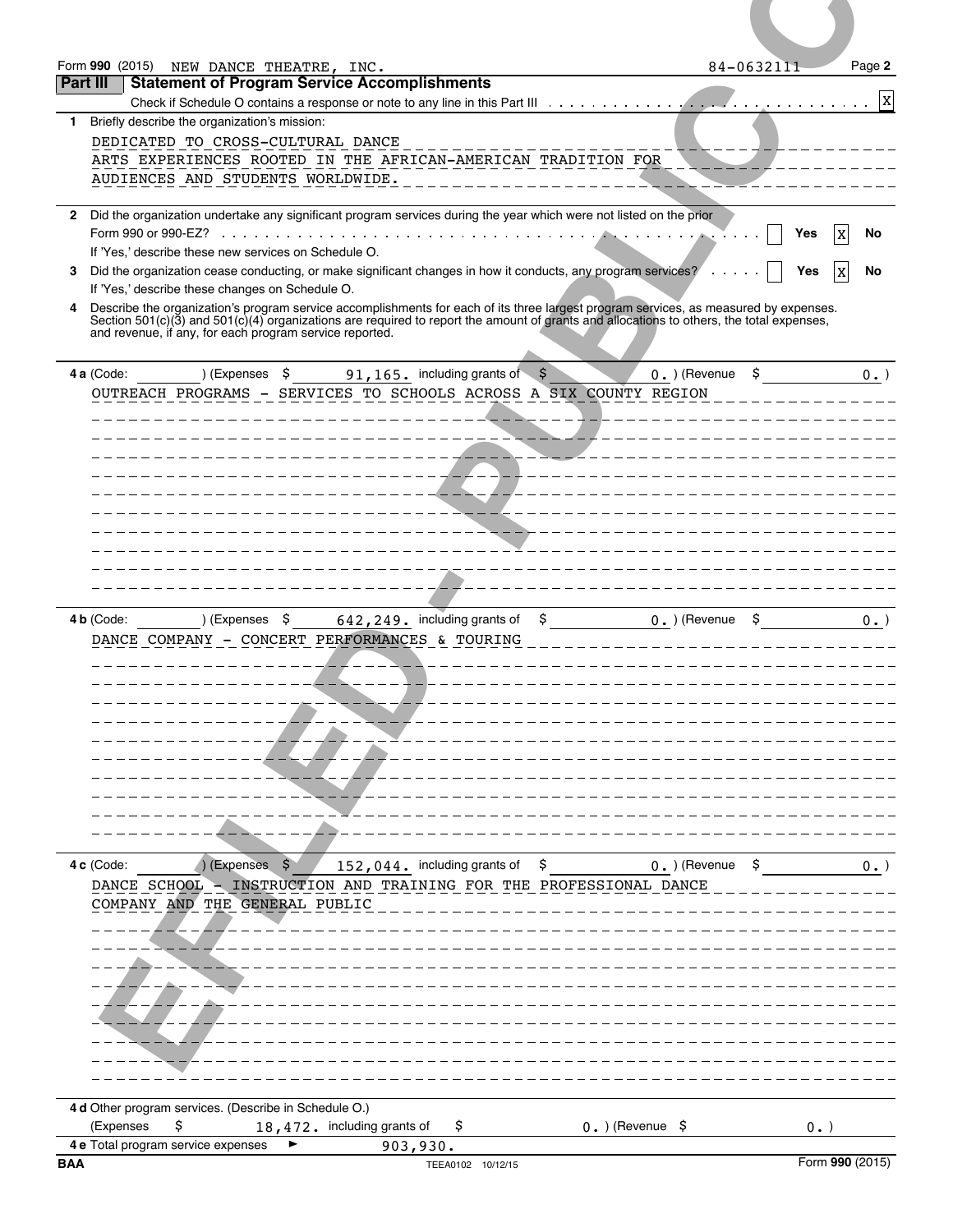| Form 990 (2015) NEW DANCE THEATRE, INC.<br>84-0632111<br>Part III<br><b>Statement of Program Service Accomplishments</b><br>Briefly describe the organization's mission:<br>DEDICATED TO CROSS-CULTURAL DANCE<br>ARTS EXPERIENCES ROOTED IN THE AFRICAN-AMERICAN TRADITION FOR<br>AUDIENCES AND STUDENTS WORLDWIDE.<br>________<br>Did the organization undertake any significant program services during the year which were not listed on the prior<br>No<br>Yes<br>x<br>If 'Yes,' describe these new services on Schedule O.<br>Did the organization cease conducting, or make significant changes in how it conducts, any program services?<br>No<br>Yes<br>X<br>If 'Yes,' describe these changes on Schedule O.<br>Describe the organization's program service accomplishments for each of its three largest program services, as measured by expenses.<br>Section 501(c)(3) and 501(c)(4) organizations are required to report the amount of grants<br>and revenue, if any, for each program service reported.<br>91, 165. including grants of $$$<br>S<br>4 a (Code:<br>) (Expenses \$<br>$0.$ ) (Revenue<br>$0.$ )<br>OUTREACH PROGRAMS - SERVICES TO SCHOOLS ACROSS A SIX COUNTY REGION<br>4 b (Code:<br>$(1.5)$ (Expenses $\zeta$ 642, 249. including grants of $\zeta$ 0. ) (Revenue $\zeta$<br>DANCE COMPANY - CONCERT PERFORMANCES & TOURING<br>(Expenses \$<br>4c (Code:<br>DANCE SCHOOL - INSTRUCTION AND TRAINING FOR THE PROFESSIONAL DANCE<br>COMPANY AND THE GENERAL PUBLIC<br>4 d Other program services. (Describe in Schedule O.)<br>\$<br>(Expenses<br>18,472. including grants of<br>\$<br>$0.$ ) (Revenue \$<br>$0.$ )<br>4 e Total program service expenses<br>▶<br>903,930.<br>Form 990 (2015)<br><b>BAA</b> |              |  |        |
|-----------------------------------------------------------------------------------------------------------------------------------------------------------------------------------------------------------------------------------------------------------------------------------------------------------------------------------------------------------------------------------------------------------------------------------------------------------------------------------------------------------------------------------------------------------------------------------------------------------------------------------------------------------------------------------------------------------------------------------------------------------------------------------------------------------------------------------------------------------------------------------------------------------------------------------------------------------------------------------------------------------------------------------------------------------------------------------------------------------------------------------------------------------------------------------------------------------------------------------------------------------------------------------------------------------------------------------------------------------------------------------------------------------------------------------------------------------------------------------------------------------------------------------------------------------------------------------------------------------------------------------------------------------------------------------------------------------------------------------------|--------------|--|--------|
|                                                                                                                                                                                                                                                                                                                                                                                                                                                                                                                                                                                                                                                                                                                                                                                                                                                                                                                                                                                                                                                                                                                                                                                                                                                                                                                                                                                                                                                                                                                                                                                                                                                                                                                                         |              |  |        |
|                                                                                                                                                                                                                                                                                                                                                                                                                                                                                                                                                                                                                                                                                                                                                                                                                                                                                                                                                                                                                                                                                                                                                                                                                                                                                                                                                                                                                                                                                                                                                                                                                                                                                                                                         |              |  | Page 2 |
|                                                                                                                                                                                                                                                                                                                                                                                                                                                                                                                                                                                                                                                                                                                                                                                                                                                                                                                                                                                                                                                                                                                                                                                                                                                                                                                                                                                                                                                                                                                                                                                                                                                                                                                                         |              |  | Χ      |
|                                                                                                                                                                                                                                                                                                                                                                                                                                                                                                                                                                                                                                                                                                                                                                                                                                                                                                                                                                                                                                                                                                                                                                                                                                                                                                                                                                                                                                                                                                                                                                                                                                                                                                                                         | 1.           |  |        |
|                                                                                                                                                                                                                                                                                                                                                                                                                                                                                                                                                                                                                                                                                                                                                                                                                                                                                                                                                                                                                                                                                                                                                                                                                                                                                                                                                                                                                                                                                                                                                                                                                                                                                                                                         | $\mathbf{2}$ |  |        |
|                                                                                                                                                                                                                                                                                                                                                                                                                                                                                                                                                                                                                                                                                                                                                                                                                                                                                                                                                                                                                                                                                                                                                                                                                                                                                                                                                                                                                                                                                                                                                                                                                                                                                                                                         | 3            |  |        |
|                                                                                                                                                                                                                                                                                                                                                                                                                                                                                                                                                                                                                                                                                                                                                                                                                                                                                                                                                                                                                                                                                                                                                                                                                                                                                                                                                                                                                                                                                                                                                                                                                                                                                                                                         | 4            |  |        |
|                                                                                                                                                                                                                                                                                                                                                                                                                                                                                                                                                                                                                                                                                                                                                                                                                                                                                                                                                                                                                                                                                                                                                                                                                                                                                                                                                                                                                                                                                                                                                                                                                                                                                                                                         |              |  |        |
|                                                                                                                                                                                                                                                                                                                                                                                                                                                                                                                                                                                                                                                                                                                                                                                                                                                                                                                                                                                                                                                                                                                                                                                                                                                                                                                                                                                                                                                                                                                                                                                                                                                                                                                                         |              |  |        |
|                                                                                                                                                                                                                                                                                                                                                                                                                                                                                                                                                                                                                                                                                                                                                                                                                                                                                                                                                                                                                                                                                                                                                                                                                                                                                                                                                                                                                                                                                                                                                                                                                                                                                                                                         |              |  | $0.$ ) |
|                                                                                                                                                                                                                                                                                                                                                                                                                                                                                                                                                                                                                                                                                                                                                                                                                                                                                                                                                                                                                                                                                                                                                                                                                                                                                                                                                                                                                                                                                                                                                                                                                                                                                                                                         |              |  |        |
|                                                                                                                                                                                                                                                                                                                                                                                                                                                                                                                                                                                                                                                                                                                                                                                                                                                                                                                                                                                                                                                                                                                                                                                                                                                                                                                                                                                                                                                                                                                                                                                                                                                                                                                                         |              |  |        |
|                                                                                                                                                                                                                                                                                                                                                                                                                                                                                                                                                                                                                                                                                                                                                                                                                                                                                                                                                                                                                                                                                                                                                                                                                                                                                                                                                                                                                                                                                                                                                                                                                                                                                                                                         |              |  | $0.$ ) |
|                                                                                                                                                                                                                                                                                                                                                                                                                                                                                                                                                                                                                                                                                                                                                                                                                                                                                                                                                                                                                                                                                                                                                                                                                                                                                                                                                                                                                                                                                                                                                                                                                                                                                                                                         |              |  |        |
|                                                                                                                                                                                                                                                                                                                                                                                                                                                                                                                                                                                                                                                                                                                                                                                                                                                                                                                                                                                                                                                                                                                                                                                                                                                                                                                                                                                                                                                                                                                                                                                                                                                                                                                                         |              |  |        |
|                                                                                                                                                                                                                                                                                                                                                                                                                                                                                                                                                                                                                                                                                                                                                                                                                                                                                                                                                                                                                                                                                                                                                                                                                                                                                                                                                                                                                                                                                                                                                                                                                                                                                                                                         |              |  |        |
|                                                                                                                                                                                                                                                                                                                                                                                                                                                                                                                                                                                                                                                                                                                                                                                                                                                                                                                                                                                                                                                                                                                                                                                                                                                                                                                                                                                                                                                                                                                                                                                                                                                                                                                                         |              |  |        |
|                                                                                                                                                                                                                                                                                                                                                                                                                                                                                                                                                                                                                                                                                                                                                                                                                                                                                                                                                                                                                                                                                                                                                                                                                                                                                                                                                                                                                                                                                                                                                                                                                                                                                                                                         |              |  |        |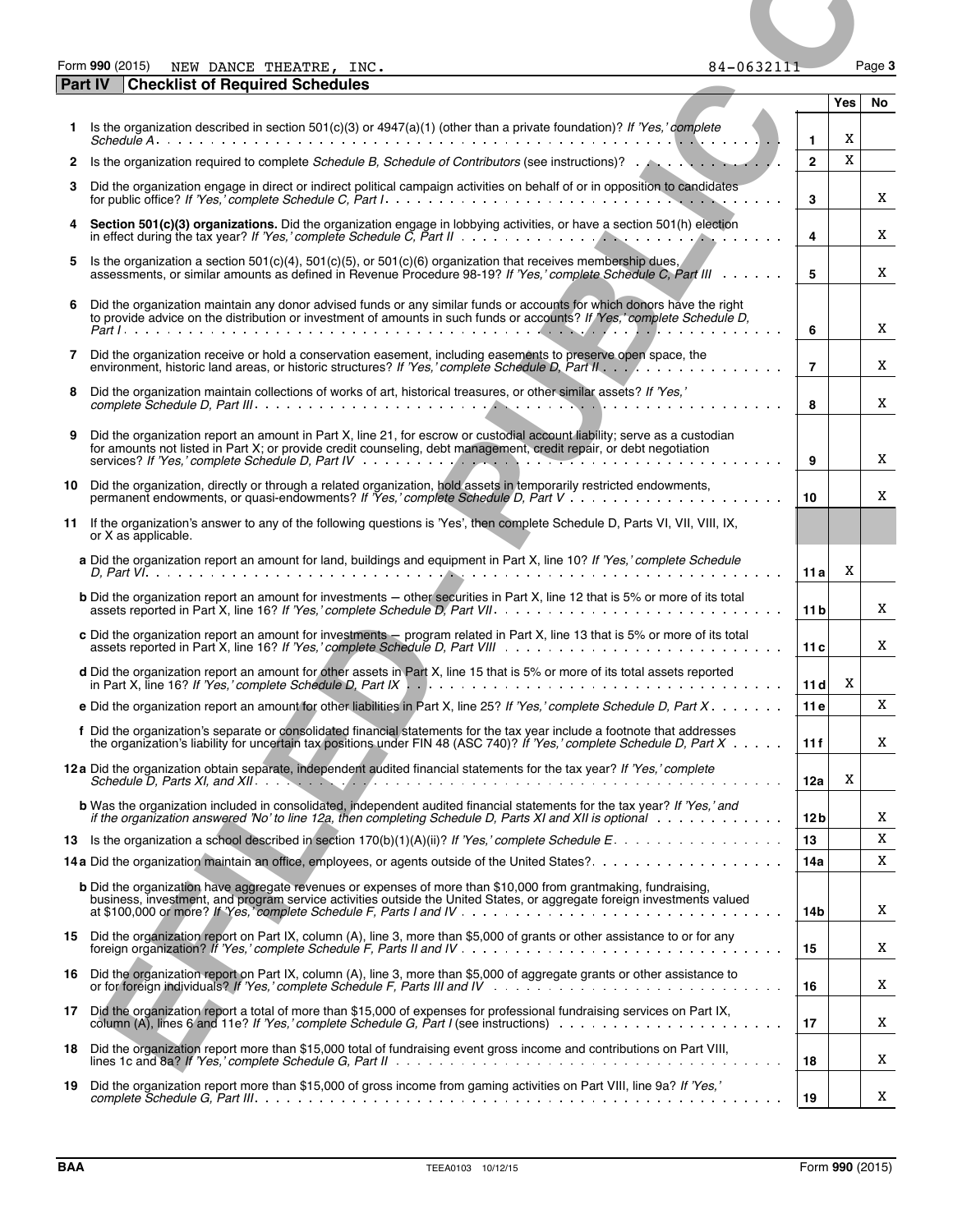| Form 990 (2015) | THEATRE,<br>NEW DANCE ' | INC. | 84-0632111 | Page 3 |
|-----------------|-------------------------|------|------------|--------|
|-----------------|-------------------------|------|------------|--------|

|              | Form 990 (2015)<br>NEW DANCE THEATRE, INC.                                                                                                                                                                                                                                                                        | 84-0632111 |                |     | Page 3 |
|--------------|-------------------------------------------------------------------------------------------------------------------------------------------------------------------------------------------------------------------------------------------------------------------------------------------------------------------|------------|----------------|-----|--------|
|              | <b>Checklist of Required Schedules</b><br><b>Part IV</b>                                                                                                                                                                                                                                                          |            |                | Yes | No.    |
|              | 1 Is the organization described in section 501(c)(3) or 4947(a)(1) (other than a private foundation)? If 'Yes,' complete                                                                                                                                                                                          |            | $\mathbf{1}$   | X   |        |
| $\mathbf{2}$ | Is the organization required to complete Schedule B, Schedule of Contributors (see instructions)?                                                                                                                                                                                                                 |            | $\overline{2}$ | X   |        |
| 3            | Did the organization engage in direct or indirect political campaign activities on behalf of or in opposition to candidates                                                                                                                                                                                       |            | 3              |     | X      |
|              | 4 Section 501(c)(3) organizations. Did the organization engage in lobbying activities, or have a section 501(h) election                                                                                                                                                                                          |            | 4              |     | X      |
| 5            | Is the organization a section 501(c)(4), 501(c)(5), or 501(c)(6) organization that receives membership dues,<br>assessments, or similar amounts as defined in Hevenue Procedure 98-19? If 'Yes,' complete Schedule C, Part III                                                                                    |            | 5              |     | X      |
| 6            | Did the organization maintain any donor advised funds or any similar funds or accounts for which donors have the right<br>to provide advice on the distribution or investment of amounts in such funds or accounts? If Yes, complete Schedule D,                                                                  |            | 6              |     | X      |
|              | 7 Did the organization receive or hold a conservation easement, including easements to preserve open space, the                                                                                                                                                                                                   |            | $\overline{7}$ |     | Χ      |
| 8            | Did the organization maintain collections of works of art, historical treasures, or other similar assets? If 'Yes,'                                                                                                                                                                                               |            |                |     |        |
|              |                                                                                                                                                                                                                                                                                                                   |            | 8              |     | A      |
| 9            | Did the organization report an amount in Part X, line 21, for escrow or custodial account liability; serve as a custodian<br>for amounts not listed in Part X; or provide credit counseling, debt management, credit repair, or debt negotiation                                                                  |            | 9              |     | X      |
|              | 10 Did the organization, directly or through a related organization, hold assets in temporarily restricted endowments,<br>permanent endowments, or quasi-endowments? If 'Yes,' complete Schedule D, Part V                                                                                                        |            | 10             |     | Χ      |
|              | 11 If the organization's answer to any of the following questions is 'Yes', then complete Schedule D, Parts VI, VII, VIII, IX,<br>or X as applicable.                                                                                                                                                             |            |                |     |        |
|              | a Did the organization report an amount for land, buildings and equipment in Part X, line 10? If 'Yes,' complete Schedule                                                                                                                                                                                         |            | 11 al          | X   |        |
|              | <b>b</b> Did the organization report an amount for investments - other securities in Part X, line 12 that is 5% or more of its total                                                                                                                                                                              |            | 11 bl          |     | X      |
|              | c Did the organization report an amount for investments – program related in Part X, line 13 that is 5% or more of its total<br>assets reported in Part X, line 16? If 'Yes,' complete Schedule D, Part VIII                                                                                                      |            | 11c            |     | X      |
|              | d Did the organization report an amount for other assets in Part X, line 15 that is 5% or more of its total assets reported                                                                                                                                                                                       |            | 11d            | X   |        |
|              | e Did the organization report an amount for other liabilities in Part X, line 25? If 'Yes,' complete Schedule D, Part $X \cdot \cdot \cdot \cdot \cdot$                                                                                                                                                           |            | 11e            |     | X      |
|              | f Did the organization's separate or consolidated financial statements for the tax year include a footnote that addresses<br>the organization's liability for uncertain tax positions under FIN 48 (ASC 740)? If 'Yes,' complete Schedule D, Part $X \cdot \cdot \cdot$ .                                         |            | 11f            |     | x      |
|              | 12a Did the organization obtain separate, independent audited financial statements for the tax year? If 'Yes,' complete<br>Schedule D, Parts XI, and XII. $\ldots$ , $\ldots$ , $\ldots$ , $\ldots$ , $\ldots$ , $\ldots$ , $\ldots$ , $\ldots$ , $\ldots$ , $\ldots$ , $\ldots$ , $\ldots$ , $\ldots$ , $\ldots$ |            | 12a            | X   |        |
|              | <b>b</b> Was the organization included in consolidated, independent audited financial statements for the tax year? If 'Yes,' and<br>if the organization answered 'No' to line 12a, then completing Schedule D, Parts XI and XII is optional with the window with                                                  |            | 12 b           |     | x      |
|              |                                                                                                                                                                                                                                                                                                                   |            | 13             |     | X      |
|              |                                                                                                                                                                                                                                                                                                                   |            | 14a            |     | X      |
|              | b Did the organization have aggregate revenues or expenses of more than \$10,000 from grantmaking, fundraising,<br>business, investment, and program service activities outside the United States, or aggregate foreign investments valued                                                                        |            | 14b            |     | X      |
|              | 15 Did the organization report on Part IX, column (A), line 3, more than \$5,000 of grants or other assistance to or for any                                                                                                                                                                                      |            | 15             |     | x      |
|              | 16 Did the organization report on Part IX, column (A), line 3, more than \$5,000 of aggregate grants or other assistance to                                                                                                                                                                                       |            | 16             |     | x      |
|              | 17 Did the organization report a total of more than \$15,000 of expenses for professional fundraising services on Part IX,                                                                                                                                                                                        |            | 17             |     | x      |
|              | 18 Did the organization report more than \$15,000 total of fundraising event gross income and contributions on Part VIII,                                                                                                                                                                                         |            | 18             |     | X      |
|              | 19 Did the organization report more than \$15,000 of gross income from gaming activities on Part VIII, line 9a? If 'Yes,'                                                                                                                                                                                         |            | 19             |     | X      |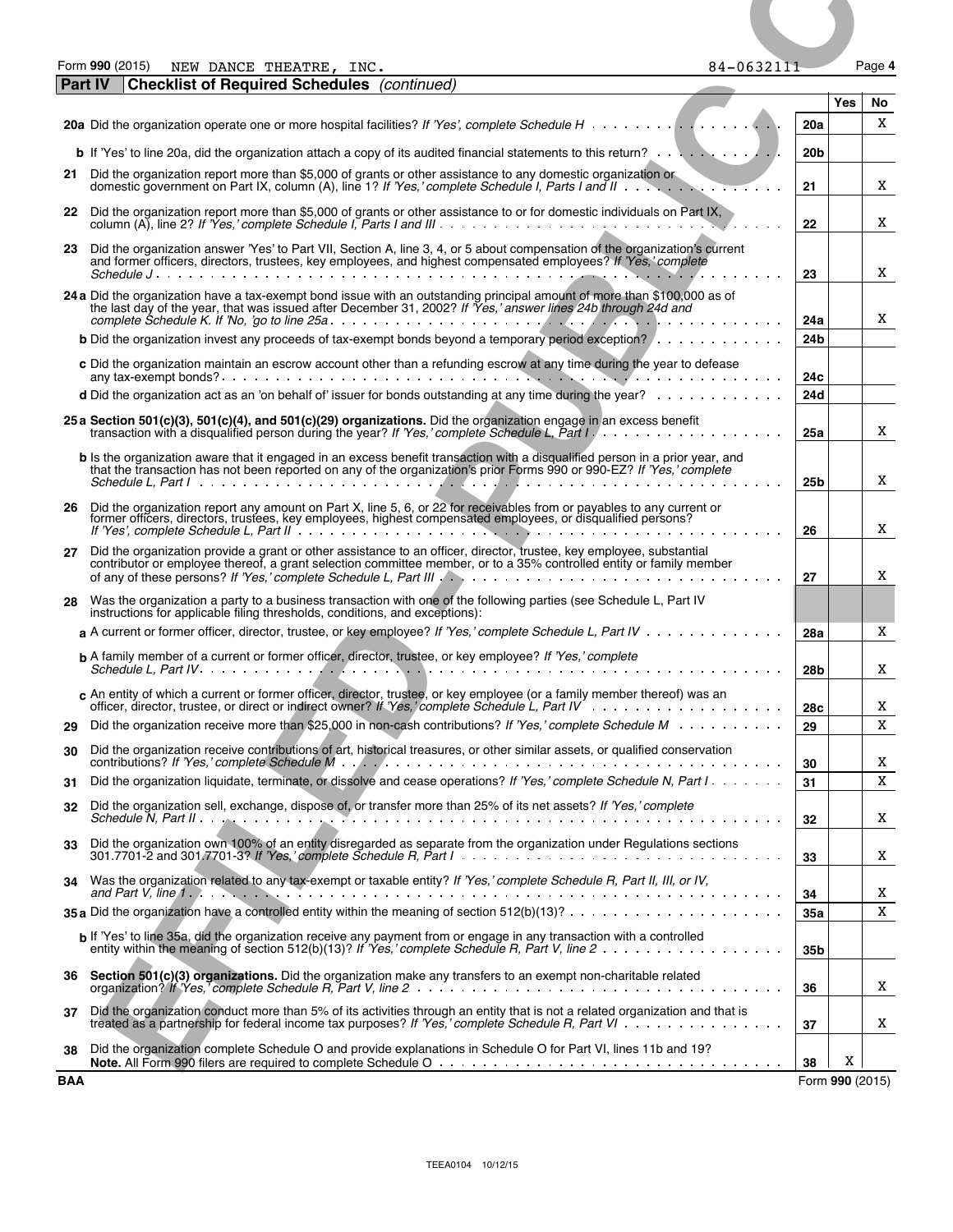|--|--|

| Form 990 (2015) | NEW DANCE<br>THEATRE | INC. | $\sim$ $\sim$ $\sim$ $\sim$ $\sim$<br>84-0632111 | Page 4 |
|-----------------|----------------------|------|--------------------------------------------------|--------|
|-----------------|----------------------|------|--------------------------------------------------|--------|

|            | Form 990 (2015)<br>84-0632111<br>NEW DANCE THEATRE, INC.                                                                                                                                                                                                                                                                                           |                        |                      | Page 4      |
|------------|----------------------------------------------------------------------------------------------------------------------------------------------------------------------------------------------------------------------------------------------------------------------------------------------------------------------------------------------------|------------------------|----------------------|-------------|
|            | <b>Checklist of Required Schedules</b> (continued)<br><b>Part IV</b>                                                                                                                                                                                                                                                                               |                        | Yes                  | No.         |
|            |                                                                                                                                                                                                                                                                                                                                                    | 20a                    |                      | X           |
|            |                                                                                                                                                                                                                                                                                                                                                    | 20 <sub>b</sub>        |                      |             |
| 21         | Did the organization report more than \$5,000 of grants or other assistance to any domestic organization or domestic government on Part IX, column (A), line 1? If 'Yes,' complete Schedule I, Parts I and II                                                                                                                                      | 21                     |                      | X           |
|            | 22 Did the organization report more than \$5,000 of grants or other assistance to or for domestic individuals on Part IX,                                                                                                                                                                                                                          | 22                     |                      | X           |
| 23         | Did the organization answer 'Yes' to Part VII, Section A, line 3, 4, or 5 about compensation of the organization's current<br>and former officers, directors, trustees, key employees, and highest compensated employees? If 'Yes,' complete                                                                                                       | 23                     |                      | X           |
|            | 24 a Did the organization have a tax-exempt bond issue with an outstanding principal amount of more than \$100,000 as of<br>the last day of the year, that was issued after December 31, 2002? If Yes, answer lines 24b through 24d and                                                                                                            |                        |                      |             |
|            | <b>b</b> Did the organization invest any proceeds of tax-exempt bonds beyond a temporary period exception?                                                                                                                                                                                                                                         | 24a<br>24 <sub>b</sub> |                      | X           |
|            | c Did the organization maintain an escrow account other than a refunding escrow at any time during the year to defease                                                                                                                                                                                                                             |                        |                      |             |
|            | <b>d</b> Did the organization act as an 'on behalf of' issuer for bonds outstanding at any time during the year? $\ldots \ldots \ldots$                                                                                                                                                                                                            | 24с<br>24d             |                      |             |
|            | 25 a Section 501(c)(3), 501(c)(4), and 501(c)(29) organizations. Did the organization engage in an excess benefit<br>transaction with a disqualified person during the year? If 'Yes,' complete Schedule L, Part $1, \ldots, \ldots, \ldots, \ldots, \ldots$                                                                                       | 25a                    |                      | X           |
|            | <b>b</b> Is the organization aware that it engaged in an excess benefit transaction with a disgualified person in a prior year, and<br>that the transaction has not been reported on any of the organization's prior Forms 990 or 990-EZ? If 'Yes,' complete                                                                                       | 25 <sub>b</sub>        |                      | X           |
|            | 26 Did the organization report any amount on Part X, line 5, 6, or 22 for receivables from or payables to any current or<br>former officers, directors, trustees, key employees, highest compensated employees, or disqualified persons?                                                                                                           | 26                     |                      | X           |
| 27         | Did the organization provide a grant or other assistance to an officer, director, trustee, key employee, substantial<br>contributor or employee thereof, a grant selection committee member, or to a 35% controlled entity or family member                                                                                                        |                        |                      |             |
| 28         | Was the organization a party to a business transaction with one of the following parties (see Schedule L, Part IV                                                                                                                                                                                                                                  | 27                     |                      | X           |
|            | instructions for applicable filing thresholds, conditions, and exceptions):<br>a A current or former officer, director, trustee, or key employee? If 'Yes,' complete Schedule L, Part IV                                                                                                                                                           | 28a                    |                      | X           |
|            | <b>b</b> A family member of a current or former officer, director, trustee, or key employee? If 'Yes,' complete                                                                                                                                                                                                                                    | 28 <sub>b</sub>        |                      | X           |
|            | c An entity of which a current or former officer, director, trustee, or key employee (or a family member thereof) was an                                                                                                                                                                                                                           | 28c                    |                      | X           |
| 29         | Did the organization receive more than \$25,000 in non-cash contributions? If 'Yes,' complete Schedule M                                                                                                                                                                                                                                           | 29                     |                      | $\mathbf X$ |
| 30         | Did the organization receive contributions of art, historical treasures, or other similar assets, or qualified conservation                                                                                                                                                                                                                        | 30                     |                      | X           |
| 31         | Did the organization liquidate, terminate, or dissolve and cease operations? If 'Yes,' complete Schedule N, Part I                                                                                                                                                                                                                                 | 31                     |                      | $\mathbf X$ |
| 32         | Did the organization sell, exchange, dispose of, or transfer more than 25% of its net assets? If 'Yes,' complete                                                                                                                                                                                                                                   | 32                     |                      | X           |
| 33         | Did the organization own 100% of an entity disregarded as separate from the organization under Regulations sections<br>301.7701-2 and 301.7701-3? If 'Yes,' complete Schedule R, Part $1 \ldots \ldots \ldots \ldots \ldots \ldots \ldots \ldots \ldots$                                                                                           | 33                     |                      | X           |
| 34         | Was the organization related to any tax-exempt or taxable entity? If 'Yes,' complete Schedule R, Part II, III, or IV,<br>and Part V, line 1. $\ldots$ , $\ldots$ , $\ldots$ , $\ldots$ , $\ldots$ , $\ldots$ , $\ldots$ , $\ldots$ , $\ldots$ , $\ldots$ , $\ldots$ , $\ldots$ , $\ldots$ , $\ldots$                                               | 34                     |                      | X           |
|            | 35 a Did the organization have a controlled entity within the meaning of section $512(b)(13)? \ldots \ldots \ldots \ldots \ldots \ldots$                                                                                                                                                                                                           | 35a                    |                      | X           |
|            | b If 'Yes' to line 35a, did the organization receive any payment from or engage in any transaction with a controlled                                                                                                                                                                                                                               | 35 <sub>b</sub>        |                      |             |
|            | 36 Section 501(c)(3) organizations. Did the organization make any transfers to an exempt non-charitable related                                                                                                                                                                                                                                    | 36                     |                      | X           |
| 37<br>38   | Did the organization conduct more than 5% of its activities through an entity that is not a related organization and that is<br>treated as a partnership for federal income tax purposes? If 'Yes,' complete Schedule R, Part VI<br>Did the organization complete Schedule O and provide explanations in Schedule O for Part VI, lines 11b and 19? | 37                     |                      | X           |
| <b>BAA</b> |                                                                                                                                                                                                                                                                                                                                                    | 38                     | X<br>Form 990 (2015) |             |
|            |                                                                                                                                                                                                                                                                                                                                                    |                        |                      |             |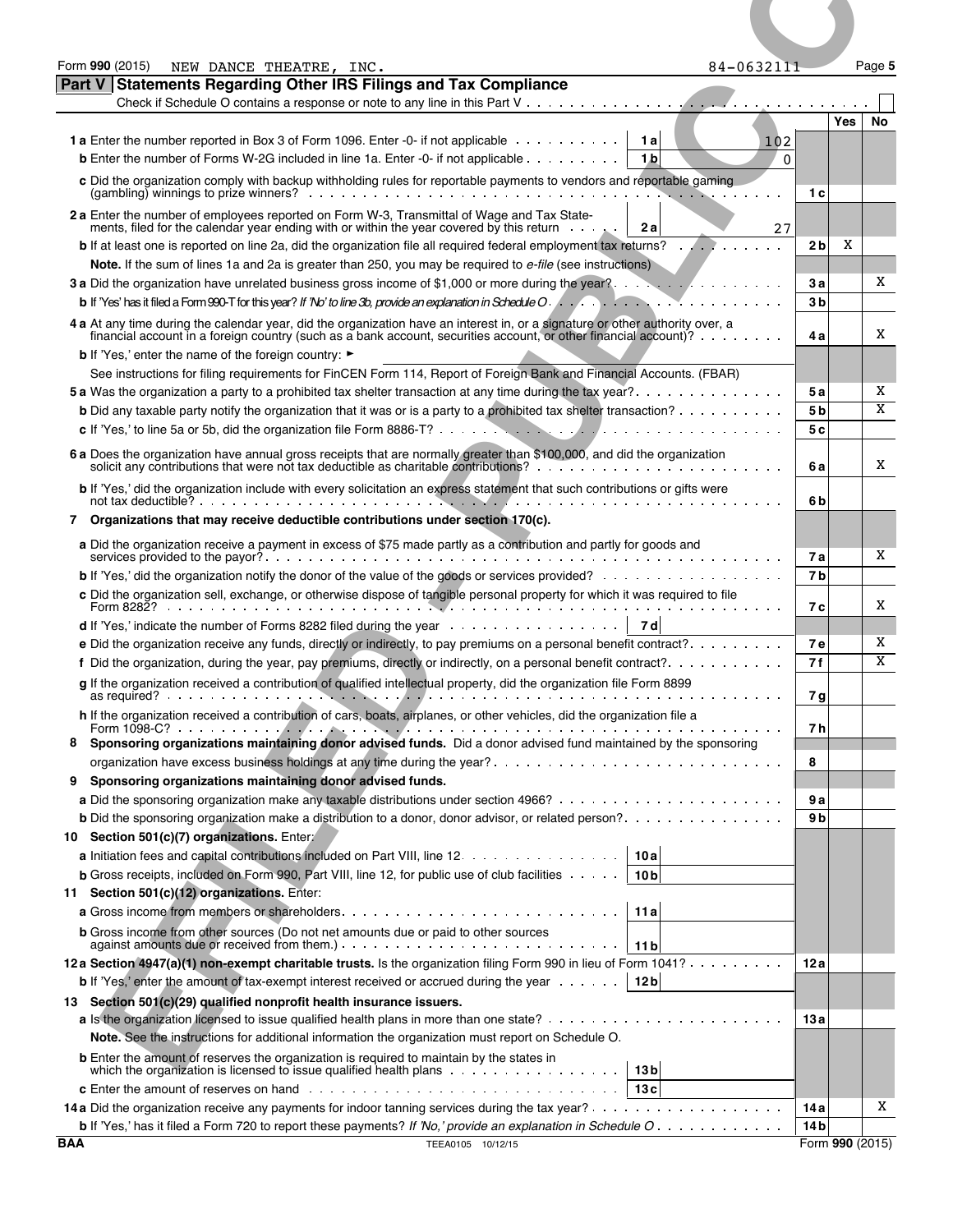| Form 990 (2015)<br>NEW DANCE THEATRE, INC.<br>Part V Statements Regarding Other IRS Filings and Tax Compliance                                                                                                                                                                                                                                                 | 84-0632111                               |                                    | Page 5 |
|----------------------------------------------------------------------------------------------------------------------------------------------------------------------------------------------------------------------------------------------------------------------------------------------------------------------------------------------------------------|------------------------------------------|------------------------------------|--------|
|                                                                                                                                                                                                                                                                                                                                                                |                                          | Yes                                | No     |
| <b>1 a</b> Enter the number reported in Box 3 of Form 1096. Enter -0- if not applicable<br><b>b</b> Enter the number of Forms W-2G included in line 1a. Enter -0- if not applicable                                                                                                                                                                            | 1 a<br>102<br>1 <sub>b</sub><br>$\Omega$ |                                    |        |
| c Did the organization comply with backup withholding rules for reportable payments to vendors and reportable gaming<br>2 a Enter the number of employees reported on Form W-3, Transmittal of Wage and Tax State-                                                                                                                                             |                                          | 1 c                                |        |
| ments, filed for the calendar year ending with or within the year covered by this return<br><b>b</b> If at least one is reported on line 2a, did the organization file all required federal employment tax returns?                                                                                                                                            | 2 a<br>27                                | X<br>2 bl                          |        |
| Note. If the sum of lines 1a and 2a is greater than 250, you may be required to e-file (see instructions)<br><b>b</b> If 'Yes' has it filed a Form 990-T for this year? If 'No' to line 3b, provide an explanation in Schedule O.                                                                                                                              |                                          | 3а<br>3 <sub>b</sub>               | Χ      |
| 4 a At any time during the calendar year, did the organization have an interest in, or a signature or other authority over, a<br>financial account in a foreign country (such as a bank account, securities account, or other financial account)?                                                                                                              |                                          | 4 a                                | X      |
| <b>b</b> If 'Yes,' enter the name of the foreign country: $\blacktriangleright$<br>See instructions for filing requirements for FinCEN Form 114, Report of Foreign Bank and Financial Accounts. (FBAR)                                                                                                                                                         |                                          | 5а                                 | X      |
| <b>b</b> Did any taxable party notify the organization that it was or is a party to a prohibited tax shelter transaction?                                                                                                                                                                                                                                      |                                          | 5 bl<br>5 cl                       | X      |
| 6 a Does the organization have annual gross receipts that are normally greater than \$100,000, and did the organization solicit any contributions that were not tax deductible as charitable contributions?                                                                                                                                                    |                                          | 6 a                                | X      |
| b If 'Yes,' did the organization include with every solicitation an express statement that such contributions or gifts were<br>7 Organizations that may receive deductible contributions under section 170(c).                                                                                                                                                 |                                          | 6 <sub>b</sub>                     |        |
| a Did the organization receive a payment in excess of \$75 made partly as a contribution and partly for goods and                                                                                                                                                                                                                                              |                                          |                                    |        |
| <b>b</b> If 'Yes,' did the organization notify the donor of the value of the goods or services provided?<br>c Did the organization sell, exchange, or otherwise dispose of tangible personal property for which it was required to file                                                                                                                        |                                          | 7а<br>7 <sub>b</sub>               | Χ      |
| <b>d</b> If 'Yes,' indicate the number of Forms 8282 filed during the year $\ldots \ldots \ldots \ldots \ldots$                                                                                                                                                                                                                                                |                                          | 7 c l                              | X<br>Χ |
| e Did the organization receive any funds, directly or indirectly, to pay premiums on a personal benefit contract?.<br>f Did the organization, during the year, pay premiums, directly or indirectly, on a personal benefit contract?.<br>g If the organization received a contribution of qualified intellectual property, did the organization file Form 8899 |                                          | <b>7e</b><br>7f                    | X      |
| h If the organization received a contribution of cars, boats, airplanes, or other vehicles, did the organization file a                                                                                                                                                                                                                                        |                                          | 7g<br>7 hl                         |        |
| Sponsoring organizations maintaining donor advised funds. Did a donor advised fund maintained by the sponsoring<br>organization have excess business holdings at any time during the year?                                                                                                                                                                     |                                          | 8                                  |        |
| 9 Sponsoring organizations maintaining donor advised funds.<br><b>b</b> Did the sponsoring organization make a distribution to a donor, donor advisor, or related person?                                                                                                                                                                                      |                                          | 9 a<br>9 <sub>b</sub>              |        |
| 10 Section 501(c)(7) organizations. Enter:<br>a Initiation fees and capital contributions included on Part VIII, line 12.   10a                                                                                                                                                                                                                                |                                          |                                    |        |
| <b>b</b> Gross receipts, included on Form 990, Part VIII, line 12, for public use of club facilities $\cdots$ 10 <b>b</b><br>11 Section 501(c)(12) organizations. Enter:                                                                                                                                                                                       |                                          |                                    |        |
| b Gross income from other sources (Do not net amounts due or paid to other sources<br>against amounts due or received from them.) $\ldots \ldots \ldots \ldots \ldots \ldots \ldots \ldots \ldots \ldots$                                                                                                                                                      |                                          |                                    |        |
| 12a Section 4947(a)(1) non-exempt charitable trusts. Is the organization filing Form 990 in lieu of Form 1041?<br><b>b</b> If 'Yes,' enter the amount of tax-exempt interest received or accrued during the year $\dots \dots$ 12b                                                                                                                             |                                          | 12 a                               |        |
| 13 Section 501(c)(29) qualified nonprofit health insurance issuers.<br>Note. See the instructions for additional information the organization must report on Schedule O.                                                                                                                                                                                       |                                          | 13 a                               |        |
| b Enter the amount of reserves the organization is required to maintain by the states in                                                                                                                                                                                                                                                                       |                                          |                                    |        |
|                                                                                                                                                                                                                                                                                                                                                                | 13c                                      | 14 a                               | X      |
| <b>b</b> If 'Yes,' has it filed a Form 720 to report these payments? If 'No,' provide an explanation in Schedule $O_1$ ,<br><b>BAA</b><br>TEEA0105 10/12/15                                                                                                                                                                                                    |                                          | 14 <sub>b</sub><br>Form 990 (2015) |        |
|                                                                                                                                                                                                                                                                                                                                                                |                                          |                                    |        |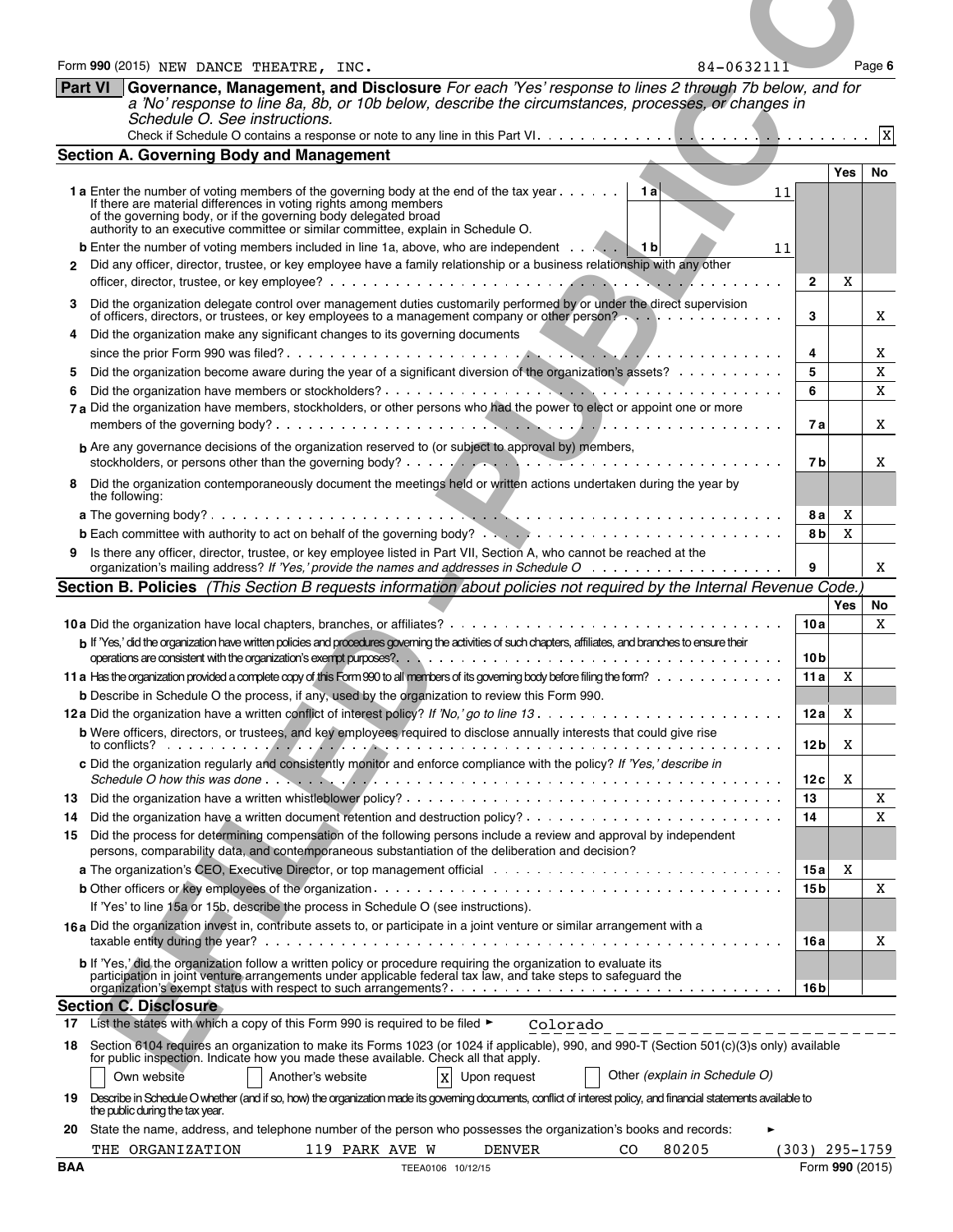|            | Form 990 (2015) NEW DANCE THEATRE, INC.<br>84-0632111                                                                                                                                                                                                                                                   |                          |     | Page 6          |
|------------|---------------------------------------------------------------------------------------------------------------------------------------------------------------------------------------------------------------------------------------------------------------------------------------------------------|--------------------------|-----|-----------------|
|            | <b>Part VI</b><br>Governance, Management, and Disclosure For each 'Yes' response to lines 2 through 7b below, and for<br>a 'No' response to line 8a, 8b, or 10b below, describe the circumstances, processes, or changes in<br>Schedule O. See instructions.                                            |                          |     |                 |
|            | <b>Section A. Governing Body and Management</b>                                                                                                                                                                                                                                                         |                          |     |                 |
|            | 1 a Enter the number of voting members of the governing body at the end of the tax year   1 a<br>11                                                                                                                                                                                                     |                          | Yes | No              |
|            | If there are material differences in voting rights among members<br>of the governing body, or if the governing body delegated broad authority to an executive committee or similar committee, explain in Schedule O.                                                                                    |                          |     |                 |
|            | <b>b</b> Enter the number of voting members included in line 1a, above, who are independent $\cdots$<br>11<br>2 Did any officer, director, trustee, or key employee have a family relationship or a business relationship with any other                                                                |                          |     |                 |
|            |                                                                                                                                                                                                                                                                                                         | $\mathbf{2}$             | X   |                 |
| 3<br>4     | Did the organization delegate control over management duties customarily performed by or under the direct supervision<br>of officers, directors, or trustees, or key employees to a management company or other person?<br>Did the organization make any significant changes to its governing documents | 3                        |     | X               |
|            |                                                                                                                                                                                                                                                                                                         | 4                        |     | X               |
| 6          | Did the organization become aware during the year of a significant diversion of the organization's assets?                                                                                                                                                                                              | 5<br>6                   |     | X<br>X          |
|            | 7 a Did the organization have members, stockholders, or other persons who had the power to elect or appoint one or more                                                                                                                                                                                 | 7а                       |     | X               |
|            | <b>b</b> Are any governance decisions of the organization reserved to (or subject to approval by) members,                                                                                                                                                                                              |                          |     |                 |
|            | 8 Did the organization contemporaneously document the meetings held or written actions undertaken during the year by<br>the following:                                                                                                                                                                  | 7 b                      |     | X               |
|            |                                                                                                                                                                                                                                                                                                         | 8 al                     | X   |                 |
|            | <b>b</b> Each committee with authority to act on behalf of the governing body? $\ldots$ , $\ldots$ , $\ldots$ , $\ldots$ , $\ldots$ , $\ldots$ , $\ldots$ , $\ldots$                                                                                                                                    | 8bl                      | X   |                 |
|            | 9 Is there any officer, director, trustee, or key employee listed in Part VII, Section A, who cannot be reached at the                                                                                                                                                                                  | 9                        |     | X               |
|            | Section B. Policies (This Section B requests information about policies not required by the Internal Revenue Code.)                                                                                                                                                                                     |                          |     |                 |
|            |                                                                                                                                                                                                                                                                                                         | 10a                      | Yes | No<br>X         |
|            | b If 'Yes,' did the organization have written policies and procedures governing the activities of such chapters, affiliates, and branches to ensure their                                                                                                                                               |                          |     |                 |
|            |                                                                                                                                                                                                                                                                                                         | 10 <sub>b</sub><br>11 al | X   |                 |
|            | <b>b</b> Describe in Schedule O the process, if any, used by the organization to review this Form 990.                                                                                                                                                                                                  |                          |     |                 |
|            |                                                                                                                                                                                                                                                                                                         | 12a                      | X   |                 |
|            | b Were officers, directors, or trustees, and key employees required to disclose annually interests that could give rise                                                                                                                                                                                 | 12 <sub>b</sub>          | X   |                 |
|            | c Did the organization regularly and consistently monitor and enforce compliance with the policy? If 'Yes,' describe in                                                                                                                                                                                 | 12c                      | X   |                 |
|            |                                                                                                                                                                                                                                                                                                         | 13                       |     | X               |
| 14         |                                                                                                                                                                                                                                                                                                         | 14                       |     | X               |
| 15         | Did the process for determining compensation of the following persons include a review and approval by independent<br>persons, comparability data, and contemporaneous substantiation of the deliberation and decision?                                                                                 |                          |     |                 |
|            |                                                                                                                                                                                                                                                                                                         | 15a                      | X   |                 |
|            |                                                                                                                                                                                                                                                                                                         | 15 <sub>b</sub>          |     | X               |
|            | If 'Yes' to line 15a or 15b, describe the process in Schedule O (see instructions).<br>16a Did the organization invest in, contribute assets to, or participate in a joint venture or similar arrangement with a                                                                                        |                          |     |                 |
|            |                                                                                                                                                                                                                                                                                                         | 16 a                     |     | X               |
|            | b If 'Yes,' did the organization follow a written policy or procedure requiring the organization to evaluate its<br>participation in joint venture arrangements under applicable federal tax law, and take steps to safeguard the                                                                       |                          |     |                 |
|            | <b>Section C. Disclosure</b>                                                                                                                                                                                                                                                                            | 16 bl                    |     |                 |
|            | 17 List the states with which a copy of this Form 990 is required to be filed ►<br>Colorado                                                                                                                                                                                                             |                          |     |                 |
| 18.        | Section 6104 requires an organization to make its Forms 1023 (or 1024 if applicable), 990, and 990-T (Section 501(c)(3)s only) available for public inspection. Indicate how you made these available. Check all that apply.                                                                            |                          |     |                 |
|            | $\,$ x<br>Upon request<br>Other (explain in Schedule O)<br>Own website<br>Another's website                                                                                                                                                                                                             |                          |     |                 |
|            | 19 Describe in Schedule Owhether (and if so, how) the organization made its governing documents, conflict of interest policy, and financial statements available to                                                                                                                                     |                          |     |                 |
|            | the public during the tax year.<br>20 State the name, address, and telephone number of the person who possesses the organization's books and records:                                                                                                                                                   |                          |     |                 |
|            | 80205<br>119 PARK AVE W<br><b>DENVER</b><br>$\rm{CO}$<br>THE ORGANIZATION                                                                                                                                                                                                                               | (303) 295-1759           |     |                 |
| <b>BAA</b> | TEEA0106 10/12/15                                                                                                                                                                                                                                                                                       |                          |     | Form 990 (2015) |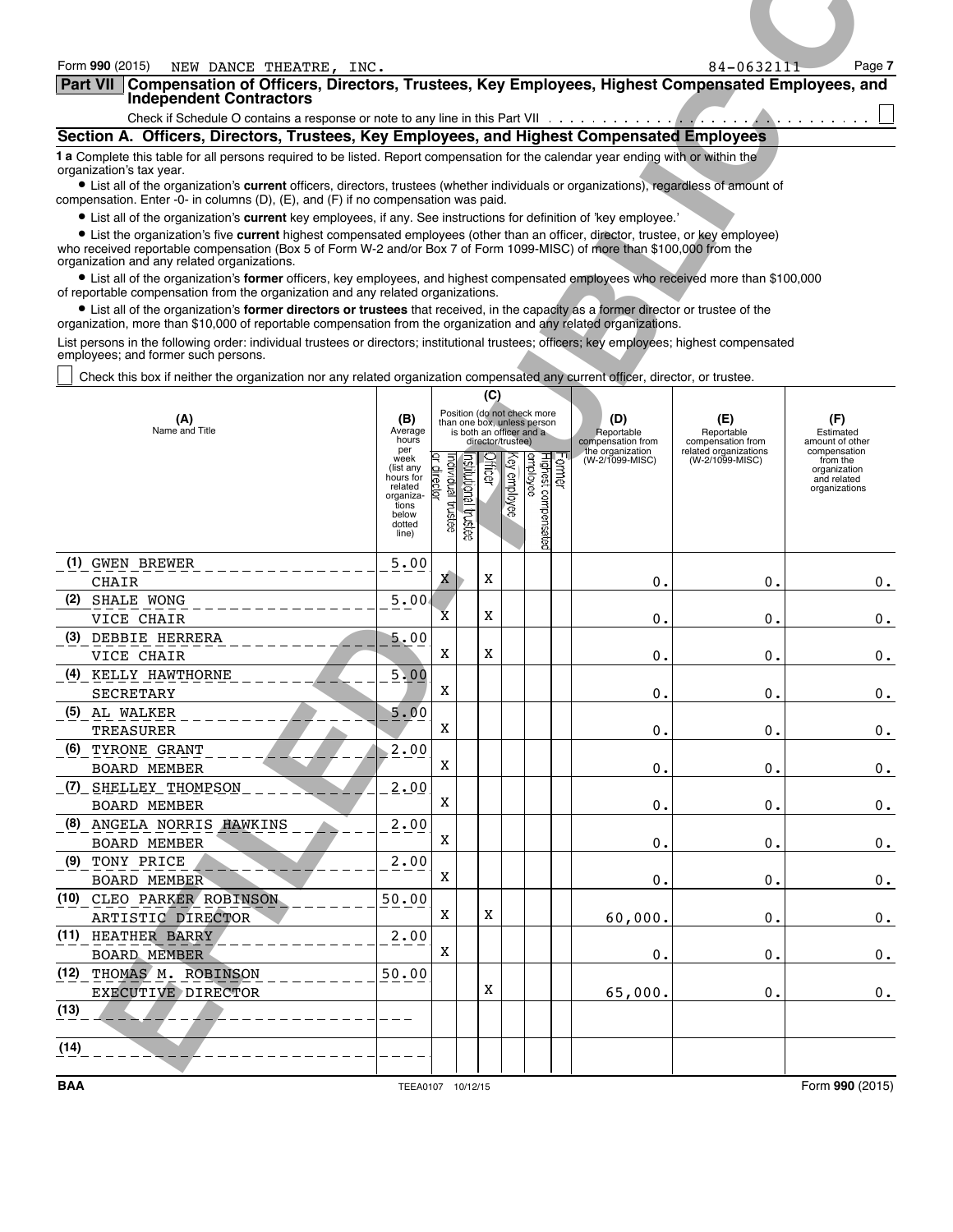| Form 990 (2015)<br>NEW DANCE THEATRE, INC.<br>Part VII Compensation of Officers, Directors, Trustees, Key Employees, Highest Compensated Employees, and<br><b>Independent Contractors</b>                                                                                                                     |                                           |                    |                                                         |                   |              |                                            |                                        | 84-0632111                               | Page 7                                                  |
|---------------------------------------------------------------------------------------------------------------------------------------------------------------------------------------------------------------------------------------------------------------------------------------------------------------|-------------------------------------------|--------------------|---------------------------------------------------------|-------------------|--------------|--------------------------------------------|----------------------------------------|------------------------------------------|---------------------------------------------------------|
| Check if Schedule O contains a response or note to any line in this Part VII $\cdots$                                                                                                                                                                                                                         |                                           |                    |                                                         |                   |              |                                            |                                        |                                          |                                                         |
| Section A. Officers, Directors, Trustees, Key Employees, and Highest Compensated Employees<br>1 a Complete this table for all persons required to be listed. Report compensation for the calendar year ending with or within the                                                                              |                                           |                    |                                                         |                   |              |                                            |                                        |                                          |                                                         |
| organization's tax year.<br>• List all of the organization's current officers, directors, trustees (whether individuals or organizations), regardless of amount of<br>compensation. Enter -0- in columns (D), (E), and (F) if no compensation was paid.                                                       |                                           |                    |                                                         |                   |              |                                            |                                        |                                          |                                                         |
| • List all of the organization's current key employees, if any. See instructions for definition of 'key employee.'<br>• List the organization's five current highest compensated employees (other than an officer, director, trustee, or key employee)                                                        |                                           |                    |                                                         |                   |              |                                            |                                        |                                          |                                                         |
| who received reportable compensation (Box 5 of Form W-2 and/or Box 7 of Form 1099-MISC) of more than \$100,000 from the<br>organization and any related organizations.<br>• List all of the organization's former officers, key employees, and highest compensated employees who received more than \$100,000 |                                           |                    |                                                         |                   |              |                                            |                                        |                                          |                                                         |
| of reportable compensation from the organization and any related organizations.<br>• List all of the organization's former directors or trustees that received, in the capacity as a former director or trustee of the                                                                                        |                                           |                    |                                                         |                   |              |                                            |                                        |                                          |                                                         |
| organization, more than \$10,000 of reportable compensation from the organization and any related organizations.<br>List persons in the following order: individual trustees or directors; institutional trustees; officers; key employees; highest compensated                                               |                                           |                    |                                                         |                   |              |                                            |                                        |                                          |                                                         |
| employees; and former such persons.<br>Check this box if neither the organization nor any related organization compensated any current officer, director, or trustee.                                                                                                                                         |                                           |                    |                                                         |                   |              |                                            |                                        |                                          |                                                         |
|                                                                                                                                                                                                                                                                                                               |                                           |                    | Position (do not check more                             | (C)               |              |                                            |                                        |                                          |                                                         |
| (A)<br>Name and Title                                                                                                                                                                                                                                                                                         | (B)<br>Average<br>hours<br>per            |                    | than one box, unless person<br>is both an officer and a | director/trustee) |              |                                            | (D)<br>Reportable<br>compensation from | (E)<br>Reportable<br>compensation from   | (F)<br>Estimated<br>amount of other                     |
|                                                                                                                                                                                                                                                                                                               | week<br>(list any<br>hours for<br>related |                    |                                                         | lificer           | (ey employee | Former<br>Highest compensated<br> employee | the organization<br>(W-2/1099-MISC)    | related organizations<br>(W-2/1099-MISC) | compensation<br>from the<br>organization<br>and related |
|                                                                                                                                                                                                                                                                                                               | organiza-<br>tions<br>below               | Individual trustee | nstitutional trustee                                    |                   |              |                                            |                                        |                                          | organizations                                           |
|                                                                                                                                                                                                                                                                                                               | dotted<br>line)                           |                    |                                                         |                   |              |                                            |                                        |                                          |                                                         |
| (1) GWEN BREWER<br><b>CHAIR</b>                                                                                                                                                                                                                                                                               | 5.00                                      | X                  |                                                         | X                 |              |                                            | $\overline{0}$ .                       | 0.                                       | $0$ .                                                   |
| SHALE WONG<br>(2)<br>VICE CHAIR                                                                                                                                                                                                                                                                               | 5.00                                      | x                  |                                                         | X                 |              |                                            | $\overline{0}$ .                       | 0.                                       | $0$ .                                                   |
| DEBBIE HERRERA<br>(3)<br>VICE CHAIR                                                                                                                                                                                                                                                                           | 5.00                                      | X                  |                                                         | X                 |              |                                            | $\overline{0}$ .                       | 0.                                       | $0$ .                                                   |
| (4) KELLY HAWTHORNE<br><b>SECRETARY</b>                                                                                                                                                                                                                                                                       | 5.00                                      | X                  |                                                         |                   |              |                                            | $\overline{0}$ .                       | 0.                                       | $0$ .                                                   |
| (5) AL WALKER<br><b>TREASURER</b>                                                                                                                                                                                                                                                                             | 5.00                                      | Χ                  |                                                         |                   |              |                                            | $\overline{0}$ .                       | 0.                                       | $0$ .                                                   |
| (6) TYRONE GRANT<br><b>BOARD MEMBER</b>                                                                                                                                                                                                                                                                       | 2.00                                      | X                  |                                                         |                   |              |                                            | $\overline{0}$ .                       | 0.                                       | $0$ .                                                   |
| (7) SHELLEY THOMPSON<br><b>BOARD MEMBER</b>                                                                                                                                                                                                                                                                   | 2.00                                      | Χ                  |                                                         |                   |              |                                            | $\mathbf 0$ .                          | 0.                                       | $0$ .                                                   |
| (8) ANGELA NORRIS HAWKINS<br><b>BOARD MEMBER</b>                                                                                                                                                                                                                                                              | 2.00                                      | X                  |                                                         |                   |              |                                            | $\mathbf 0$ .                          | 0.                                       | $0$ .                                                   |
| TONY PRICE<br>(9)<br><b>BOARD MEMBER</b>                                                                                                                                                                                                                                                                      | 2.00                                      | X                  |                                                         |                   |              |                                            | 0.                                     | 0.                                       | $0$ .                                                   |
| (10) CLEO PARKER ROBINSON<br>ARTISTIC DIRECTOR                                                                                                                                                                                                                                                                | 50.00                                     | Χ                  |                                                         | X                 |              |                                            | 60,000.                                | 0.                                       | $0$ .                                                   |
| (11) HEATHER BARRY<br><b>BOARD MEMBER</b>                                                                                                                                                                                                                                                                     | 2.00                                      | X                  |                                                         |                   |              |                                            | 0.                                     | 0.                                       | $0$ .                                                   |
| (12) THOMAS M. ROBINSON<br>EXECUTIVE DIRECTOR                                                                                                                                                                                                                                                                 | 50.00                                     |                    |                                                         | X                 |              |                                            | 65,000.                                | 0.                                       | $0$ .                                                   |
| (13)                                                                                                                                                                                                                                                                                                          |                                           |                    |                                                         |                   |              |                                            |                                        |                                          |                                                         |
| (14)                                                                                                                                                                                                                                                                                                          |                                           |                    |                                                         |                   |              |                                            |                                        |                                          |                                                         |
|                                                                                                                                                                                                                                                                                                               |                                           |                    |                                                         |                   |              |                                            |                                        |                                          |                                                         |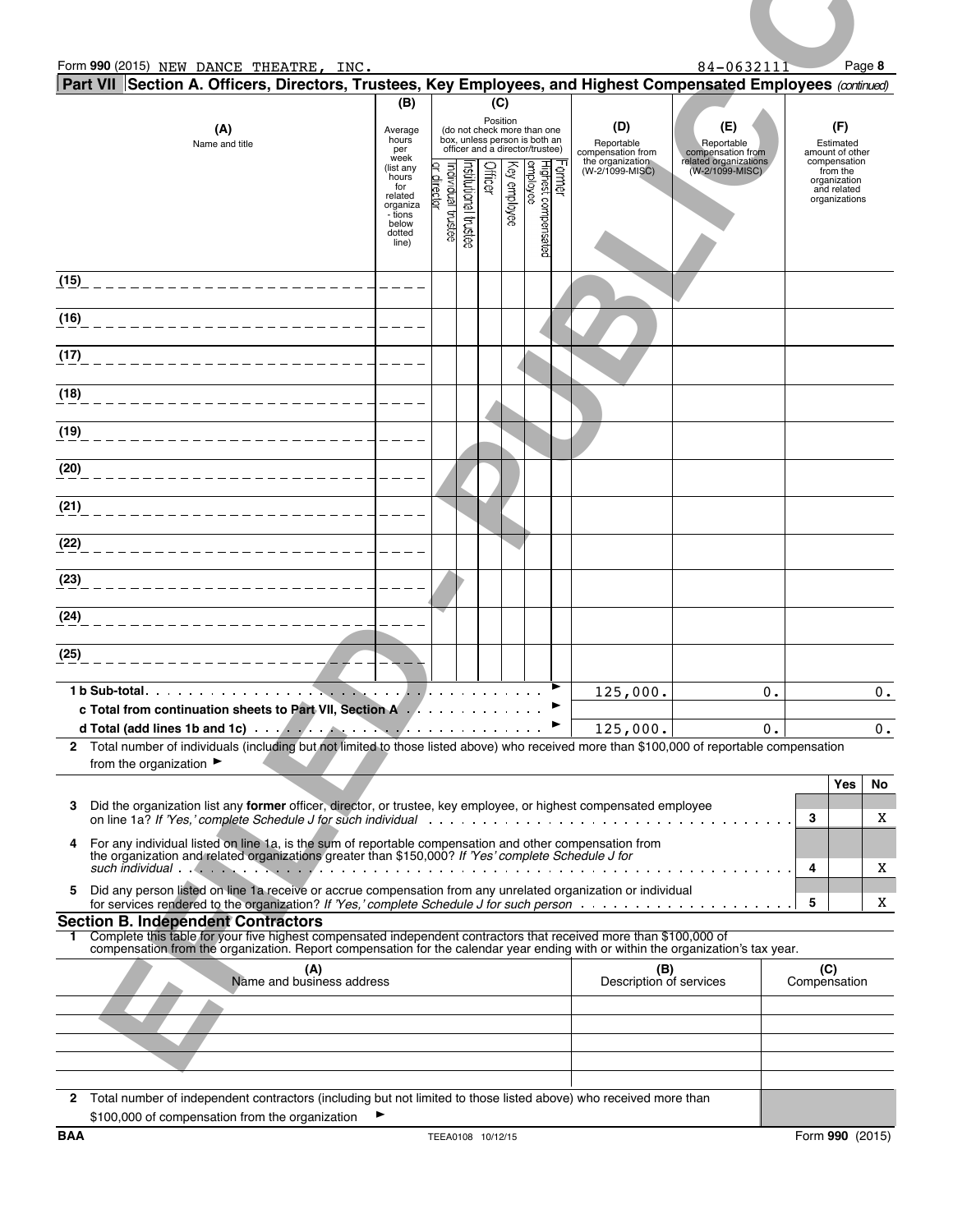| Form 990 (2015) NEW DANCE THEATRE, INC.                                                                                                                                                                                                                                                             |                                                                                                                            |                                |                      |                     |                                                                                                                             |                               |                                                                               | 84-0632111                                                                         | Page 8                                                                                                          |
|-----------------------------------------------------------------------------------------------------------------------------------------------------------------------------------------------------------------------------------------------------------------------------------------------------|----------------------------------------------------------------------------------------------------------------------------|--------------------------------|----------------------|---------------------|-----------------------------------------------------------------------------------------------------------------------------|-------------------------------|-------------------------------------------------------------------------------|------------------------------------------------------------------------------------|-----------------------------------------------------------------------------------------------------------------|
| Part VII Section A. Officers, Directors, Trustees, Key Employees, and Highest Compensated Employees (continued)                                                                                                                                                                                     | (B)                                                                                                                        |                                |                      | (C)                 |                                                                                                                             |                               |                                                                               |                                                                                    |                                                                                                                 |
| (A)<br>Name and title                                                                                                                                                                                                                                                                               | Average<br>hours<br>per<br>week<br>(list any<br>hours<br>for<br>related<br>organiza<br>- tions<br>below<br>dotted<br>line) | Individual trustee<br>director | nstitutional trustee | Position<br>Officer | (do not check more than one<br>box, unless person is both an<br>officer and a director/trustee)<br>employee<br>Key employee | Former<br>Highest compensated | (D)<br>Reportable<br>compensation from<br>the organization<br>(W-2/1099-MISC) | (E)<br>Reportable<br>compensation from<br>related organizations<br>(W-2/1099-MISC) | (F)<br>Estimated<br>amount of other<br>compensation<br>from the<br>organization<br>and related<br>organizations |
| (15)                                                                                                                                                                                                                                                                                                |                                                                                                                            |                                |                      |                     |                                                                                                                             |                               |                                                                               |                                                                                    |                                                                                                                 |
|                                                                                                                                                                                                                                                                                                     |                                                                                                                            |                                |                      |                     |                                                                                                                             |                               |                                                                               |                                                                                    |                                                                                                                 |
|                                                                                                                                                                                                                                                                                                     |                                                                                                                            |                                |                      |                     |                                                                                                                             |                               |                                                                               |                                                                                    |                                                                                                                 |
|                                                                                                                                                                                                                                                                                                     |                                                                                                                            |                                |                      |                     |                                                                                                                             |                               |                                                                               |                                                                                    |                                                                                                                 |
|                                                                                                                                                                                                                                                                                                     |                                                                                                                            |                                |                      |                     |                                                                                                                             |                               |                                                                               |                                                                                    |                                                                                                                 |
|                                                                                                                                                                                                                                                                                                     |                                                                                                                            |                                |                      |                     |                                                                                                                             |                               |                                                                               |                                                                                    |                                                                                                                 |
|                                                                                                                                                                                                                                                                                                     |                                                                                                                            |                                |                      |                     |                                                                                                                             |                               |                                                                               |                                                                                    |                                                                                                                 |
| _______________________                                                                                                                                                                                                                                                                             |                                                                                                                            |                                |                      |                     |                                                                                                                             |                               |                                                                               |                                                                                    |                                                                                                                 |
| _____________________                                                                                                                                                                                                                                                                               |                                                                                                                            |                                |                      |                     |                                                                                                                             |                               |                                                                               |                                                                                    |                                                                                                                 |
|                                                                                                                                                                                                                                                                                                     |                                                                                                                            |                                |                      |                     |                                                                                                                             |                               |                                                                               |                                                                                    |                                                                                                                 |
| ________________                                                                                                                                                                                                                                                                                    |                                                                                                                            |                                |                      |                     |                                                                                                                             |                               |                                                                               |                                                                                    |                                                                                                                 |
|                                                                                                                                                                                                                                                                                                     |                                                                                                                            |                                |                      |                     |                                                                                                                             |                               | 125,000.                                                                      | 0.                                                                                 | $0$ .                                                                                                           |
| c Total from continuation sheets to Part VII, Section A.                                                                                                                                                                                                                                            |                                                                                                                            |                                |                      |                     |                                                                                                                             | ►<br>$\blacktriangleright$    | 125,000.                                                                      | $0$ .                                                                              | $0$ .                                                                                                           |
| 2 Total number of individuals (including but not limited to those listed above) who received more than \$100,000 of reportable compensation<br>from the organization $\blacktriangleright$                                                                                                          |                                                                                                                            |                                |                      |                     |                                                                                                                             |                               |                                                                               |                                                                                    |                                                                                                                 |
| Did the organization list any former officer, director, or trustee, key employee, or highest compensated employee                                                                                                                                                                                   |                                                                                                                            |                                |                      |                     |                                                                                                                             |                               |                                                                               |                                                                                    | <b>Yes</b><br>No                                                                                                |
| 4 For any individual listed on line 1a, is the sum of reportable compensation and other compensation from                                                                                                                                                                                           |                                                                                                                            |                                |                      |                     |                                                                                                                             |                               |                                                                               |                                                                                    | 3<br>X                                                                                                          |
| the organization and related organizations greater than \$150,000? If 'Yes' complete Schedule J for                                                                                                                                                                                                 |                                                                                                                            |                                |                      |                     |                                                                                                                             |                               |                                                                               |                                                                                    | 4<br>X                                                                                                          |
| Did any person listed on line 1a receive or accrue compensation from any unrelated organization or individual<br>for services rendered to the organization? If 'Yes,' complete Schedule J for such person                                                                                           |                                                                                                                            |                                |                      |                     |                                                                                                                             |                               |                                                                               |                                                                                    | 5<br>X                                                                                                          |
| <b>Section B. Independent Contractors</b><br>Complete this table for your five highest compensated independent contractors that received more than \$100,000 of<br>compensation from the organization. Report compensation for the calendar year ending with or within the organization's tax year. |                                                                                                                            |                                |                      |                     |                                                                                                                             |                               |                                                                               |                                                                                    |                                                                                                                 |
| (A)<br>Name and business address                                                                                                                                                                                                                                                                    |                                                                                                                            |                                |                      |                     |                                                                                                                             |                               | (B)<br>Description of services                                                |                                                                                    | (C)<br>Compensation                                                                                             |
|                                                                                                                                                                                                                                                                                                     |                                                                                                                            |                                |                      |                     |                                                                                                                             |                               |                                                                               |                                                                                    |                                                                                                                 |
|                                                                                                                                                                                                                                                                                                     |                                                                                                                            |                                |                      |                     |                                                                                                                             |                               |                                                                               |                                                                                    |                                                                                                                 |
|                                                                                                                                                                                                                                                                                                     |                                                                                                                            |                                |                      |                     |                                                                                                                             |                               |                                                                               |                                                                                    |                                                                                                                 |
| 2 Total number of independent contractors (including but not limited to those listed above) who received more than<br>\$100,000 of compensation from the organization                                                                                                                               | ▶                                                                                                                          |                                |                      |                     |                                                                                                                             |                               |                                                                               |                                                                                    |                                                                                                                 |
|                                                                                                                                                                                                                                                                                                     |                                                                                                                            |                                |                      |                     |                                                                                                                             |                               |                                                                               |                                                                                    |                                                                                                                 |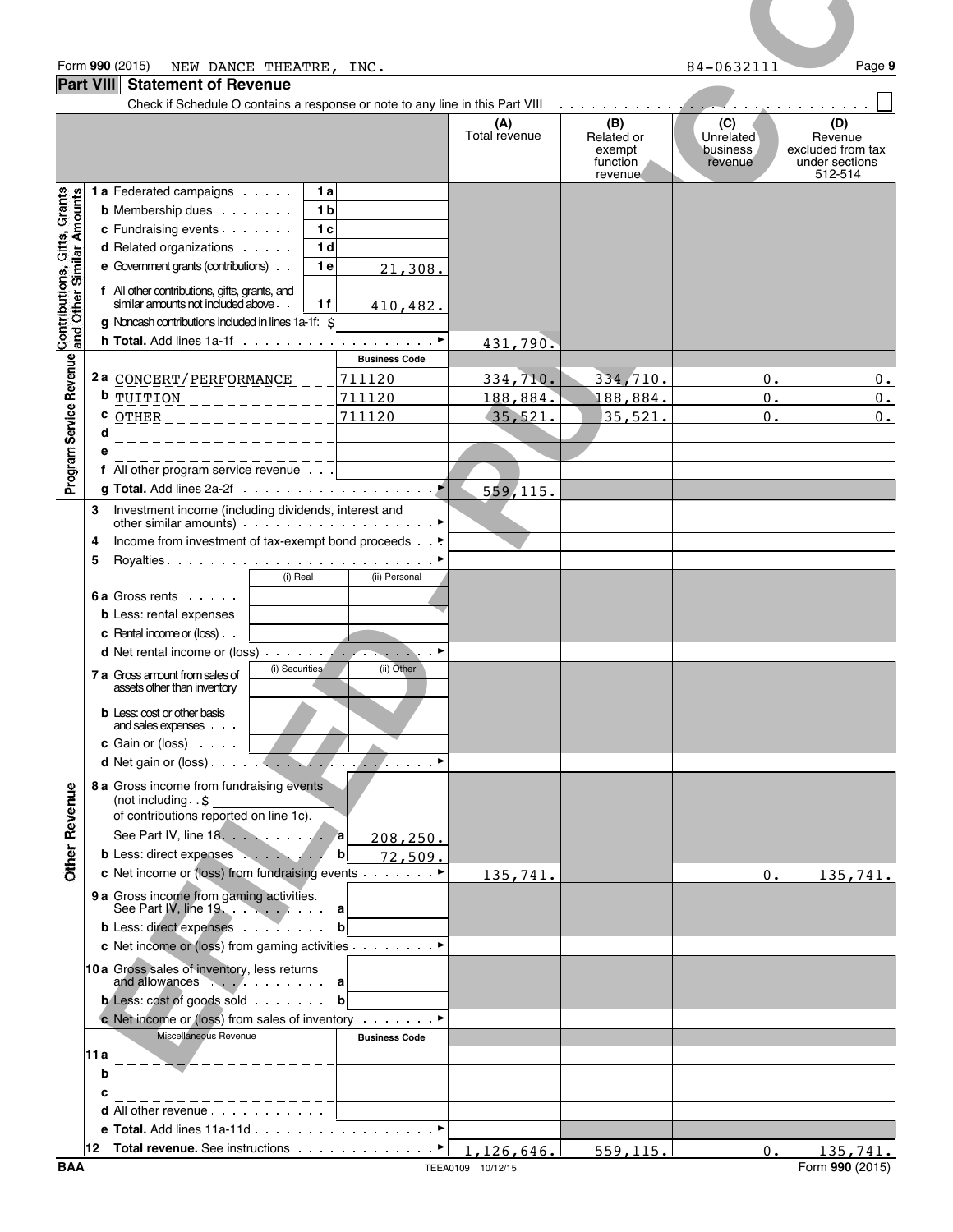|                                                           | Form 990 (2015)<br>NEW DANCE THEATRE, INC.                                                      |                                  |                      |                                         | 84-0632111                              | Page 9                                                |
|-----------------------------------------------------------|-------------------------------------------------------------------------------------------------|----------------------------------|----------------------|-----------------------------------------|-----------------------------------------|-------------------------------------------------------|
|                                                           | <b>Part VIII</b><br><b>Statement of Revenue</b>                                                 |                                  |                      |                                         |                                         |                                                       |
|                                                           |                                                                                                 |                                  | (A)<br>Total revenue | (B)<br>Related or<br>exempt<br>function | (C)<br>Unrelated<br>business<br>revenue | (D)<br>Revenue<br>excluded from tax<br>under sections |
|                                                           | <b>1a</b> Federated campaigns                                                                   | 1a                               |                      | revenue                                 |                                         | 512-514                                               |
| Contributions, Gifts, Grants<br>and Other Similar Amounts | <b>b</b> Membership dues                                                                        | 1 <sub>b</sub>                   |                      |                                         |                                         |                                                       |
|                                                           | c Fundraising events<br>d Related organizations                                                 | 1 <sub>c</sub><br>1 <sub>d</sub> |                      |                                         |                                         |                                                       |
|                                                           | e Government grants (contributions)                                                             | 1 e<br>21,308.                   |                      |                                         |                                         |                                                       |
|                                                           | f All other contributions, gifts, grants, and<br>similar amounts not included above             |                                  |                      |                                         |                                         |                                                       |
|                                                           | g Noncash contributions included in lines 1a-1f: \$                                             | 1 f<br>410,482.                  |                      |                                         |                                         |                                                       |
| Revenue                                                   |                                                                                                 |                                  | 431,790.             |                                         |                                         |                                                       |
|                                                           |                                                                                                 | <b>Business Code</b>             |                      |                                         |                                         |                                                       |
|                                                           | 2a CONCERT/PERFORMANCE<br>b TUITION $---$                                                       | 711120<br>711120                 | 334,710.<br>188,884. | 334,710.<br>188,884                     | 0.<br>0.                                | 0.<br>$\Omega$ .                                      |
|                                                           | $c$ OTHER _ _ _ _ _ _ _ _ _ _ _ _ _ _                                                           | 711120                           | 35,521.              | 35,521.                                 | 0.                                      | $0$ .                                                 |
|                                                           | _______________                                                                                 |                                  |                      |                                         |                                         |                                                       |
|                                                           | _______________<br>f All other program service revenue                                          |                                  |                      |                                         |                                         |                                                       |
|                                                           |                                                                                                 |                                  | 559, 115.            |                                         |                                         |                                                       |
|                                                           | Investment income (including dividends, interest and<br>other similar amounts)<br>$\cdots$<br>3 |                                  |                      |                                         |                                         |                                                       |
|                                                           | Income from investment of tax-exempt bond proceeds ►<br>4                                       |                                  |                      |                                         |                                         |                                                       |
|                                                           | 5                                                                                               |                                  |                      |                                         |                                         |                                                       |
|                                                           | (i) Real<br><b>6a</b> Gross rents                                                               | (ii) Personal                    |                      |                                         |                                         |                                                       |
|                                                           | <b>b</b> Less: rental expenses                                                                  |                                  |                      |                                         |                                         |                                                       |
|                                                           | c Rental income or (loss).                                                                      |                                  |                      |                                         |                                         |                                                       |
|                                                           | (i) Securities                                                                                  | (ii) Other                       |                      |                                         |                                         |                                                       |
|                                                           | 7 a Gross amount from sales of<br>assets other than inventory                                   |                                  |                      |                                         |                                         |                                                       |
|                                                           | <b>b</b> Less: cost or other basis                                                              |                                  |                      |                                         |                                         |                                                       |
|                                                           | and sales expenses<br>c Gain or $(\text{loss})$                                                 |                                  |                      |                                         |                                         |                                                       |
|                                                           |                                                                                                 |                                  |                      |                                         |                                         |                                                       |
| <b>Other Revenue</b>                                      | 8 a Gross income from fundraising events<br>(not including \$                                   |                                  |                      |                                         |                                         |                                                       |
|                                                           | of contributions reported on line 1c).                                                          |                                  |                      |                                         |                                         |                                                       |
|                                                           | See Part IV, line $18.$ $\dots$ $\dots$ $\ldots$ a                                              | 208, 250.                        |                      |                                         |                                         |                                                       |
|                                                           | b Less: direct expenses<br>c Net income or (loss) from fundraising events ▶                     | $\mathbf{b}$<br>72,509.          | 135,741.             |                                         | 0.                                      | 135,741.                                              |
|                                                           | 9 a Gross income from gaming activities.<br>See Part IV, line 19.                               |                                  |                      |                                         |                                         |                                                       |
|                                                           | <b>b</b> Less: direct expenses b                                                                |                                  |                      |                                         |                                         |                                                       |
|                                                           | c Net income or (loss) from gaming activities ▶                                                 |                                  |                      |                                         |                                         |                                                       |
|                                                           | 10a Gross sales of inventory, less returns                                                      |                                  |                      |                                         |                                         |                                                       |
|                                                           | <b>b</b> Less: cost of goods sold $\cdots$ $\cdots$ <b>b</b>                                    |                                  |                      |                                         |                                         |                                                       |
|                                                           | c Net income or (loss) from sales of inventory ►                                                |                                  |                      |                                         |                                         |                                                       |
|                                                           | Miscellaneous Revenue                                                                           | <b>Business Code</b>             |                      |                                         |                                         |                                                       |
|                                                           | 11 a                                                                                            |                                  |                      |                                         |                                         |                                                       |
|                                                           |                                                                                                 |                                  |                      |                                         |                                         |                                                       |
|                                                           | d All other revenue                                                                             |                                  |                      |                                         |                                         |                                                       |
|                                                           | 12 Total revenue. See instructions                                                              |                                  |                      |                                         |                                         |                                                       |
|                                                           |                                                                                                 |                                  | 1,126,646.           | 559, 115.                               | $0$ .                                   | 135,741.                                              |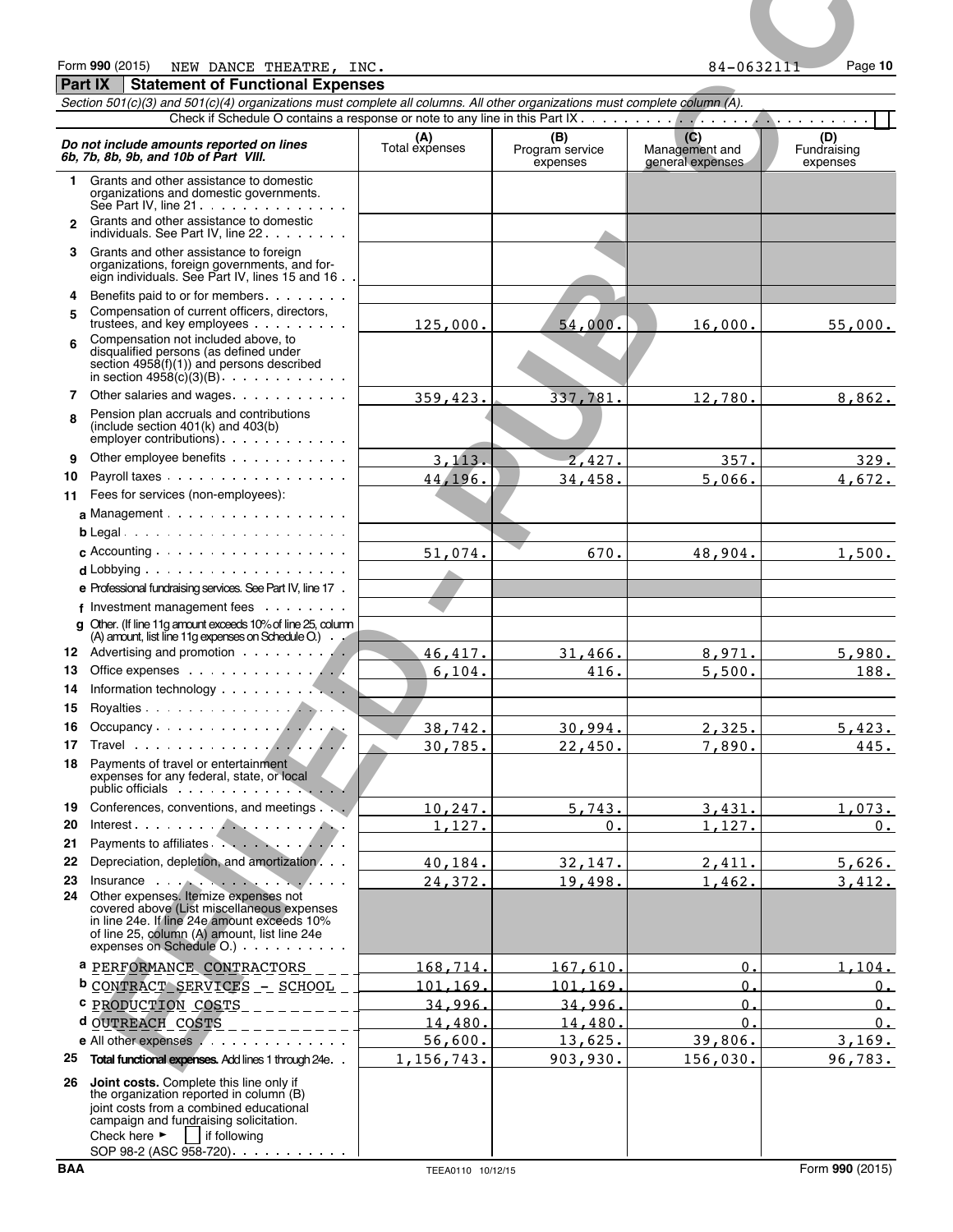#### Form **990** (2015) Page **10** NEW DANCE THEATRE, INC. 84-0632111 **Part IX Statement of Functional Expenses**

| Form 990 (2015)<br>NEW DANCE THEATRE, INC.<br><b>Part IX</b><br><b>Statement of Functional Expenses</b>                                                                                                                                                                    |                       |                             | 84-0632111                         | Page 10                 |
|----------------------------------------------------------------------------------------------------------------------------------------------------------------------------------------------------------------------------------------------------------------------------|-----------------------|-----------------------------|------------------------------------|-------------------------|
| Section 501(c)(3) and 501(c)(4) organizations must complete all columns. All other organizations must complete column (A).                                                                                                                                                 |                       |                             |                                    |                         |
|                                                                                                                                                                                                                                                                            |                       | (B)                         | (C)                                | (D)                     |
| Do not include amounts reported on lines<br>6b, 7b, 8b, 9b, and 10b of Part VIII.                                                                                                                                                                                          | (A)<br>Total expenses | Program service<br>expenses | Management and<br>general expenses | Fundraising<br>expenses |
| Grants and other assistance to domestic<br>1.<br>organizations and domestic governments.<br>See Part IV, line $21 \cdot \cdot \cdot \cdot \cdot \cdot \cdot \cdot \cdot \cdot \cdot \cdot$                                                                                 |                       |                             |                                    |                         |
| Grants and other assistance to domestic<br>$\mathbf{p}$                                                                                                                                                                                                                    |                       |                             |                                    |                         |
| individuals. See Part IV, line 22<br>Grants and other assistance to foreign<br>3.<br>organizations, foreign governments, and for-                                                                                                                                          |                       |                             |                                    |                         |
| eign individuals. See Part IV, lines 15 and 16.<br>Benefits paid to or for members<br>4                                                                                                                                                                                    |                       |                             |                                    |                         |
| Compensation of current officers, directors,<br>5.<br>trustees, and key employees                                                                                                                                                                                          | 125,000.              | 54,000.                     | 16,000.                            | 55,000.                 |
| Compensation not included above, to<br>6<br>disqualified persons (as defined under<br>section $4958(f)(1)$ and persons described                                                                                                                                           |                       |                             |                                    |                         |
| in section $49\overline{58}$ (c)(3)(B)<br>Other salaries and wages<br>7                                                                                                                                                                                                    | 359,423               | 337,781                     | 12,780.                            | 8,862                   |
| Pension plan accruals and contributions<br>R<br>(include section $401(k)$ and $403(b)$<br>employer contributions)                                                                                                                                                          |                       |                             |                                    |                         |
| Other employee benefits<br>9                                                                                                                                                                                                                                               | 3, 113.               | 2,427.                      | 357.                               | 329.                    |
| Payroll taxes<br>10<br>11 Fees for services (non-employees):                                                                                                                                                                                                               | 44,196.               | 34,458.                     | 5,066.                             | 4,672.                  |
| a Management $\cdots$ $\cdots$ $\cdots$ $\cdots$ $\cdots$                                                                                                                                                                                                                  |                       |                             |                                    |                         |
|                                                                                                                                                                                                                                                                            |                       |                             |                                    |                         |
| $d$ Lobbying $\ldots$ $\ldots$ $\ldots$ $\ldots$ $\ldots$ $\ldots$ $\ldots$ $\ldots$                                                                                                                                                                                       | 51,074.               | 670.                        | 48,904.                            | 1,500.                  |
| e Professional fundraising services. See Part IV, line 17 .                                                                                                                                                                                                                |                       |                             |                                    |                         |
| f Investment management fees                                                                                                                                                                                                                                               |                       |                             |                                    |                         |
| q Other. (If line 11g amount exceeds 10% of line 25, column<br>(A) amount, list line 11g expenses on Schedule O.                                                                                                                                                           |                       |                             |                                    |                         |
| 12 Advertising and promotion<br>13                                                                                                                                                                                                                                         | 46,417.<br>6,104.     | 31,466.<br>416.             | 8,971.<br>5,500.                   | 5,980.<br>188.          |
| Information technology<br>14                                                                                                                                                                                                                                               |                       |                             |                                    |                         |
| 15                                                                                                                                                                                                                                                                         |                       |                             |                                    |                         |
| 16.<br>17                                                                                                                                                                                                                                                                  | 38,742.<br>30,785.    | 30,994.<br>22,450.          | 2,325.<br>7,890.                   | 5,423.<br>445.          |
| Payments of travel or entertainment<br>18<br>expenses for any federal, state, or local<br>public officials entertainment of the state of the state of the state of the state of the state of the state o                                                                   |                       |                             |                                    |                         |
| 19 Conferences, conventions, and meetings                                                                                                                                                                                                                                  | 10,247.               | 5,743.                      | 3,431.                             | 1,073.                  |
| 20<br>Payments to affiliates.<br>21                                                                                                                                                                                                                                        | 1,127.                | $\mathbf{0}$ .              | 1,127.                             | $0$ .                   |
| 22 Depreciation, depletion, and amortization                                                                                                                                                                                                                               | 40,184.               | 32,147.                     | 2,411.                             | 5,626.                  |
| 23<br>Insurance $\cdots$ $\cdots$ $\cdots$ $\cdots$<br>Other expenses. Itemize expenses not<br>24<br>covered above (List miscellaneous expenses<br>in line 24e. If line 24e amount exceeds 10%<br>of line 25, column (A) amount, list line 24e<br>expenses on Schedule O.) | 24,372.               | 19,498.                     | 1,462.                             | 3,412.                  |
| a PERFORMANCE CONTRACTORS                                                                                                                                                                                                                                                  | 168,714.              | 167.610                     | 0                                  | 1.104.                  |
| <b>b</b> CONTRACT SERVICES - SCHOOL                                                                                                                                                                                                                                        | 101.169.              | 101.169.                    | $\Omega$                           | $0$ .                   |
| <sup>c</sup> PRODUCTION COSTS<br>d OUTREACH COSTS                                                                                                                                                                                                                          | 34.996.<br>14.480.    | 34,996<br>14,480            | $\Omega$<br>$\Omega$               | $0$ .<br>$0$ .          |
| <u> Liberalis e</u>                                                                                                                                                                                                                                                        | 56,600.               | 13,625.                     | 39,806.                            | 3, 169.                 |
| 25<br>Total functional expenses. Add lines 1 through 24e.                                                                                                                                                                                                                  | 1,156,743.            | 903,930.                    | 156,030.                           | 96,783.                 |
| Joint costs. Complete this line only if<br>26<br>the organization reported in column (B)<br>joint costs from a combined educational<br>campaign and fundraising solicitation.<br>if following<br>Check here $\blacktriangleright$                                          |                       |                             |                                    |                         |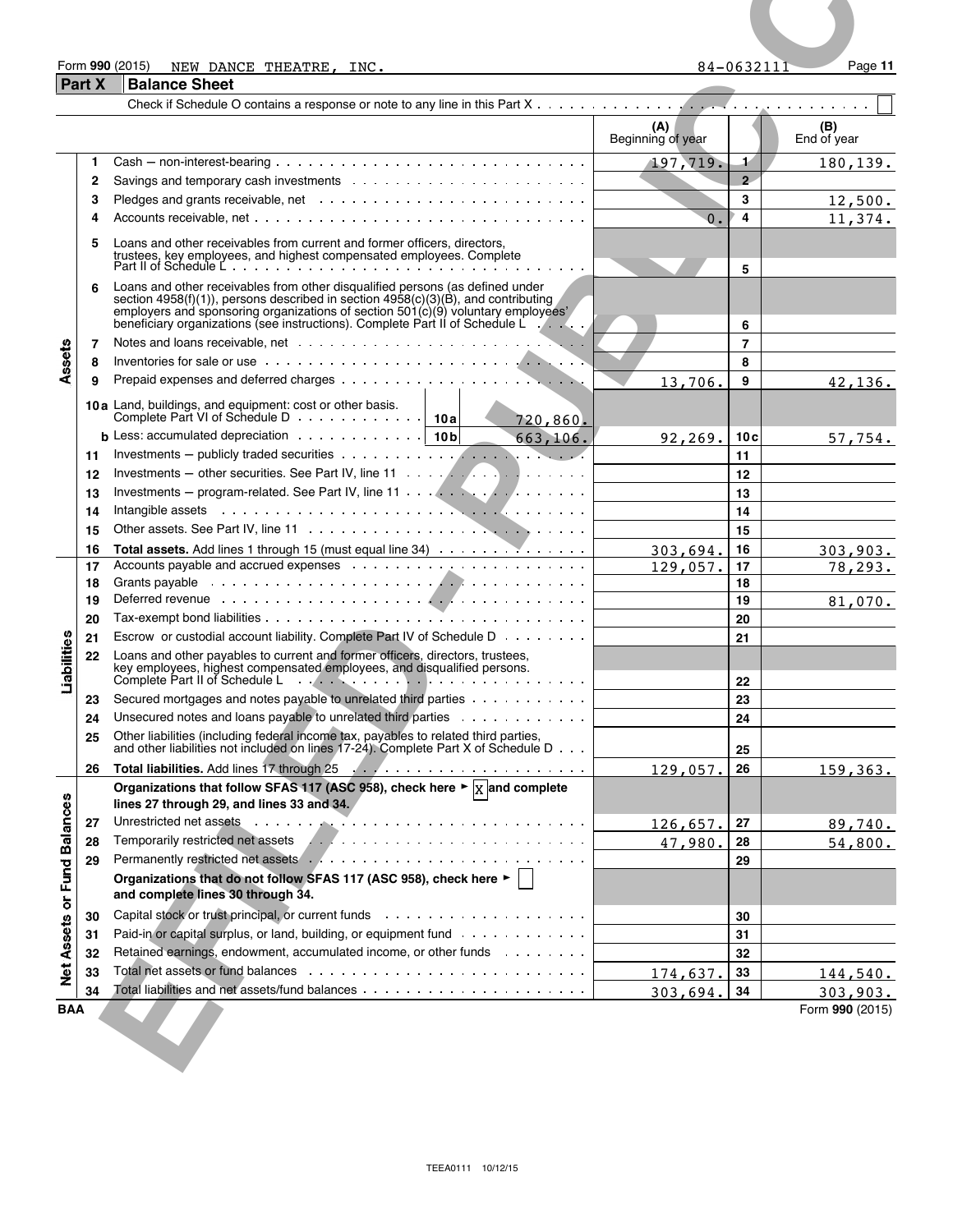#### Form **990** (2015) Page **11** NEW DANCE THEATRE, INC. 84-0632111

TEEA0111 10/12/15

| <b>Part X</b> | Form 990 (2015)<br>NEW DANCE THEATRE, INC.<br><b>Balance Sheet</b>                                                                                                                                                                                                         |                          | $84 - 0632111$ | Page 11            |
|---------------|----------------------------------------------------------------------------------------------------------------------------------------------------------------------------------------------------------------------------------------------------------------------------|--------------------------|----------------|--------------------|
|               |                                                                                                                                                                                                                                                                            |                          |                |                    |
|               |                                                                                                                                                                                                                                                                            | (A)<br>Beginning of year |                | (B)<br>End of year |
| $\mathbf{1}$  | $Cash - non-interest-bearing \dots \dots \dots \dots \dots \dots \dots \dots \dots \dots \dots \dots \dots$                                                                                                                                                                | 197,719.                 | $\mathbf{1}$   | 180, 139.          |
| 2             |                                                                                                                                                                                                                                                                            |                          | $\overline{2}$ |                    |
| 3<br>4        |                                                                                                                                                                                                                                                                            | $\Omega$ .               | 3<br>4         | 12,500.<br>11,374. |
| 5             | Loans and other receivables from current and former officers, directors,                                                                                                                                                                                                   |                          |                |                    |
|               | trustees, key employees, and highest compensated employees. Complete<br>Part II of Schedule Letter and the compensated employees. Complete                                                                                                                                 |                          | 5              |                    |
| 6             | Loans and other receivables from other disqualified persons (as defined under<br>section $4958(f)(1)$ , persons described in section $4958(c)(3)(B)$ , and contributing                                                                                                    |                          |                |                    |
|               | employers and sponsoring organizations of section 501(c)(9) voluntary employees'<br>beneficiary organizations (see instructions). Complete Part II of Schedule L                                                                                                           |                          | 6              |                    |
| 7             | Notes and loans receivable, net with an array of the state of the state of the state of the state of the state of the state of the state of the state of the state of the state of the state of the state of the state of the                                              |                          | $\overline{7}$ |                    |
| 8             |                                                                                                                                                                                                                                                                            |                          | 8              |                    |
| 9             | 10a Land, buildings, and equipment: cost or other basis.<br><b>Contract Contract Contract</b>                                                                                                                                                                              | 13,706.                  | 9              | 42.136.            |
|               | Complete Part VI of Schedule D<br>10 a<br>720,860.                                                                                                                                                                                                                         |                          |                |                    |
| 11            | <b>b</b> Less: accumulated depreciation $\cdots \cdots \cdots$   10b<br>663,106.                                                                                                                                                                                           | 92,269.                  | 10c<br>11      | 57,754.            |
| 12            | Investments – other securities. See Part IV, line 11 $\ldots$ , $\ldots$ , $\ldots$ , $\ldots$                                                                                                                                                                             |                          | 12             |                    |
| 13            |                                                                                                                                                                                                                                                                            |                          | 13             |                    |
| 14<br>15      | Intangible assets in the contract of the contract of the contract of the contract of the contract of the contract of the contract of the contract of the contract of the contract of the contract of the contract of the contr                                             |                          | 14<br>15       |                    |
| 16            | Total assets. Add lines 1 through 15 (must equal line 34)                                                                                                                                                                                                                  | 303,694                  | 16             | 303,903.           |
| 17<br>18      |                                                                                                                                                                                                                                                                            | 129,057.                 | 17<br>18       | 78,293.            |
| 19            |                                                                                                                                                                                                                                                                            |                          | 19             | 81,070.            |
| 20<br>21      | Escrow or custodial account liability. Complete Part IV of Schedule D                                                                                                                                                                                                      |                          | 20<br>21       |                    |
| 22            | Loans and other payables to current and former officers, directors, trustees, key employees, highest compensated employees, and disqualified persons.                                                                                                                      |                          |                |                    |
|               | Complete Part II of Schedule Letter Andreas Complete Part II of Schedule Letter Andreas Complete Part II of                                                                                                                                                                |                          | 22             |                    |
| 23            | Secured mortgages and notes payable to unrelated third parties<br>Unsecured notes and loans payable to unrelated third parties                                                                                                                                             |                          | 23             |                    |
| 24<br>25      | Other liabilities (including federal income tax, payables to related third parties,                                                                                                                                                                                        |                          | 24             |                    |
| 26            | and other liabilities not included on lines 17-24). Complete Part X of Schedule D                                                                                                                                                                                          | 129,057.                 | 25<br>26       | 159,363.           |
|               | Organizations that follow SFAS 117 (ASC 958), check here $\blacktriangleright \overline{X}$ and complete                                                                                                                                                                   |                          |                |                    |
| 27            | lines 27 through 29, and lines 33 and 34.<br>Unrestricted net assets enter the contract of the contract of the contract of the contract of the contract of the contract of the contract of the contract of the contract of the contract of the contract of the contract of |                          | 27             |                    |
| 28            | Temporarily restricted net assets Arthur Album Album Album Album Album Album Album Album Album Album Album Album Album Album Album Album Album Album Album Album Album Album Album Album Album Album Album Album Album Album A                                             | 126,657.<br>47,980.      | 28             | 89,740.<br>54,800. |
| 29            |                                                                                                                                                                                                                                                                            |                          | 29             |                    |
|               | Organizations that do not follow SFAS 117 (ASC 958), check here ►<br>and complete lines 30 through 34.                                                                                                                                                                     |                          |                |                    |
| 30            |                                                                                                                                                                                                                                                                            |                          | 30             |                    |
| 31            | Paid-in or capital surplus, or land, building, or equipment fund<br>Retained earnings, endowment, accumulated income, or other funds                                                                                                                                       |                          | 31             |                    |
| 32<br>33      |                                                                                                                                                                                                                                                                            | 174,637.                 | 32<br>33       | 144,540.           |
|               |                                                                                                                                                                                                                                                                            | 303,694.                 |                |                    |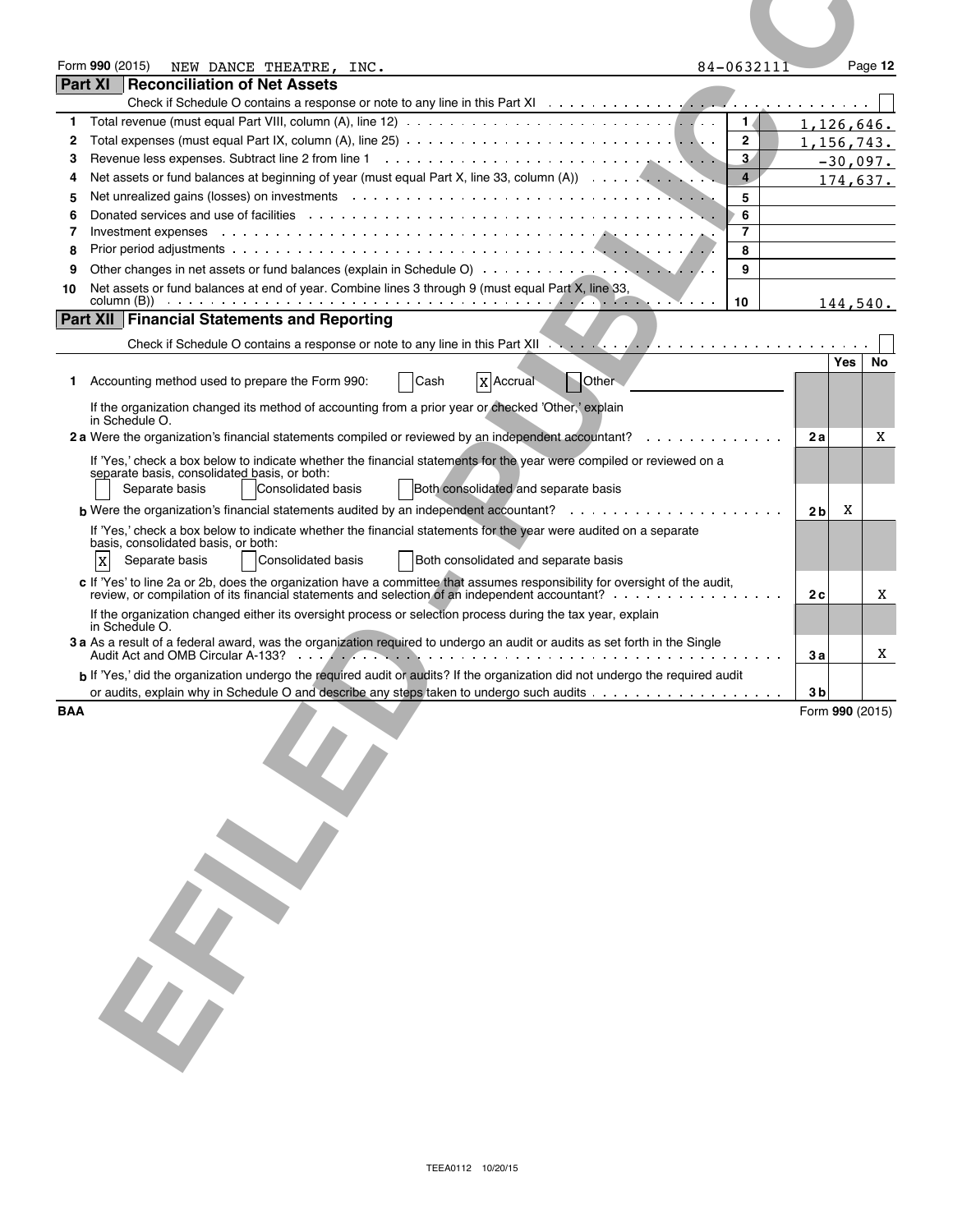|            | Form 990 (2015)<br>84-0632111<br>NEW DANCE THEATRE, INC.                                                                                                                                                                            |                | Page 12         |
|------------|-------------------------------------------------------------------------------------------------------------------------------------------------------------------------------------------------------------------------------------|----------------|-----------------|
|            | Part XI<br><b>Reconciliation of Net Assets</b>                                                                                                                                                                                      |                |                 |
|            |                                                                                                                                                                                                                                     |                |                 |
| 1          | 1/                                                                                                                                                                                                                                  |                | 1, 126, 646.    |
| 2          | $\mathbf{2}$                                                                                                                                                                                                                        |                | 1,156,743.      |
| 3          | $3 -$                                                                                                                                                                                                                               |                | $-30,097.$      |
| 4          | $\overline{4}$<br>Net assets or fund balances at beginning of year (must equal Part X, line 33, column $(A)$ )                                                                                                                      |                | 174,637.        |
| 5          | Net unrealized gains (losses) on investments (and all contact of the state of the state of the state of the state of the state of the state of the state of the state of the state of the state of the state of the state of t<br>5 |                |                 |
| 6          | 6                                                                                                                                                                                                                                   |                |                 |
| 7          | 7<br>Investment expenses                                                                                                                                                                                                            |                |                 |
| 8          | 8                                                                                                                                                                                                                                   |                |                 |
| 9          | 9                                                                                                                                                                                                                                   |                |                 |
| 10         | Net assets or fund balances at end of year. Combine lines 3 through 9 (must equal Part X, line 33,<br>column (B))<br>10                                                                                                             |                |                 |
|            | <b>Part XII Financial Statements and Reporting</b>                                                                                                                                                                                  |                | 144,540.        |
|            |                                                                                                                                                                                                                                     |                |                 |
|            |                                                                                                                                                                                                                                     |                | Yes<br>No       |
| 1.         | Accounting method used to prepare the Form 990:<br>Other<br><b>X</b> Accrual<br>Cash                                                                                                                                                |                |                 |
|            |                                                                                                                                                                                                                                     |                |                 |
|            | If the organization changed its method of accounting from a prior year or checked 'Other,' explain<br>in Schedule O.                                                                                                                |                |                 |
|            | 2 a Were the organization's financial statements compiled or reviewed by an independent accountant?                                                                                                                                 | 2а             | X               |
|            |                                                                                                                                                                                                                                     |                |                 |
|            | If 'Yes,' check a box below to indicate whether the financial statements for the year were compiled or reviewed on a<br>separate basis, consolidated basis, or both:                                                                |                |                 |
|            | Separate basis<br><b>Consolidated basis</b><br>Both consolidated and separate basis                                                                                                                                                 |                |                 |
|            |                                                                                                                                                                                                                                     | 2 <sub>b</sub> | X               |
|            | If 'Yes,' check a box below to indicate whether the financial statements for the year were audited on a separate                                                                                                                    |                |                 |
|            | basis, consolidated basis, or both:                                                                                                                                                                                                 |                |                 |
|            | Separate basis<br>Consolidated basis<br>Both consolidated and separate basis<br>$\mathbf X$                                                                                                                                         |                |                 |
|            | c If 'Yes' to line 2a or 2b, does the organization have a committee that assumes responsibility for oversight of the audit,                                                                                                         |                |                 |
|            | review, or compilation of its financial statements and selection of an independent accountant?                                                                                                                                      | 2c             | Χ               |
|            | If the organization changed either its oversight process or selection process during the tax year, explain                                                                                                                          |                |                 |
|            | in Schedule O.<br>3 a As a result of a federal award, was the organization required to undergo an audit or audits as set forth in the Single                                                                                        |                |                 |
|            |                                                                                                                                                                                                                                     | 3 а            | Χ               |
|            | b If 'Yes,' did the organization undergo the required audit or audits? If the organization did not undergo the required audit                                                                                                       |                |                 |
|            |                                                                                                                                                                                                                                     | 3 b            |                 |
| <b>BAA</b> |                                                                                                                                                                                                                                     |                | Form 990 (2015) |
|            |                                                                                                                                                                                                                                     |                |                 |
|            |                                                                                                                                                                                                                                     |                |                 |
|            |                                                                                                                                                                                                                                     |                |                 |
|            |                                                                                                                                                                                                                                     |                |                 |
|            |                                                                                                                                                                                                                                     |                |                 |
|            |                                                                                                                                                                                                                                     |                |                 |
|            |                                                                                                                                                                                                                                     |                |                 |
|            |                                                                                                                                                                                                                                     |                |                 |
|            |                                                                                                                                                                                                                                     |                |                 |
|            |                                                                                                                                                                                                                                     |                |                 |
|            |                                                                                                                                                                                                                                     |                |                 |
|            |                                                                                                                                                                                                                                     |                |                 |
|            |                                                                                                                                                                                                                                     |                |                 |
|            |                                                                                                                                                                                                                                     |                |                 |
|            |                                                                                                                                                                                                                                     |                |                 |
|            |                                                                                                                                                                                                                                     |                |                 |
|            |                                                                                                                                                                                                                                     |                |                 |
|            |                                                                                                                                                                                                                                     |                |                 |
|            |                                                                                                                                                                                                                                     |                |                 |
|            |                                                                                                                                                                                                                                     |                |                 |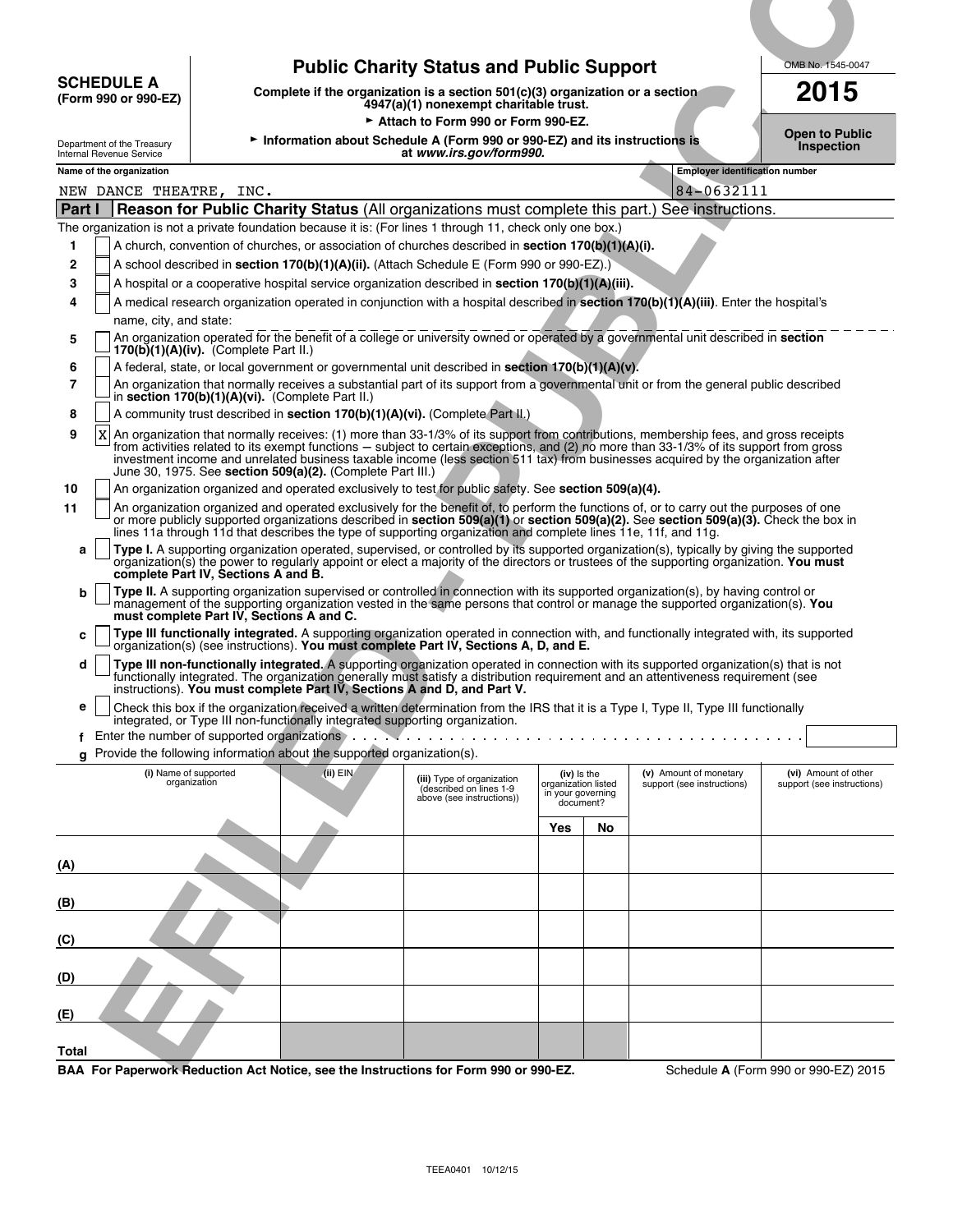| <b>SCHEDULE A</b><br>(Form 990 or 990-EZ)                                                                        |                                                                                                                             |                                                                                                                | <b>Public Charity Status and Public Support</b><br>Complete if the organization is a section $501(c)(3)$ organization or a section<br>4947(a)(1) nonexempt charitable trust.                                                                                                                                                                                                                                                                                                                                                                                                                                                                                                                                                                                                                                                                                                                                                                                                                                                                                                                                                                                                                                                                                                                                                                                                                                                                                                                                                                                                                                                                                                                                                                                                                                                                                                                                                                                                                                                                                                                                                                                                                                                                                                                                                                                                                                                                                                                                                                                                                                                                                                                                                                                                                                                                                                                                                                                                                                                                                        |                                                                      |    |                                                     | OMB No. 1545-0047<br>2015           |
|------------------------------------------------------------------------------------------------------------------|-----------------------------------------------------------------------------------------------------------------------------|----------------------------------------------------------------------------------------------------------------|---------------------------------------------------------------------------------------------------------------------------------------------------------------------------------------------------------------------------------------------------------------------------------------------------------------------------------------------------------------------------------------------------------------------------------------------------------------------------------------------------------------------------------------------------------------------------------------------------------------------------------------------------------------------------------------------------------------------------------------------------------------------------------------------------------------------------------------------------------------------------------------------------------------------------------------------------------------------------------------------------------------------------------------------------------------------------------------------------------------------------------------------------------------------------------------------------------------------------------------------------------------------------------------------------------------------------------------------------------------------------------------------------------------------------------------------------------------------------------------------------------------------------------------------------------------------------------------------------------------------------------------------------------------------------------------------------------------------------------------------------------------------------------------------------------------------------------------------------------------------------------------------------------------------------------------------------------------------------------------------------------------------------------------------------------------------------------------------------------------------------------------------------------------------------------------------------------------------------------------------------------------------------------------------------------------------------------------------------------------------------------------------------------------------------------------------------------------------------------------------------------------------------------------------------------------------------------------------------------------------------------------------------------------------------------------------------------------------------------------------------------------------------------------------------------------------------------------------------------------------------------------------------------------------------------------------------------------------------------------------------------------------------------------------------------------------|----------------------------------------------------------------------|----|-----------------------------------------------------|-------------------------------------|
| Department of the Treasury<br>Internal Revenue Service                                                           |                                                                                                                             |                                                                                                                | Attach to Form 990 or Form 990-EZ.<br>Information about Schedule A (Form 990 or 990-EZ) and its instructions is<br>at www.irs.gov/form990.                                                                                                                                                                                                                                                                                                                                                                                                                                                                                                                                                                                                                                                                                                                                                                                                                                                                                                                                                                                                                                                                                                                                                                                                                                                                                                                                                                                                                                                                                                                                                                                                                                                                                                                                                                                                                                                                                                                                                                                                                                                                                                                                                                                                                                                                                                                                                                                                                                                                                                                                                                                                                                                                                                                                                                                                                                                                                                                          |                                                                      |    |                                                     | Open to Public<br><b>Inspection</b> |
| Name of the organization<br>NEW DANCE THEATRE, INC.                                                              |                                                                                                                             |                                                                                                                |                                                                                                                                                                                                                                                                                                                                                                                                                                                                                                                                                                                                                                                                                                                                                                                                                                                                                                                                                                                                                                                                                                                                                                                                                                                                                                                                                                                                                                                                                                                                                                                                                                                                                                                                                                                                                                                                                                                                                                                                                                                                                                                                                                                                                                                                                                                                                                                                                                                                                                                                                                                                                                                                                                                                                                                                                                                                                                                                                                                                                                                                     |                                                                      |    | <b>Employer identification number</b><br>84-0632111 |                                     |
| <b>Part I</b>                                                                                                    |                                                                                                                             |                                                                                                                | Reason for Public Charity Status (All organizations must complete this part.)<br>The organization is not a private foundation because it is: (For lines 1 through 11, check only one box.)                                                                                                                                                                                                                                                                                                                                                                                                                                                                                                                                                                                                                                                                                                                                                                                                                                                                                                                                                                                                                                                                                                                                                                                                                                                                                                                                                                                                                                                                                                                                                                                                                                                                                                                                                                                                                                                                                                                                                                                                                                                                                                                                                                                                                                                                                                                                                                                                                                                                                                                                                                                                                                                                                                                                                                                                                                                                          |                                                                      |    | See instructions.                                   |                                     |
| 3<br>4<br>name, city, and state:<br>5<br>6<br>$\overline{7}$<br>8<br>9<br>X<br>10<br>11<br>a<br>b<br>c<br>d<br>е | $170(b)(1)(A)(iv)$ . (Complete Part II.)<br>complete Part IV, Sections A and B.<br>must complete Part IV, Sections A and C. | in section 170(b)(1)(A)(vi). (Complete Part II.)<br>June 30, 1975. See section 509(a)(2). (Complete Part III.) | A hospital or a cooperative hospital service organization described in section 170(b)(1)(A)(iii).<br>A medical research organization operated in conjunction with a hospital described in section 170(b)(1)(A)(iii). Enter the hospital's<br>An organization operated for the benefit of a college or university owned or operated by a governmental unit described in section<br>A federal, state, or local government or governmental unit described in section 170(b)(1)(A)(v).<br>An organization that normally receives a substantial part of its support from a governmental unit or from the general public described<br>the company's company's<br>A community trust described in section 170(b)(1)(A)(vi). (Complete Part II.)<br>An organization that normally receives: (1) more than 33-1/3% of its support from contributions, membership fees, and gross receipts<br>from activities related to its exempt functions – subject to certain exceptions, and (2) no more than 33-1/3% of its support from gross<br>investment income and unrelated business taxable income (less section 511 tax) from businesses acquired by the organization after<br>An organization organized and operated exclusively to test for public safety. See section 509(a)(4).<br>An organization organized and operated exclusively for the benefit of, to perform the functions of, or to carry out the purposes of one<br>or more publicly supported organizations described in section 509(a)(1) or section 509(a)(2). See section 509(a)(3). Check the box in<br>lines 11a through 11d that describes the type of supporting organization and complete lines 11e, 11f, and 11g.<br>Type I. A supporting organization operated, supervised, or controlled by its supported organization(s), typically by giving the supported<br>organization(s) the power to regularly appoint or elect a majority of the directors or trustees of the supporting organization. You must<br>Type II. A supporting organization supervised or controlled in connection with its supported organization(s), by having control or<br>management of the supporting organization vested in the same persons that control or manage the supported organization(s). You<br>Type III functionally integrated. A supporting organization operated in connection with, and functionally integrated with, its supported<br>organization(s) (see instructions). You must complete Part IV, Sections A, D, and E.<br>Type III non-functionally integrated. A supporting organization operated in connection with its supported organization(s) that is not<br>functionally integrated. The organization generally must satisfy a distribution requirement and an attentiveness requirement (see<br>instructions). You must complete Part IV, Sections A and D, and Part V.<br>Check this box if the organization received a written determination from the IRS that it is a Type I, Type II, Type III functionally<br>integrated, or Type III non-functionally integrated supporting organization. |                                                                      |    |                                                     |                                     |
| g Provide the following information about the supported organization(s).<br>(i) Name of supported                |                                                                                                                             | $(ii)$ EIN                                                                                                     |                                                                                                                                                                                                                                                                                                                                                                                                                                                                                                                                                                                                                                                                                                                                                                                                                                                                                                                                                                                                                                                                                                                                                                                                                                                                                                                                                                                                                                                                                                                                                                                                                                                                                                                                                                                                                                                                                                                                                                                                                                                                                                                                                                                                                                                                                                                                                                                                                                                                                                                                                                                                                                                                                                                                                                                                                                                                                                                                                                                                                                                                     |                                                                      |    | (v) Amount of monetary                              | (vi) Amount of other                |
| organization                                                                                                     |                                                                                                                             |                                                                                                                | (iii) Type of organization<br>(described on lines 1-9<br>above (see instructions))                                                                                                                                                                                                                                                                                                                                                                                                                                                                                                                                                                                                                                                                                                                                                                                                                                                                                                                                                                                                                                                                                                                                                                                                                                                                                                                                                                                                                                                                                                                                                                                                                                                                                                                                                                                                                                                                                                                                                                                                                                                                                                                                                                                                                                                                                                                                                                                                                                                                                                                                                                                                                                                                                                                                                                                                                                                                                                                                                                                  | (iv) is the<br>organization listed<br>in your governing<br>document? |    | support (see instructions)                          | support (see instructions)          |
|                                                                                                                  |                                                                                                                             |                                                                                                                |                                                                                                                                                                                                                                                                                                                                                                                                                                                                                                                                                                                                                                                                                                                                                                                                                                                                                                                                                                                                                                                                                                                                                                                                                                                                                                                                                                                                                                                                                                                                                                                                                                                                                                                                                                                                                                                                                                                                                                                                                                                                                                                                                                                                                                                                                                                                                                                                                                                                                                                                                                                                                                                                                                                                                                                                                                                                                                                                                                                                                                                                     | Yes                                                                  | No |                                                     |                                     |
| (A)                                                                                                              |                                                                                                                             |                                                                                                                |                                                                                                                                                                                                                                                                                                                                                                                                                                                                                                                                                                                                                                                                                                                                                                                                                                                                                                                                                                                                                                                                                                                                                                                                                                                                                                                                                                                                                                                                                                                                                                                                                                                                                                                                                                                                                                                                                                                                                                                                                                                                                                                                                                                                                                                                                                                                                                                                                                                                                                                                                                                                                                                                                                                                                                                                                                                                                                                                                                                                                                                                     |                                                                      |    |                                                     |                                     |
| (B)                                                                                                              |                                                                                                                             |                                                                                                                |                                                                                                                                                                                                                                                                                                                                                                                                                                                                                                                                                                                                                                                                                                                                                                                                                                                                                                                                                                                                                                                                                                                                                                                                                                                                                                                                                                                                                                                                                                                                                                                                                                                                                                                                                                                                                                                                                                                                                                                                                                                                                                                                                                                                                                                                                                                                                                                                                                                                                                                                                                                                                                                                                                                                                                                                                                                                                                                                                                                                                                                                     |                                                                      |    |                                                     |                                     |
| (C)                                                                                                              |                                                                                                                             |                                                                                                                |                                                                                                                                                                                                                                                                                                                                                                                                                                                                                                                                                                                                                                                                                                                                                                                                                                                                                                                                                                                                                                                                                                                                                                                                                                                                                                                                                                                                                                                                                                                                                                                                                                                                                                                                                                                                                                                                                                                                                                                                                                                                                                                                                                                                                                                                                                                                                                                                                                                                                                                                                                                                                                                                                                                                                                                                                                                                                                                                                                                                                                                                     |                                                                      |    |                                                     |                                     |
| (D)                                                                                                              |                                                                                                                             |                                                                                                                |                                                                                                                                                                                                                                                                                                                                                                                                                                                                                                                                                                                                                                                                                                                                                                                                                                                                                                                                                                                                                                                                                                                                                                                                                                                                                                                                                                                                                                                                                                                                                                                                                                                                                                                                                                                                                                                                                                                                                                                                                                                                                                                                                                                                                                                                                                                                                                                                                                                                                                                                                                                                                                                                                                                                                                                                                                                                                                                                                                                                                                                                     |                                                                      |    |                                                     |                                     |
| (E)                                                                                                              |                                                                                                                             |                                                                                                                |                                                                                                                                                                                                                                                                                                                                                                                                                                                                                                                                                                                                                                                                                                                                                                                                                                                                                                                                                                                                                                                                                                                                                                                                                                                                                                                                                                                                                                                                                                                                                                                                                                                                                                                                                                                                                                                                                                                                                                                                                                                                                                                                                                                                                                                                                                                                                                                                                                                                                                                                                                                                                                                                                                                                                                                                                                                                                                                                                                                                                                                                     |                                                                      |    |                                                     |                                     |
| Total                                                                                                            |                                                                                                                             |                                                                                                                |                                                                                                                                                                                                                                                                                                                                                                                                                                                                                                                                                                                                                                                                                                                                                                                                                                                                                                                                                                                                                                                                                                                                                                                                                                                                                                                                                                                                                                                                                                                                                                                                                                                                                                                                                                                                                                                                                                                                                                                                                                                                                                                                                                                                                                                                                                                                                                                                                                                                                                                                                                                                                                                                                                                                                                                                                                                                                                                                                                                                                                                                     |                                                                      |    |                                                     |                                     |
|                                                                                                                  |                                                                                                                             |                                                                                                                |                                                                                                                                                                                                                                                                                                                                                                                                                                                                                                                                                                                                                                                                                                                                                                                                                                                                                                                                                                                                                                                                                                                                                                                                                                                                                                                                                                                                                                                                                                                                                                                                                                                                                                                                                                                                                                                                                                                                                                                                                                                                                                                                                                                                                                                                                                                                                                                                                                                                                                                                                                                                                                                                                                                                                                                                                                                                                                                                                                                                                                                                     |                                                                      |    |                                                     |                                     |

**BAA For Paperwork Reduction Act Notice, see the Instructions for Form 990 or 990-EZ.** Schedule **A** (Form 990 or 990-EZ) 2015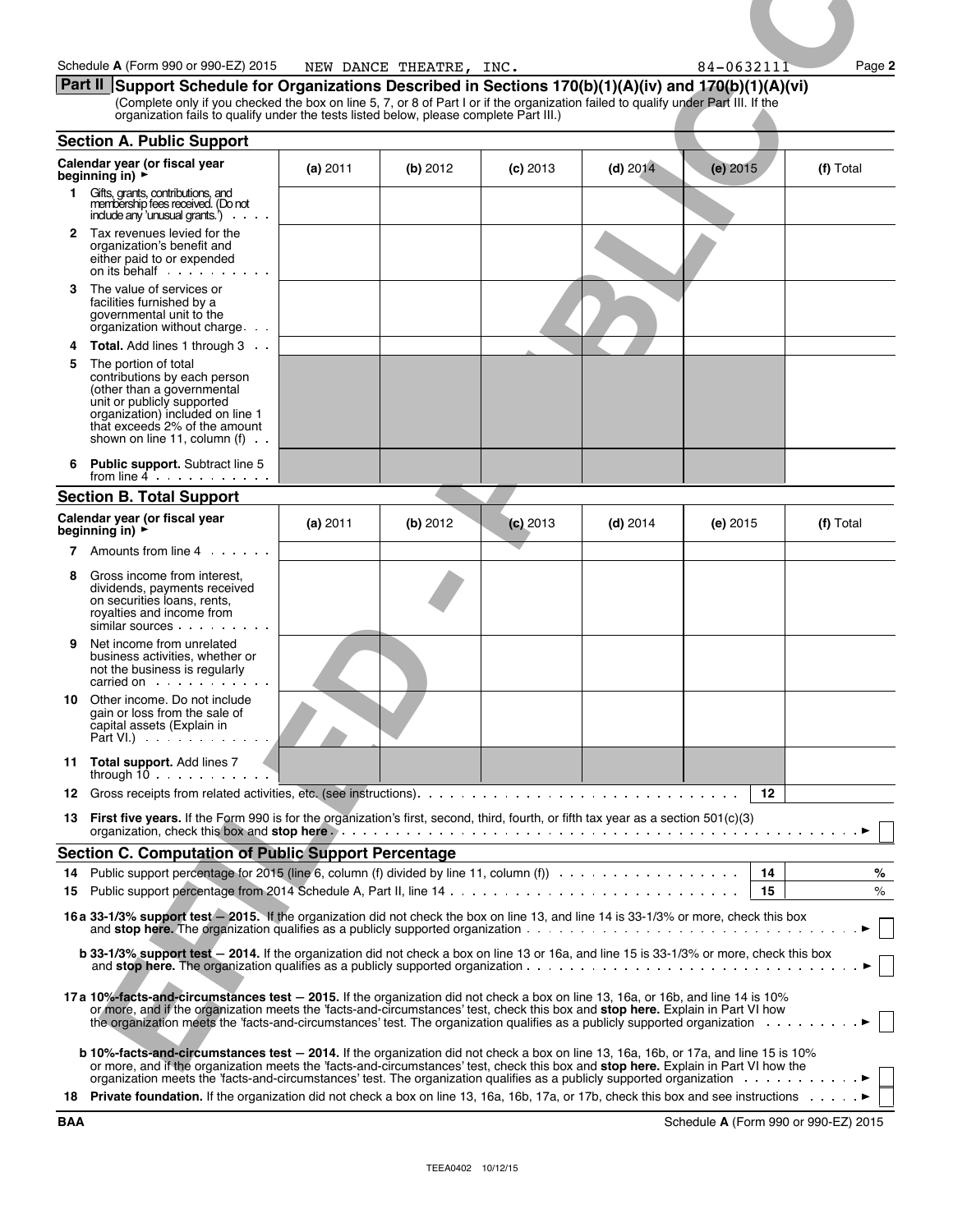|         | Schedule A (Form 990 or 990-EZ) 2015<br>Part II Support Schedule for Organizations Described in Sections 170(b)(1)(A)(iv) and 170(b)(1)(A)(vi)                                                                                                                                                                                                                                                                                             |          | NEW DANCE THEATRE, INC. |            |            | 84-0632111 | Page 2    |
|---------|--------------------------------------------------------------------------------------------------------------------------------------------------------------------------------------------------------------------------------------------------------------------------------------------------------------------------------------------------------------------------------------------------------------------------------------------|----------|-------------------------|------------|------------|------------|-----------|
|         | (Complete only if you checked the box on line 5, 7, or 8 of Part I or if the organization failed to qualify under Part III. If the<br>organization fails to qualify under the tests listed below, please complete Part III.)                                                                                                                                                                                                               |          |                         |            |            |            |           |
|         | <b>Section A. Public Support</b>                                                                                                                                                                                                                                                                                                                                                                                                           |          |                         |            |            |            |           |
|         | Calendar year (or fiscal year<br>beginning in) $\blacktriangleright$                                                                                                                                                                                                                                                                                                                                                                       | (a) 2011 | (b) $2012$              | $(c)$ 2013 | $(d)$ 2014 | $(e)$ 2015 | (f) Total |
| 1.      | Gifts, grants, contributions, and<br>membership fees received. (Do not<br>include any 'unusual grants')                                                                                                                                                                                                                                                                                                                                    |          |                         |            |            |            |           |
|         | 2 Tax revenues levied for the<br>organization's benefit and<br>either paid to or expended                                                                                                                                                                                                                                                                                                                                                  |          |                         |            |            |            |           |
| 3.      | The value of services or<br>facilities furnished by a<br>governmental unit to the<br>organization without charge                                                                                                                                                                                                                                                                                                                           |          |                         |            |            |            |           |
| 4<br>5. | <b>Total.</b> Add lines 1 through 3<br>The portion of total<br>contributions by each person<br>(other than a governmental<br>unit or publicly supported<br>organization) included on line 1<br>that exceeds 2% of the amount<br>shown on line 11, column $(f)$ .                                                                                                                                                                           |          |                         |            |            |            |           |
| 6       | <b>Public support.</b> Subtract line 5<br>from line $4 \cdot \cdot \cdot \cdot \cdot \cdot$                                                                                                                                                                                                                                                                                                                                                |          |                         |            |            |            |           |
|         | <b>Section B. Total Support</b>                                                                                                                                                                                                                                                                                                                                                                                                            |          |                         |            |            |            |           |
|         | Calendar year (or fiscal year<br>beginning in) $\rightarrow$<br>7 Amounts from line 4                                                                                                                                                                                                                                                                                                                                                      | (a) 2011 | (b) 2012                | $(c)$ 2013 | $(d)$ 2014 | $(e)$ 2015 | (f) Total |
| 8       | Gross income from interest.<br>dividends, payments received<br>on securities loans, rents,<br>royalties and income from<br>similar sources                                                                                                                                                                                                                                                                                                 |          |                         |            |            |            |           |
| 9.      | Net income from unrelated<br>business activities, whether or<br>not the business is regularly<br>carried on electronic state of the carried on the contract of the contract of the contract of the contract of the contract of the contract of the contract of the contract of the contract of the contract of the contract of                                                                                                             |          |                         |            |            |            |           |
|         | 10 Other income. Do not include<br>gain or loss from the sale of<br>capital assets (Explain in                                                                                                                                                                                                                                                                                                                                             |          |                         |            |            |            |           |
|         | 11 Total support. Add lines 7                                                                                                                                                                                                                                                                                                                                                                                                              |          |                         |            |            |            |           |
|         |                                                                                                                                                                                                                                                                                                                                                                                                                                            |          |                         |            |            | 12         |           |
|         | 13 First five years. If the Form 990 is for the organization's first, second, third, fourth, or fifth tax year as a section 501(c)(3)                                                                                                                                                                                                                                                                                                      |          |                         |            |            |            |           |
|         | Section C. Computation of Public Support Percentage                                                                                                                                                                                                                                                                                                                                                                                        |          |                         |            |            |            |           |
|         |                                                                                                                                                                                                                                                                                                                                                                                                                                            |          |                         |            |            |            | %         |
|         | 16 a 33-1/3% support test - 2015. If the organization did not check the box on line 13, and line 14 is 33-1/3% or more, check this box                                                                                                                                                                                                                                                                                                     |          |                         |            |            |            | $\%$      |
|         | and stop here. The organization qualifies as a publicly supported organization $\ldots$ , $\ldots$ , $\ldots$ , $\ldots$ , $\ldots$ , $\ldots$ , $\ldots$ , $\ldots$ , $\ldots$ , $\ldots$ , $\ldots$<br><b>b 33-1/3% support test</b> - 2014. If the organization did not check a box on line 13 or 16a, and line 15 is 33-1/3% or more, check this box<br>and stop here. The organization qualifies as a publicly supported organization |          |                         |            |            |            |           |
|         | 17a 10%-facts-and-circumstances test - 2015. If the organization did not check a box on line 13, 16a, or 16b, and line 14 is 10%<br>or more, and if the organization meets the 'facts-and-circumstances' test, check this box and stop here. Explain in Part VI how<br>the organization meets the 'facts-and-circumstances' test. The organization qualifies as a publicly supported organization $\ldots \ldots \ldots$                   |          |                         |            |            |            |           |
|         | b 10%-facts-and-circumstances test - 2014. If the organization did not check a box on line 13, 16a, 16b, or 17a, and line 15 is 10%<br>or more, and if the organization meets the 'facts-and-circumstances' test, check this box and stop here. Explain in Part VI how the<br>organization meets the 'facts-and-circumstances' test. The organization qualifies as a publicly supported organization                                       |          |                         |            |            |            |           |
|         | 18 Private foundation. If the organization did not check a box on line 13, 16a, 16b, 17a, or 17b, check this box and see instructions >                                                                                                                                                                                                                                                                                                    |          |                         |            |            |            |           |

**BAA** Schedule **A** (Form 990 or 990-EZ) 2015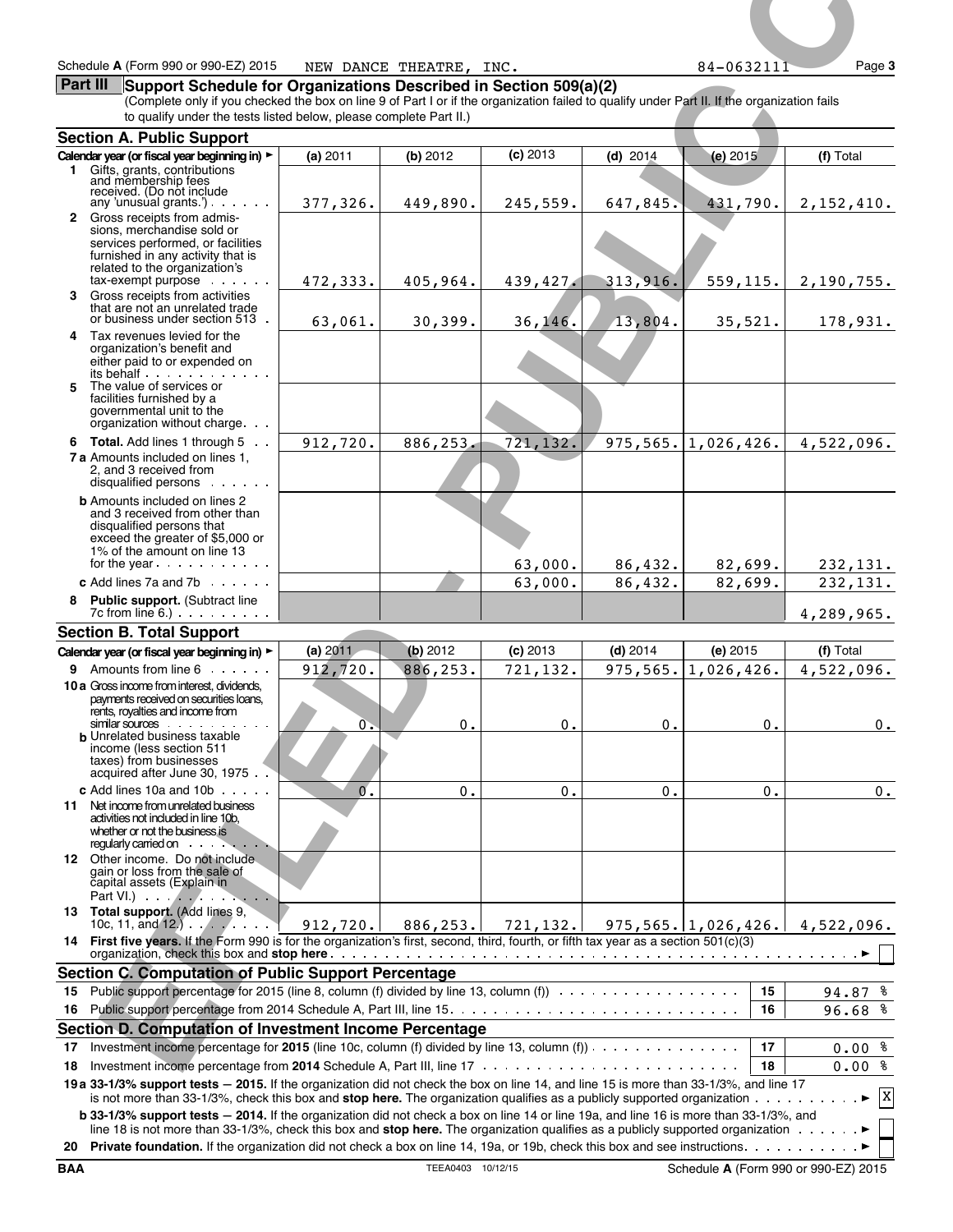#### **Part III** Support Schedule for Organizations Described in Section 509(a)(2)

| Schedule A (Form 990 or 990-EZ) 2015                                                                                                                                                                                                                                                               |                      | NEW DANCE THEATRE, INC. |                        |                        | $84 - 0632111$           | Page 3                                          |
|----------------------------------------------------------------------------------------------------------------------------------------------------------------------------------------------------------------------------------------------------------------------------------------------------|----------------------|-------------------------|------------------------|------------------------|--------------------------|-------------------------------------------------|
| Part III<br>Support Schedule for Organizations Described in Section 509(a)(2)<br>(Complete only if you checked the box on line 9 of Part I or if the organization failed to qualify under Part II. If the organization fails<br>to qualify under the tests listed below, please complete Part II.) |                      |                         |                        |                        |                          |                                                 |
| <b>Section A. Public Support</b>                                                                                                                                                                                                                                                                   |                      |                         |                        |                        |                          |                                                 |
| Calendar year (or fiscal year beginning in) ><br>Gifts, grants, contributions<br>1.<br>and membership fees<br>received. (Do not include                                                                                                                                                            | (a) 2011             | (b) $2012$              | $(c)$ 2013             | (d) $2014$             | (e) $2015$               | (f) Total                                       |
| any 'unusual grants'). $\cdots$<br>2 Gross receipts from admis-<br>sions, merchandise sold or<br>services performed, or facilities<br>furnished in any activity that is                                                                                                                            | 377,326.             | 449,890.                | 245,559.               | 647,845.               | 431,790.                 | 2,152,410.                                      |
| related to the organization's<br>$tax$ -exempt purpose $\cdots$<br>3 Gross receipts from activities                                                                                                                                                                                                | 472,333.             | 405,964.                | 439, 427.              | 313,916.               | 559,115.                 | 2,190,755.                                      |
| that are not an unrelated trade<br>or business under section 513.                                                                                                                                                                                                                                  | 63,061.              | 30,399.                 | 36, 146.               | 13,804.                | 35,521.                  | 178,931.                                        |
| 4 Tax revenues levied for the<br>organization's benefit and<br>either paid to or expended on<br>its behalf                                                                                                                                                                                         |                      |                         |                        |                        |                          |                                                 |
| The value of services or<br>facilities furnished by a<br>governmental unit to the<br>organization without charge                                                                                                                                                                                   |                      |                         |                        |                        |                          |                                                 |
| 6 Total. Add lines 1 through 5                                                                                                                                                                                                                                                                     | 912,720.             | 886,253.                | 721,132.               |                        | $975, 565.$   1,026,426. | 4,522,096.                                      |
| <b>7 a</b> Amounts included on lines 1.<br>2, and 3 received from<br>disqualified persons                                                                                                                                                                                                          |                      |                         |                        |                        |                          |                                                 |
| <b>b</b> Amounts included on lines 2<br>and 3 received from other than<br>disqualified persons that<br>exceed the greater of \$5,000 or                                                                                                                                                            |                      |                         |                        |                        |                          |                                                 |
| 1% of the amount on line 13<br>for the year $\ldots$ $\ldots$ $\ldots$                                                                                                                                                                                                                             |                      |                         | 63,000.                | 86,432.                | 82,699.                  | 232, 131.                                       |
| c Add lines 7a and 7b $\ldots$ .                                                                                                                                                                                                                                                                   |                      |                         | 63,000.                | 86,432.                | 82,699.                  | 232,131.                                        |
| <b>Public support. (Subtract line</b><br>8<br>$7c$ from line 6.) $\ldots$ $\ldots$                                                                                                                                                                                                                 |                      |                         |                        |                        |                          | 4,289,965.                                      |
| <b>Section B. Total Support</b>                                                                                                                                                                                                                                                                    |                      |                         |                        |                        |                          |                                                 |
| Calendar year (or fiscal year beginning in) ><br>9 Amounts from line 6                                                                                                                                                                                                                             | (a) 2011<br>912,720. | (b) 2012<br>886,253.    | $(c)$ 2013<br>721,132. | $(d)$ 2014<br>975,565. | $(e)$ 2015<br>1,026,426. | (f) Total<br>4,522,096.                         |
| 10 a Gross income from interest, dividends,<br>payments received on securities loans,<br>rents, royalties and income from                                                                                                                                                                          |                      |                         |                        |                        |                          |                                                 |
| similar sources<br><b>b</b> Unrelated business taxable<br>income (less section 511<br>taxes) from businesses                                                                                                                                                                                       | $\mathbf{0}$ .       | $\mathbf 0$ .           | 0.                     | 0.                     | $0$ .                    | $0$ .                                           |
| acquired after June 30, 1975<br><b>c</b> Add lines 10a and 10b $\cdots$                                                                                                                                                                                                                            | $0^{\prime}$ .       | 0.                      | 0.                     | 0.                     | 0.                       | $0$ .                                           |
| 11 Net income from unrelated business<br>activities not included in line 10b.<br>whether or not the business is<br>regularly carried on example.                                                                                                                                                   |                      |                         |                        |                        |                          |                                                 |
| 12 Other income. Do not include.<br>gain or loss from the sale of<br>capital assets (Explain in<br>$Part VI.$ $\ldots$ $\ldots$ $\ldots$ $\ldots$                                                                                                                                                  |                      |                         |                        |                        |                          |                                                 |
| 13 Total support. (Add lines 9,<br>10c, 11, and $(12)$                                                                                                                                                                                                                                             | 912, 720.            | 886, 253.               |                        |                        |                          | $721, 132.$ 975, 565. 1, 026, 426. 4, 522, 096. |
| 14 First five years. If the Form 990 is for the organization's first, second, third, fourth, or fifth tax year as a section 501(c)(3)<br><b>Section C. Computation of Public Support Percentage</b>                                                                                                |                      |                         |                        |                        |                          |                                                 |
|                                                                                                                                                                                                                                                                                                    |                      |                         |                        |                        | 15                       | 94.87 %                                         |
|                                                                                                                                                                                                                                                                                                    |                      |                         |                        |                        | 16                       | 96.68%                                          |
| Section D. Computation of Investment Income Percentage                                                                                                                                                                                                                                             |                      |                         |                        |                        |                          |                                                 |
| Investment income percentage for 2015 (line 10c, column (f) divided by line 13, column (f)) $\cdots$<br>17<br>18                                                                                                                                                                                   |                      |                         |                        |                        | 17<br>18                 | $0.00$ %<br>$0.00$ %                            |
| 19 a 33-1/3% support tests - 2015. If the organization did not check the box on line 14, and line 15 is more than 33-1/3%, and line 17                                                                                                                                                             |                      |                         |                        |                        |                          |                                                 |
| is not more than 33-1/3%, check this box and stop here. The organization qualifies as a publicly supported organization $\dots \dots \dots \dots$                                                                                                                                                  |                      |                         |                        |                        |                          |                                                 |
| <b>b</b> 33-1/3% support tests - 2014. If the organization did not check a box on line 14 or line 19a, and line 16 is more than 33-1/3%, and<br>line 18 is not more than 33-1/3%, check this box and stop here. The organization qualifies as a publicly supported organization ▶                  |                      |                         |                        |                        |                          |                                                 |
|                                                                                                                                                                                                                                                                                                    |                      |                         |                        |                        |                          |                                                 |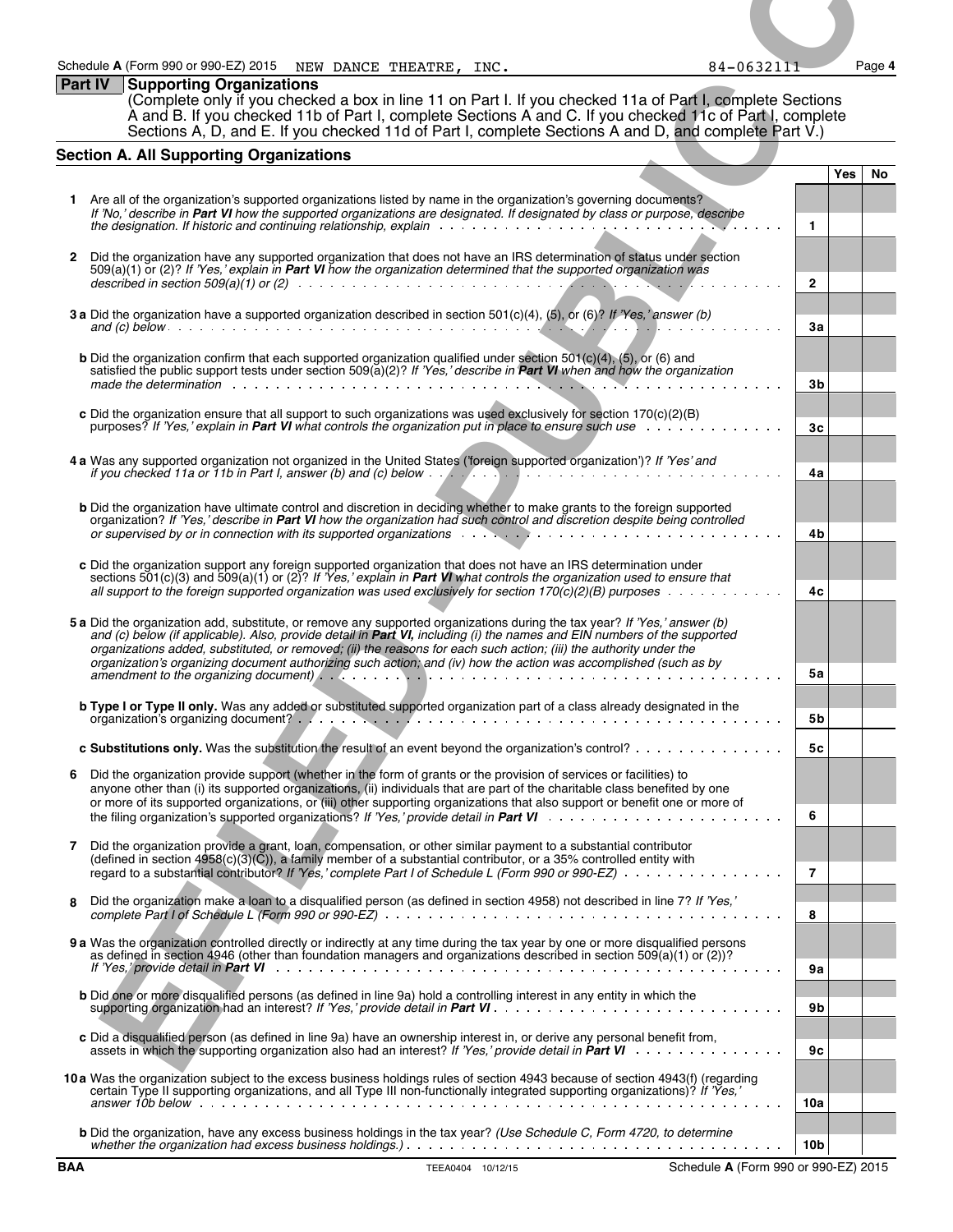### **Part IV Supporting Organizations**

### **Section A. All Supporting Organizations**

|                | Schedule A (Form 990 or 990-EZ) 2015 NEW DANCE THEATRE, INC.                                                                                                                                                                                                                                                                                                                                                                                                                                    |                   | 84-0632111                                                                                                                                                                                                                     |                |            | Page 4 |
|----------------|-------------------------------------------------------------------------------------------------------------------------------------------------------------------------------------------------------------------------------------------------------------------------------------------------------------------------------------------------------------------------------------------------------------------------------------------------------------------------------------------------|-------------------|--------------------------------------------------------------------------------------------------------------------------------------------------------------------------------------------------------------------------------|----------------|------------|--------|
| <b>Part IV</b> | <b>Supporting Organizations</b><br>(Complete only if you checked a box in line 11 on Part I. If you checked 11a of Part I, complete Sections<br>A and B. If you checked 11b of Part I, complete Sections A and C. If you checked 11c of Part I, complete<br>Sections A, D, and E. If you checked 11d of Part I, complete Sections A and D, and complete Part V.)                                                                                                                                |                   |                                                                                                                                                                                                                                |                |            |        |
|                | <b>Section A. All Supporting Organizations</b>                                                                                                                                                                                                                                                                                                                                                                                                                                                  |                   |                                                                                                                                                                                                                                |                | <b>Yes</b> |        |
|                | 1 Are all of the organization's supported organizations listed by name in the organization's governing documents?                                                                                                                                                                                                                                                                                                                                                                               |                   |                                                                                                                                                                                                                                |                |            | No     |
|                | If 'No,' describe in Part VI how the supported organizations are designated. If designated by class or purpose, describe                                                                                                                                                                                                                                                                                                                                                                        |                   |                                                                                                                                                                                                                                | $\mathbf{1}$   |            |        |
|                | 2 Did the organization have any supported organization that does not have an IRS determination of status under section<br>$509(a)(1)$ or (2)? If 'Yes,' explain in <b>Part VI</b> how the organization determined that the supported organization was                                                                                                                                                                                                                                           |                   |                                                                                                                                                                                                                                | $\overline{2}$ |            |        |
|                | 3 a Did the organization have a supported organization described in section 501(c)(4), (5), or (6)? If 'Yes,' answer (b)                                                                                                                                                                                                                                                                                                                                                                        |                   |                                                                                                                                                                                                                                | Зa             |            |        |
|                | <b>b</b> Did the organization confirm that each supported organization qualified under section $501(c)(4)$ , $(5)$ , or $(6)$ and<br>satisfied the public support tests under section 509(a)(2)? If 'Yes,' describe in Part VI when and how the organization                                                                                                                                                                                                                                    |                   |                                                                                                                                                                                                                                |                |            |        |
|                | c Did the organization ensure that all support to such organizations was used exclusively for section 170(c)(2)(B)                                                                                                                                                                                                                                                                                                                                                                              |                   |                                                                                                                                                                                                                                | 3b             |            |        |
|                | purposes? If 'Yes,' explain in <b>Part VI</b> what controls the organization put in place to ensure such use $\ldots$ ,                                                                                                                                                                                                                                                                                                                                                                         |                   |                                                                                                                                                                                                                                | 3 <sub>c</sub> |            |        |
|                | 4 a Was any supported organization not organized in the United States ('foreign supported organization')? If 'Yes' and<br>if you checked 11a or 11b in Part I, answer (b) and (c) below $\cdots$ , $\cdots$ , $\cdots$ , $\cdots$ , $\cdots$ , $\cdots$ , $\cdots$ , $\cdots$ , $\cdots$ , $\cdots$                                                                                                                                                                                             |                   |                                                                                                                                                                                                                                | 4a             |            |        |
|                | <b>b</b> Did the organization have ultimate control and discretion in deciding whether to make grants to the foreign supported<br>organization? If 'Yes,' describe in Part VI how the organization had such control and discretion despite being controlled<br>or supervised by or in connection with its supported organizations $\cdots$ , $\cdots$ , $\cdots$ , $\cdots$ , $\cdots$ , $\cdots$ , $\cdots$ , $\cdots$ , $\cdots$                                                              |                   |                                                                                                                                                                                                                                | 4b             |            |        |
|                | c Did the organization support any foreign supported organization that does not have an IRS determination under<br>sections $501(c)(3)$ and $509(a)(1)$ or $(2)$ ? If 'Yes,' explain in <b>Part VI</b> what controls the organization used to ensure that                                                                                                                                                                                                                                       |                   |                                                                                                                                                                                                                                |                |            |        |
|                | all support to the foreign supported organization was used exclusively for section 170 $(c)(2)(B)$ purposes $\ldots \ldots \ldots$                                                                                                                                                                                                                                                                                                                                                              |                   |                                                                                                                                                                                                                                | 4c             |            |        |
|                | 5 a Did the organization add, substitute, or remove any supported organizations during the tax year? If 'Yes,' answer (b)<br>and (c) below (if applicable). Also, provide detail in Part VI, including (i) the names and EIN numbers of the supported<br>organizations added, substituted, or removed; (ii) the reasons for each such action; (iii) the authority under the<br>organization's organizing document authorizing such action; and (iv) how the action was accomplished (such as by |                   |                                                                                                                                                                                                                                |                |            |        |
|                | <b>b Type I or Type II only.</b> Was any added or substituted supported organization part of a class already designated in the                                                                                                                                                                                                                                                                                                                                                                  |                   |                                                                                                                                                                                                                                | 5а             |            |        |
|                |                                                                                                                                                                                                                                                                                                                                                                                                                                                                                                 |                   |                                                                                                                                                                                                                                | 5b             |            |        |
|                | c Substitutions only. Was the substitution the result of an event beyond the organization's control?<br>6 Did the organization provide support (whether in the form of grants or the provision of services or facilities) to                                                                                                                                                                                                                                                                    |                   |                                                                                                                                                                                                                                | 5с             |            |        |
|                | anyone other than (i) its supported organizations, (ii) individuals that are part of the charitable class benefited by one<br>or more of its supported organizations, or (iii) other supporting organizations that also support or benefit one or more of                                                                                                                                                                                                                                       |                   |                                                                                                                                                                                                                                | 6              |            |        |
| 7              | Did the organization provide a grant, loan, compensation, or other similar payment to a substantial contributor<br>(defined in section $4958(c)(3)(\tilde{C})$ ), a family member of a substantial contributor, or a 35% controlled entity with<br>regard to a substantial contributor? If 'Yes,' complete Part I of Schedule L (Form 990 or 990-EZ)                                                                                                                                            |                   |                                                                                                                                                                                                                                | $\overline{7}$ |            |        |
| 8              | Did the organization make a loan to a disqualified person (as defined in section 4958) not described in line 7? If 'Yes,'                                                                                                                                                                                                                                                                                                                                                                       |                   |                                                                                                                                                                                                                                | 8              |            |        |
|                | 9 a Was the organization controlled directly or indirectly at any time during the tax year by one or more disqualified persons<br>as defined in section 4946 (other than foundation managers and organizations described in section 509(a)(1) or (2))?                                                                                                                                                                                                                                          |                   |                                                                                                                                                                                                                                |                |            |        |
|                | b Did one or more disqualified persons (as defined in line 9a) hold a controlling interest in any entity in which the                                                                                                                                                                                                                                                                                                                                                                           |                   |                                                                                                                                                                                                                                | 9a<br>9b       |            |        |
|                | c Did a disqualified person (as defined in line 9a) have an ownership interest in, or derive any personal benefit from,                                                                                                                                                                                                                                                                                                                                                                         |                   |                                                                                                                                                                                                                                | 9с             |            |        |
|                | 10a Was the organization subject to the excess business holdings rules of section 4943 because of section 4943(f) (regarding<br>certain Type II supporting organizations, and all Type III non-functionally integrated supporting organizations)? If 'Yes,'                                                                                                                                                                                                                                     |                   |                                                                                                                                                                                                                                |                |            |        |
|                | answer 10b below entertainment and the series of the series of the series of the series of the series of the s<br><b>b</b> Did the organization, have any excess business holdings in the tax year? (Use Schedule C, Form 4720, to determine                                                                                                                                                                                                                                                    |                   | the contract of the contract of the contract of the contract of the contract of the contract of the contract of the contract of the contract of the contract of the contract of the contract of the contract of the contract o | 10a            |            |        |
| <b>BAA</b>     |                                                                                                                                                                                                                                                                                                                                                                                                                                                                                                 | TEEA0404 10/12/15 | Schedule A (Form 990 or 990-EZ) 2015                                                                                                                                                                                           | 10b            |            |        |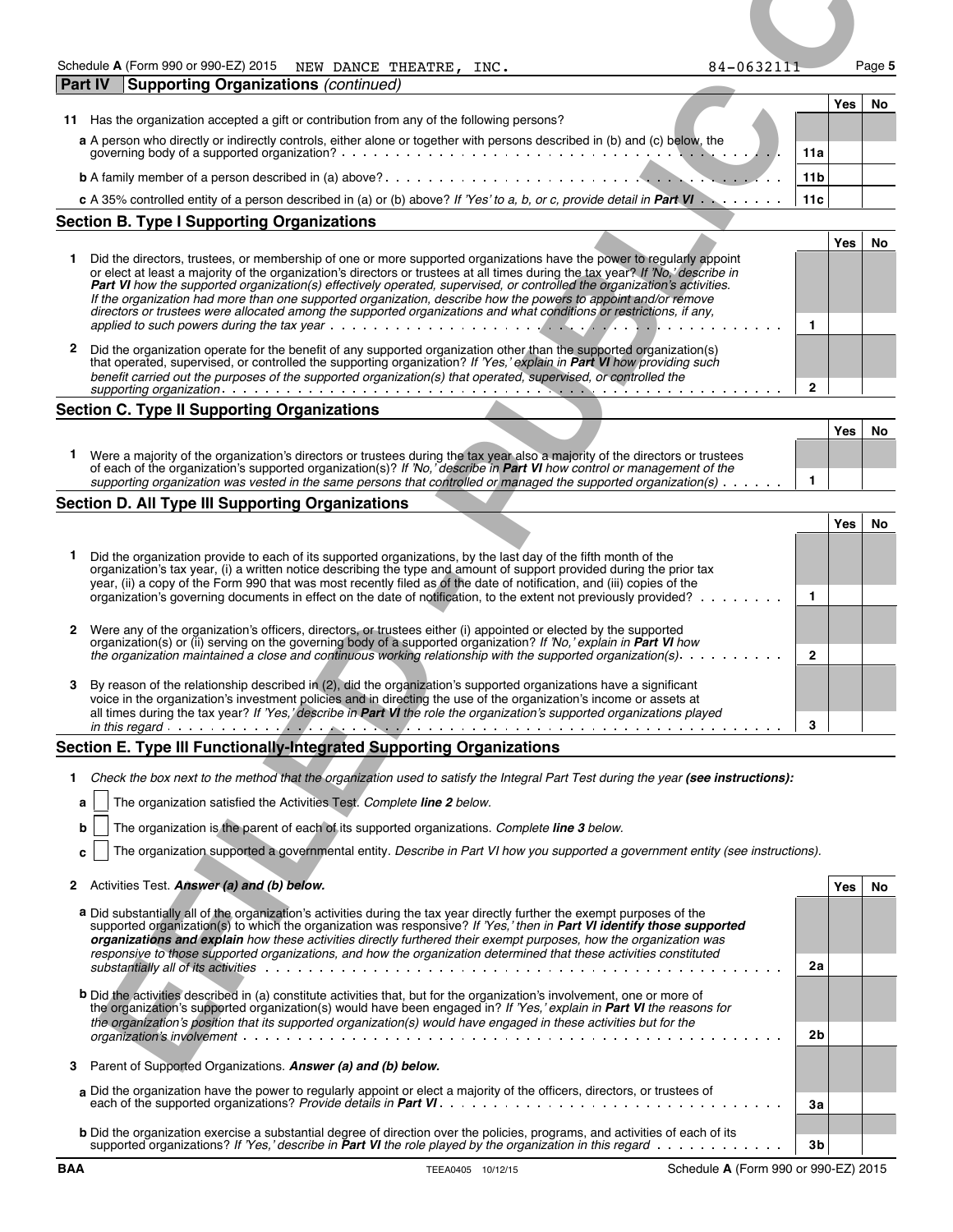| Schedule A (Form 990 or 990-EZ) 2015 | NEW DANCE<br>THEATRE,<br>INC. | Paqe 5<br>84-0632111 |
|--------------------------------------|-------------------------------|----------------------|
|--------------------------------------|-------------------------------|----------------------|

| <b>Part IV</b><br><b>Supporting Organizations (continued)</b>                                                                   |                 |     |    |
|---------------------------------------------------------------------------------------------------------------------------------|-----------------|-----|----|
|                                                                                                                                 |                 | Yes | No |
| Has the organization accepted a gift or contribution from any of the following persons?<br>11                                   |                 |     |    |
| a A person who directly or indirectly controls, either alone or together with persons described in (b) and (c) below, the       |                 |     |    |
| governing body of a supported organization?                                                                                     | 11a             |     |    |
|                                                                                                                                 | 11 <sub>b</sub> |     |    |
|                                                                                                                                 |                 |     |    |
| c A 35% controlled entity of a person described in (a) or (b) above? If 'Yes' to a, b, or c, provide detail in <b>Part VI</b> . | 11c             |     |    |
|                                                                                                                                 |                 |     |    |

### **Section B. Type I Supporting Organizations**

|                                                                                                                                                                                                                                                                                                                                                                                                                                                                                                                                                                                                                               |  | 'e. |  |
|-------------------------------------------------------------------------------------------------------------------------------------------------------------------------------------------------------------------------------------------------------------------------------------------------------------------------------------------------------------------------------------------------------------------------------------------------------------------------------------------------------------------------------------------------------------------------------------------------------------------------------|--|-----|--|
| Did the directors, trustees, or membership of one or more supported organizations have the power to regularly appoint<br>or elect at least a majority of the organization's directors or trustees at all times during the tax year? If 'No,' describe in<br>Part VI how the supported organization(s) effectively operated, supervised, or controlled the organization's activities.<br>If the organization had more than one supported organization, describe how the powers to appoint and/or remove<br>directors or trustees were allocated among the supported organizations and what conditions or restrictions, if any, |  |     |  |
|                                                                                                                                                                                                                                                                                                                                                                                                                                                                                                                                                                                                                               |  |     |  |
| 2 Did the organization operate for the benefit of any supported organization other than the supported organization(s)<br>that operated, supervised, or controlled the supporting organization? If 'Yes,' explain in Part VI how providing such<br>benefit carried out the purposes of the supported organization(s) that operated, supervised, or controlled the                                                                                                                                                                                                                                                              |  |     |  |
| supporting organization                                                                                                                                                                                                                                                                                                                                                                                                                                                                                                                                                                                                       |  |     |  |

### **Section C. Type II Supporting Organizations**

|                                                                                                                                                                                                                                                               | Yes | No |
|---------------------------------------------------------------------------------------------------------------------------------------------------------------------------------------------------------------------------------------------------------------|-----|----|
| Were a majority of the organization's directors or trustees during the tax year also a majority of the directors or trustees<br>of each of the organization's supported organization(s)? If 'No,' describe in <b>Part VI</b> how control or management of the |     |    |
| supporting organization was vested in the same persons that controlled or managed the supported organization(s) $\ldots \ldots$                                                                                                                               |     |    |
|                                                                                                                                                                                                                                                               |     |    |

### **Section D. All Type III Supporting Organizations**

|              | Schedule $A$ (Form 990 or 990-EZ) 2015 NEW DANCE THEATRE, INC.<br>84-0632111<br><b>Supporting Organizations (continued)</b><br>Part IV                                                                                                                                                                                                                                                                                                                                                                                                                                                                                        |                |            | Page 5 |
|--------------|-------------------------------------------------------------------------------------------------------------------------------------------------------------------------------------------------------------------------------------------------------------------------------------------------------------------------------------------------------------------------------------------------------------------------------------------------------------------------------------------------------------------------------------------------------------------------------------------------------------------------------|----------------|------------|--------|
|              | 11 Has the organization accepted a gift or contribution from any of the following persons?<br>a A person who directly or indirectly controls, either alone or together with persons described in (b) and (c) below, the                                                                                                                                                                                                                                                                                                                                                                                                       | 11a            | Yes        | No     |
|              | c A 35% controlled entity of a person described in (a) or (b) above? If 'Yes' to a, b, or c, provide detail in Part VI                                                                                                                                                                                                                                                                                                                                                                                                                                                                                                        | 11 b<br>11c    |            |        |
|              | Section B. Type I Supporting Organizations                                                                                                                                                                                                                                                                                                                                                                                                                                                                                                                                                                                    |                |            |        |
|              | Did the directors, trustees, or membership of one or more supported organizations have the power to regularly appoint<br>or elect at least a majority of the organization's directors or trustees at all times during the tax year? If 'No,' describe in<br>Part VI how the supported organization(s) effectively operated, supervised, or controlled the organization's activities.<br>If the organization had more than one supported organization, describe how the powers to appoint and/or remove<br>directors or trustees were allocated among the supported organizations and what conditions or restrictions, if any, | $\mathbf{1}$   | Yes        | No     |
| 2            | Did the organization operate for the benefit of any supported organization other than the supported organization(s)<br>that operated, supervised, or controlled the supporting organization? If 'Yes,' explain in Part VI how providing such<br>benefit carried out the purposes of the supported organization(s) that operated, supervised, or controlled the                                                                                                                                                                                                                                                                | $\overline{2}$ |            |        |
|              | Section C. Type II Supporting Organizations                                                                                                                                                                                                                                                                                                                                                                                                                                                                                                                                                                                   |                |            |        |
|              | 1 Were a majority of the organization's directors or trustees during the tax year also a majority of the directors or trustees<br>of each of the organization's supported organization(s)? If 'No, describe in Part VI how control or management of the                                                                                                                                                                                                                                                                                                                                                                       |                | Yes        | No     |
|              | supporting organization was vested in the same persons that controlled or managed the supported organization(s) $\ldots \ldots$<br>Section D. All Type III Supporting Organizations                                                                                                                                                                                                                                                                                                                                                                                                                                           | $\mathbf{1}$   |            |        |
|              |                                                                                                                                                                                                                                                                                                                                                                                                                                                                                                                                                                                                                               |                | Yes        | No     |
|              | Did the organization provide to each of its supported organizations, by the last day of the fifth month of the<br>organization's tax year, (i) a written notice describing the type and amount of support provided during the prior tax<br>year, (ii) a copy of the Form 990 that was most recently filed as of the date of notification, and (iii) copies of the<br>organization's governing documents in effect on the date of notification, to the extent not previously provided?                                                                                                                                         | $\mathbf{1}$   |            |        |
| $\mathbf{2}$ | Were any of the organization's officers, directors, or trustees either (i) appointed or elected by the supported<br>organization(s) or (ii) serving on the governing body of a supported organization? If 'No,' explain in Part VI how<br>the organization maintained a close and continuous working relationship with the supported organization(s). $\dots \dots \dots$                                                                                                                                                                                                                                                     | $\overline{2}$ |            |        |
| 3            | By reason of the relationship described in (2), did the organization's supported organizations have a significant<br>voice in the organization's investment policies and in directing the use of the organization's income or assets at<br>all times during the tax year? If 'Yes,' describe in Part VI the role the organization's supported organizations played                                                                                                                                                                                                                                                            | 3              |            |        |
|              | Section E. Type III Functionally-Integrated Supporting Organizations                                                                                                                                                                                                                                                                                                                                                                                                                                                                                                                                                          |                |            |        |
|              | 1 Check the box next to the method that the organization used to satisfy the Integral Part Test during the year (see instructions):                                                                                                                                                                                                                                                                                                                                                                                                                                                                                           |                |            |        |
|              | The organization satisfied the Activities Test. Complete line 2 below.<br>a                                                                                                                                                                                                                                                                                                                                                                                                                                                                                                                                                   |                |            |        |
|              | The organization is the parent of each of its supported organizations. Complete line 3 below.<br>b                                                                                                                                                                                                                                                                                                                                                                                                                                                                                                                            |                |            |        |
| c            | The organization supported a governmental entity. Describe in Part VI how you supported a government entity (see instructions).                                                                                                                                                                                                                                                                                                                                                                                                                                                                                               |                |            |        |
|              | 2 Activities Test. Answer (a) and (b) below.                                                                                                                                                                                                                                                                                                                                                                                                                                                                                                                                                                                  |                | <b>Yes</b> | No     |
|              | a Did substantially all of the organization's activities during the tax year directly further the exempt purposes of the<br>supported organization(s) to which the organization was responsive? If 'Yes,' then in Part VI identify those supported<br>organizations and explain how these activities directly furthered their exempt purposes, how the organization was<br>responsive to those supported organizations, and how the organization determined that these activities constituted                                                                                                                                 | 2a             |            |        |
|              | <b>b</b> Did the activities described in (a) constitute activities that, but for the organization's involvement, one or more of<br>the organization's supported organization(s) would have been engaged in? If 'Yes,' explain in <b>Part VI</b> the reasons for<br>the organization's position that its supported organization(s) would have engaged in these activities but for the                                                                                                                                                                                                                                          | 2b             |            |        |
|              |                                                                                                                                                                                                                                                                                                                                                                                                                                                                                                                                                                                                                               |                |            |        |

### **Section E. Type III Functionally-Integrated Supporting Organizations**

- 1 Check the box next to the method that the organization used to satisfy the Integral Part Test during the year (see instructions):
	- **a** The organization satisfied the Activities Test. *Complete line 2 below.*
	- **b** The organization is the parent of each of its supported organizations. *Complete line 3 below.*
	- **c** The organization supported a governmental entity. *Describe in Part VI how you supported a government entity (see instructions).*

| Activities Test. Answer (a) and (b) below. |  | Yes No |  |
|--------------------------------------------|--|--------|--|
|--------------------------------------------|--|--------|--|

| a Did substantially all of the organization's activities during the tax year directly further the exempt purposes of the<br>supported organization(s) to which the organization was responsive? If 'Yes,' then in Part VI identify those supported<br>organizations and explain how these activities directly furthered their exempt purposes, how the organization was       |                |  |
|-------------------------------------------------------------------------------------------------------------------------------------------------------------------------------------------------------------------------------------------------------------------------------------------------------------------------------------------------------------------------------|----------------|--|
| responsive to those supported organizations, and how the organization determined that these activities constituted                                                                                                                                                                                                                                                            | 2a             |  |
| <b>b</b> Did the activities described in (a) constitute activities that, but for the organization's involvement, one or more of<br>the organization's supported organization(s) would have been engaged in? If 'Yes,' explain in Part VI the reasons for<br>the organization's position that its supported organization(s) would have engaged in these activities but for the |                |  |
|                                                                                                                                                                                                                                                                                                                                                                               | 2 <sub>b</sub> |  |
| 3 Parent of Supported Organizations. Answer (a) and (b) below.                                                                                                                                                                                                                                                                                                                |                |  |
| a Did the organization have the power to regularly appoint or elect a majority of the officers, directors, or trustees of                                                                                                                                                                                                                                                     |                |  |
|                                                                                                                                                                                                                                                                                                                                                                               | За             |  |
| <b>b</b> Did the organization exercise a substantial degree of direction over the policies, programs, and activities of each of its                                                                                                                                                                                                                                           |                |  |
| supported organizations? If 'Yes,' describe in Part VI the role played by the organization in this regard $\cdots$                                                                                                                                                                                                                                                            | 3b             |  |

**BAA** TEEA0405 10/12/15 Schedule **A** (Form 990 or 990-EZ) 2015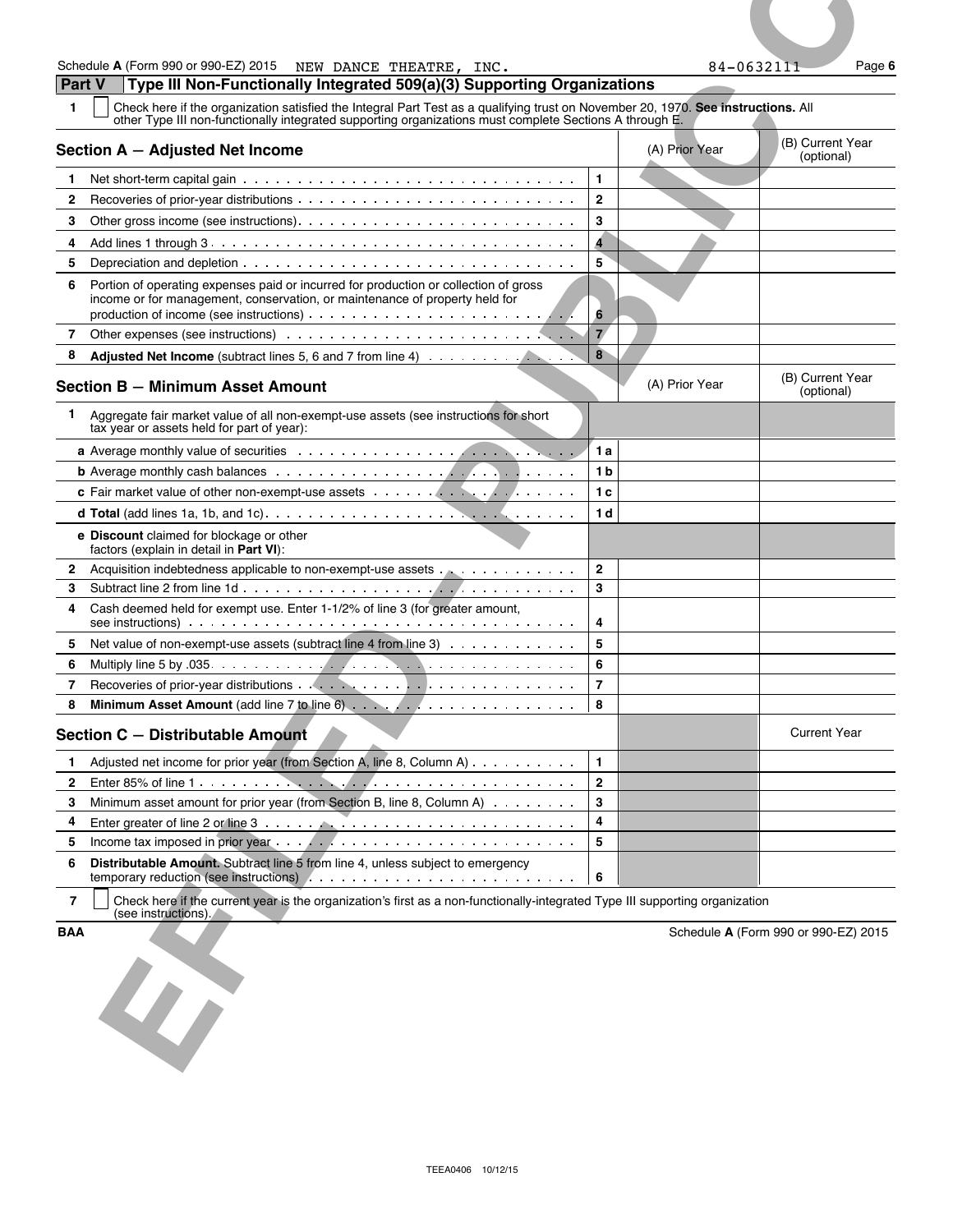**EFFECTIVE CONTRACT CONTRACT CONTRACT CONTRACT CONTRACT CONTRACT CONTRACT CONTRACT CONTRACT CONTRACT CONTRACT CONTRACT CONTRACT CONTRACT CONTRACT CONTRACT CONTRACT CONTRACT CONTRACT CONTRACT CONTRACT CONTRACT CONTRACT CON Part V Type III Non-Functionally Integrated 509(a)(3) Supporting Organizations 1** Check here if the organization satisfied the Integral Part Test as a qualifying trust on November 20, 1970. **See instructions.** All other Type III non-functionally integrated supporting organizations must complete Sections A through E. **Section A – Adjusted Net Income** (A) Prior Year (A) Prior Year (B) Current Year (B) Current Year (Optional) 1 Net short-term capital gain **1 1** Net short-term capital gain **1 1 2** Recoveries of prior-year distributions **2 3** Other gross income (see instructions) **3 4** Add lines 1 through 3 **4 5** Depreciation and depletion **Fig. 1 5** Depreciation and depletion **5 6** Portion of operating expenses paid or incurred for production or collection of gross income or for management, conservation, or maintenance of property held for production of income (see instructions) **6 7** Other expenses (see instructions) **7 8 Adjusted Net Income** (subtract lines 5, 6 and 7 from line 4) **8 Section B – Minimum Asset Amount Section B – Minimum Asset Amount** (B) Current Year (B) Current Year (B) Current Year **1** Aggregate fair market value of all non-exempt-use assets (see instructions for short tax year or assets held for part of year): **a** Average monthly value of securities **1 a 1 a b** Average monthly cash balances **1 b c** Fair market value of other non-exempt-use assets **1 c 1 c 1 c 1 c d Total** (add lines 1a, 1b, and 1c) **1 d e Discount** claimed for blockage or other factors (explain in detail in **Part VI**): **2** Acquisition indebtedness applicable to non-exempt-use assets  $\ldots$  . . . . . . . . . . . 2 **3** Subtract line 2 from line 1d **3 4** Cash deemed held for exempt use. Enter 1-1/2% of line 3 (for greater amount, see instructions) **4 4 5** Net value of non-exempt-use assets (subtract line 4 from line 3)  $\ldots$ ,  $\ldots$ ,  $\ldots$ **6** Multiply line 5 by .035 **6 7** Recoveries of prior-year distributions **7 8 Minimum Asset Amount** (add line 7 to line 6) **8 Section C – Distributable Amount** And Current Year **Distributable Amount 1** Adjusted net income for prior year (from Section A, line 8, Column A)  $\ldots \ldots \ldots$ **2** Enter 85% of line 1 **2 3** Minimum asset amount for prior year (from Section B, line 8, Column A)  $\ldots \ldots \ldots$ 

 Enter greater of line 2 or line 3 **4** Enter  $\left| 4 \right|$  Income tax imposed in prior year **5 Distributable Amount.** Subtract line 5 from line 4, unless subject to emergency temporary reduction (see instructions) **6**

**7** Check here if the current year is the organization's first as a non-functionally-integrated Type III supporting organization (see instructions).

**BAA** Schedule **A** (Form 990 or 990-EZ) 2015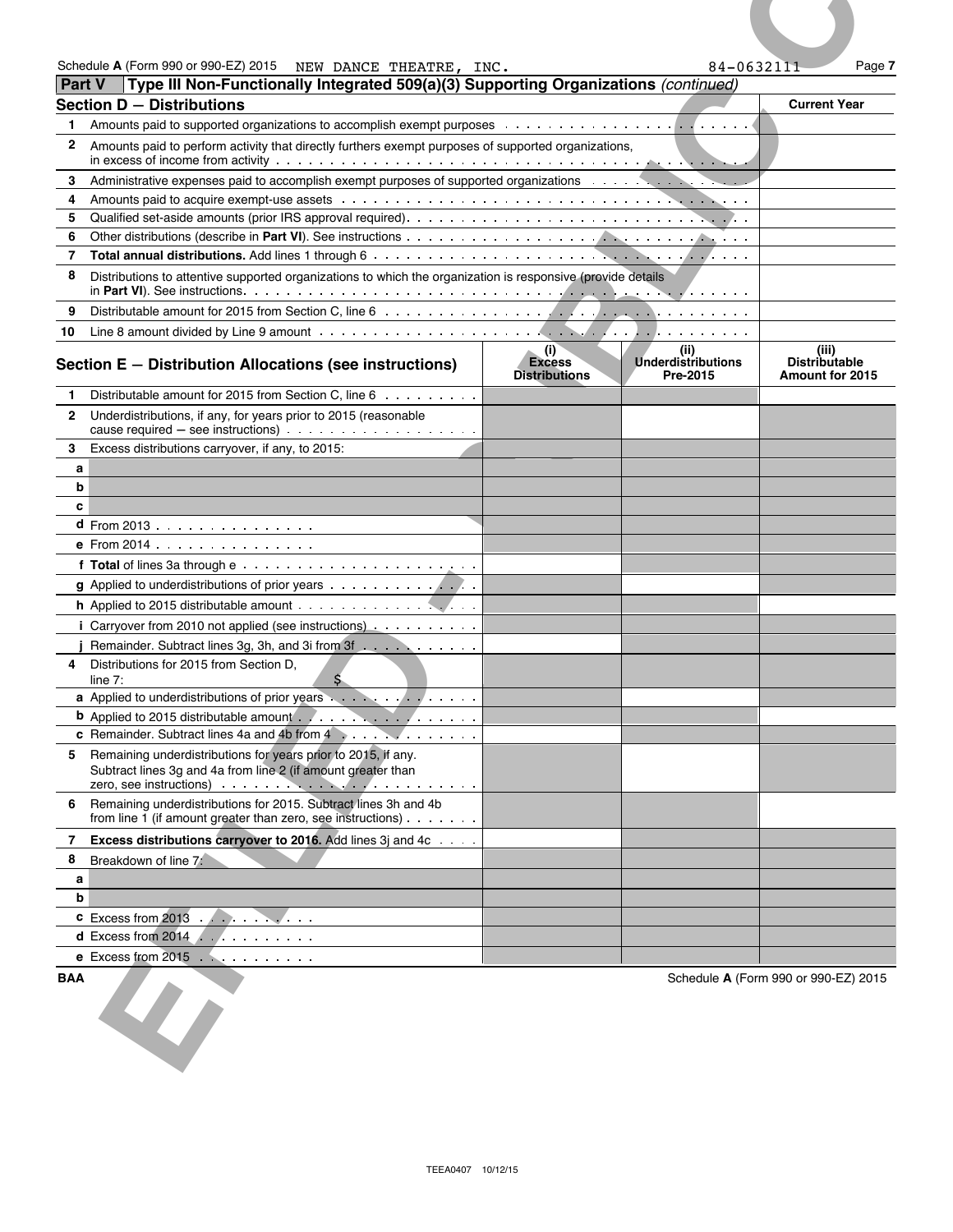|            | Schedule A (Form 990 or 990-EZ) 2015 NEW DANCE THEATRE, INC.                                                                                                                                                                                      |                                              | 84-0632111                                    | Page 7                                                  |
|------------|---------------------------------------------------------------------------------------------------------------------------------------------------------------------------------------------------------------------------------------------------|----------------------------------------------|-----------------------------------------------|---------------------------------------------------------|
|            | Type III Non-Functionally Integrated 509(a)(3) Supporting Organizations (continued)<br><b>Part V</b><br><b>Section D - Distributions</b>                                                                                                          |                                              |                                               | <b>Current Year</b>                                     |
| 1.         |                                                                                                                                                                                                                                                   |                                              |                                               |                                                         |
| 2          | Amounts paid to perform activity that directly furthers exempt purposes of supported organizations,                                                                                                                                               |                                              |                                               |                                                         |
|            |                                                                                                                                                                                                                                                   |                                              |                                               |                                                         |
| 3<br>4     | Administrative expenses paid to accomplish exempt purposes of supported organizations expensions and the expenses of supported organizations                                                                                                      |                                              |                                               |                                                         |
| 5          |                                                                                                                                                                                                                                                   |                                              |                                               |                                                         |
| 6          |                                                                                                                                                                                                                                                   |                                              |                                               |                                                         |
| 7          |                                                                                                                                                                                                                                                   |                                              |                                               |                                                         |
| 8          | Distributions to attentive supported organizations to which the organization is responsive (provide details                                                                                                                                       |                                              |                                               |                                                         |
| 9          |                                                                                                                                                                                                                                                   |                                              |                                               |                                                         |
| 10         |                                                                                                                                                                                                                                                   |                                              |                                               |                                                         |
|            | Section E - Distribution Allocations (see instructions)                                                                                                                                                                                           | (i)<br><b>Excess</b><br><b>Distributions</b> | (ii)<br><b>Underdistributions</b><br>Pre-2015 | (iii)<br><b>Distributable</b><br><b>Amount for 2015</b> |
| 1.         | Distributable amount for 2015 from Section C. line $6 \ldots \ldots$                                                                                                                                                                              |                                              |                                               |                                                         |
|            | 2 Underdistributions, if any, for years prior to 2015 (reasonable                                                                                                                                                                                 |                                              |                                               |                                                         |
| 3          | Excess distributions carryover, if any, to 2015:                                                                                                                                                                                                  |                                              |                                               |                                                         |
| a          |                                                                                                                                                                                                                                                   |                                              |                                               |                                                         |
| b          |                                                                                                                                                                                                                                                   |                                              |                                               |                                                         |
| c          |                                                                                                                                                                                                                                                   |                                              |                                               |                                                         |
|            | d From 2013<br><b>e</b> From 2014 $\ldots$ , $\ldots$ , $\ldots$                                                                                                                                                                                  |                                              |                                               |                                                         |
|            |                                                                                                                                                                                                                                                   |                                              |                                               |                                                         |
|            | g Applied to underdistributions of prior years                                                                                                                                                                                                    |                                              |                                               |                                                         |
|            |                                                                                                                                                                                                                                                   |                                              |                                               |                                                         |
|            | i Carryover from 2010 not applied (see instructions)                                                                                                                                                                                              |                                              |                                               |                                                         |
|            | Remainder. Subtract lines 3g, 3h, and 3i from 3f                                                                                                                                                                                                  |                                              |                                               |                                                         |
| 4          | Distributions for 2015 from Section D,                                                                                                                                                                                                            |                                              |                                               |                                                         |
|            | S.<br>line $7:$<br>a Applied to underdistributions of prior years                                                                                                                                                                                 |                                              |                                               |                                                         |
|            | <b>b</b> Applied to 2015 distributable amount                                                                                                                                                                                                     |                                              |                                               |                                                         |
|            | c Remainder. Subtract lines 4a and 4b from 4                                                                                                                                                                                                      |                                              |                                               |                                                         |
|            | 5 Remaining underdistributions for years prior to 2015, if any.<br>Subtract lines 3g and 4a from line 2 (if amount greater than<br>zero, see instructions) entrancement and the set of the set of the set of the set of the set of the set of the |                                              |                                               |                                                         |
|            | 6 Remaining underdistributions for 2015. Subtract lines 3h and 4b<br>from line 1 (if amount greater than zero, see instructions) $\cdots$                                                                                                         |                                              |                                               |                                                         |
|            | 7 Excess distributions carryover to 2016. Add lines 3j and 4c                                                                                                                                                                                     |                                              |                                               |                                                         |
| 8          | Breakdown of line 7:                                                                                                                                                                                                                              |                                              |                                               |                                                         |
| a          |                                                                                                                                                                                                                                                   |                                              |                                               |                                                         |
| b          |                                                                                                                                                                                                                                                   |                                              |                                               |                                                         |
|            | $\text{c}$ Excess from 2013                                                                                                                                                                                                                       |                                              |                                               |                                                         |
|            | d Excess from 2014 $\ldots$<br>e Excess from $2015$                                                                                                                                                                                               |                                              |                                               |                                                         |
|            |                                                                                                                                                                                                                                                   |                                              |                                               |                                                         |
| <b>BAA</b> |                                                                                                                                                                                                                                                   |                                              |                                               | Schedule A (Form 990 or 990-EZ) 2015                    |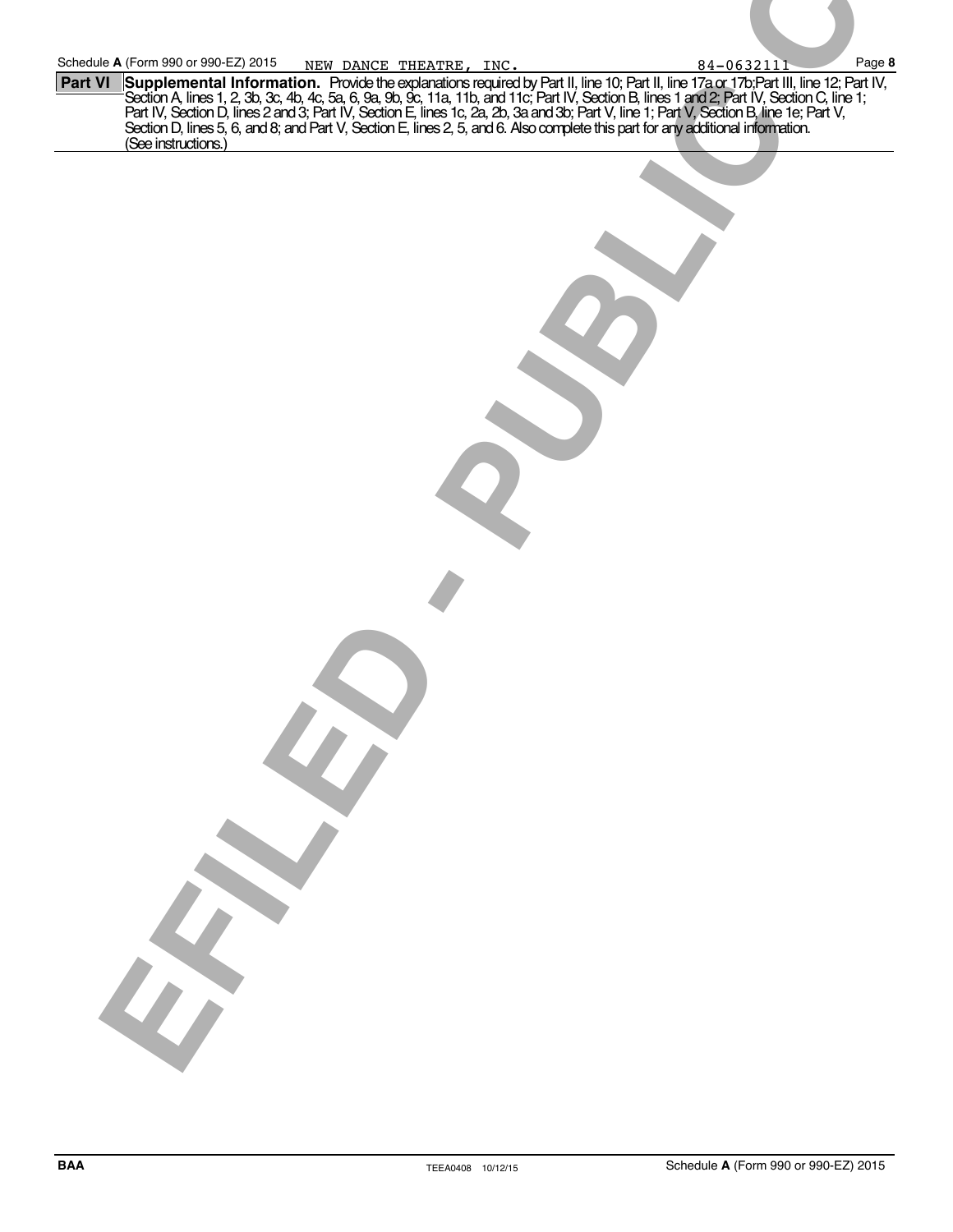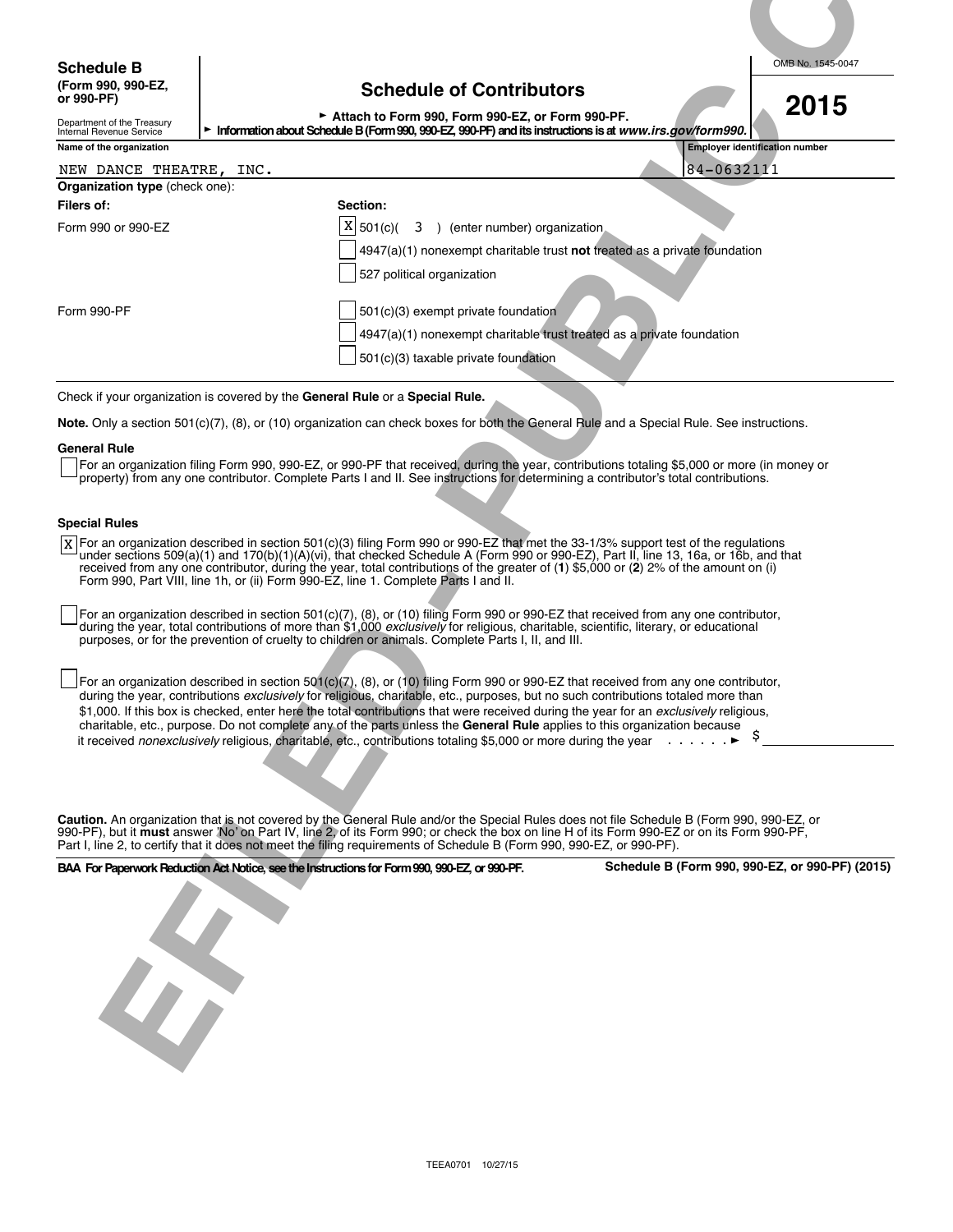## **(Form 990, 990-EZ, Schedule of Contributors or 990-PF)**

| ounuadio of continuators                                                                                       | 2015 |
|----------------------------------------------------------------------------------------------------------------|------|
| Attach to Form 990, Form 990-EZ, or Form 990-PF.                                                               |      |
| rmation about Schedule B (Form 990, 990-EZ, 990-PF) and its instructions is at <i>www.irs.gov/form 990.</i> [` |      |

| <b>Schedule B</b>                                           | OMB No. 1545-0047                                                                                                                                                                                                                                                                                                                                                                                                                                                                                                                                                                                                                                                             |
|-------------------------------------------------------------|-------------------------------------------------------------------------------------------------------------------------------------------------------------------------------------------------------------------------------------------------------------------------------------------------------------------------------------------------------------------------------------------------------------------------------------------------------------------------------------------------------------------------------------------------------------------------------------------------------------------------------------------------------------------------------|
| (Form 990, 990-EZ,<br>or 990-PF)                            | <b>Schedule of Contributors</b><br>2015                                                                                                                                                                                                                                                                                                                                                                                                                                                                                                                                                                                                                                       |
| Department of the Treasury<br>Internal Revenue Service      | Attach to Form 990, Form 990-EZ, or Form 990-PF.<br>Information about Schedule B (Form 990, 990-EZ, 990-PF) and its instructions is at www.irs.gov/form990.                                                                                                                                                                                                                                                                                                                                                                                                                                                                                                                   |
| Name of the organization                                    | <b>Employer identification number</b>                                                                                                                                                                                                                                                                                                                                                                                                                                                                                                                                                                                                                                         |
| NEW DANCE THEATRE,<br><b>Organization type (check one):</b> | 84-0632111<br>INC.                                                                                                                                                                                                                                                                                                                                                                                                                                                                                                                                                                                                                                                            |
| <b>Filers of:</b>                                           | Section:                                                                                                                                                                                                                                                                                                                                                                                                                                                                                                                                                                                                                                                                      |
| Form 990 or 990-EZ                                          | X<br>3 ) (enter number) organization<br>501(c)(<br>4947(a)(1) nonexempt charitable trust not treated as a private foundation<br>527 political organization                                                                                                                                                                                                                                                                                                                                                                                                                                                                                                                    |
| Form 990-PF                                                 | 501(c)(3) exempt private foundation<br>4947(a)(1) nonexempt charitable trust treated as a private foundation<br>501(c)(3) taxable private foundation                                                                                                                                                                                                                                                                                                                                                                                                                                                                                                                          |
|                                                             | Check if your organization is covered by the General Rule or a Special Rule.                                                                                                                                                                                                                                                                                                                                                                                                                                                                                                                                                                                                  |
|                                                             | Note. Only a section 501(c)(7), (8), or (10) organization can check boxes for both the General Rule and a Special Rule. See instructions.                                                                                                                                                                                                                                                                                                                                                                                                                                                                                                                                     |
| <b>General Rule</b>                                         | For an organization filing Form 990, 990-EZ, or 990-PF that received, during the year, contributions totaling \$5,000 or more (in money or<br>property) from any one contributor. Complete Parts I and II. See instructions for determining a contributor's total contributions.                                                                                                                                                                                                                                                                                                                                                                                              |
| <b>Special Rules</b>                                        | X For an organization described in section 501(c)(3) filing Form 990 or 990-EZ that met the 33-1/3% support test of the regulations<br>under sections 509(a)(1) and 170(b)(1)(A)(vi), that checked Schedule A (Form 990 or 990-EZ), Part II, line 13, 16a, or 16b, and that<br>received from any one contributor, during the year, total contributions of the greater of (1) \$5,000 or (2) 2% of the amount on (i)<br>Form 990, Part VIII, line 1h, or (ii) Form 990-EZ, line 1. Complete Parts I and II.                                                                                                                                                                    |
|                                                             | For an organization described in section 501(c)(7), (8), or (10) filing Form 990 or 990-EZ that received from any one contributor,<br>during the year, total contributions of more than \$1,000 exclusively for religious, charitable, scientific, literary, or educational<br>purposes, or for the prevention of cruelty to children or animals. Complete Parts I, II, and III.                                                                                                                                                                                                                                                                                              |
|                                                             | For an organization described in section 501(c)(7), (8), or (10) filing Form 990 or 990-EZ that received from any one contributor,<br>during the year, contributions exclusively for religious, charitable, etc., purposes, but no such contributions totaled more than<br>\$1,000. If this box is checked, enter here the total contributions that were received during the year for an exclusively religious,<br>charitable, etc., purpose. Do not complete any of the parts unless the General Rule applies to this organization because<br>it received nonexclusively religious, charitable, etc., contributions totaling \$5,000 or more during the year $\ldots \ldots$ |
|                                                             |                                                                                                                                                                                                                                                                                                                                                                                                                                                                                                                                                                                                                                                                               |
|                                                             | Caution. An organization that is not covered by the General Rule and/or the Special Rules does not file Schedule B (Form 990, 990-EZ, or                                                                                                                                                                                                                                                                                                                                                                                                                                                                                                                                      |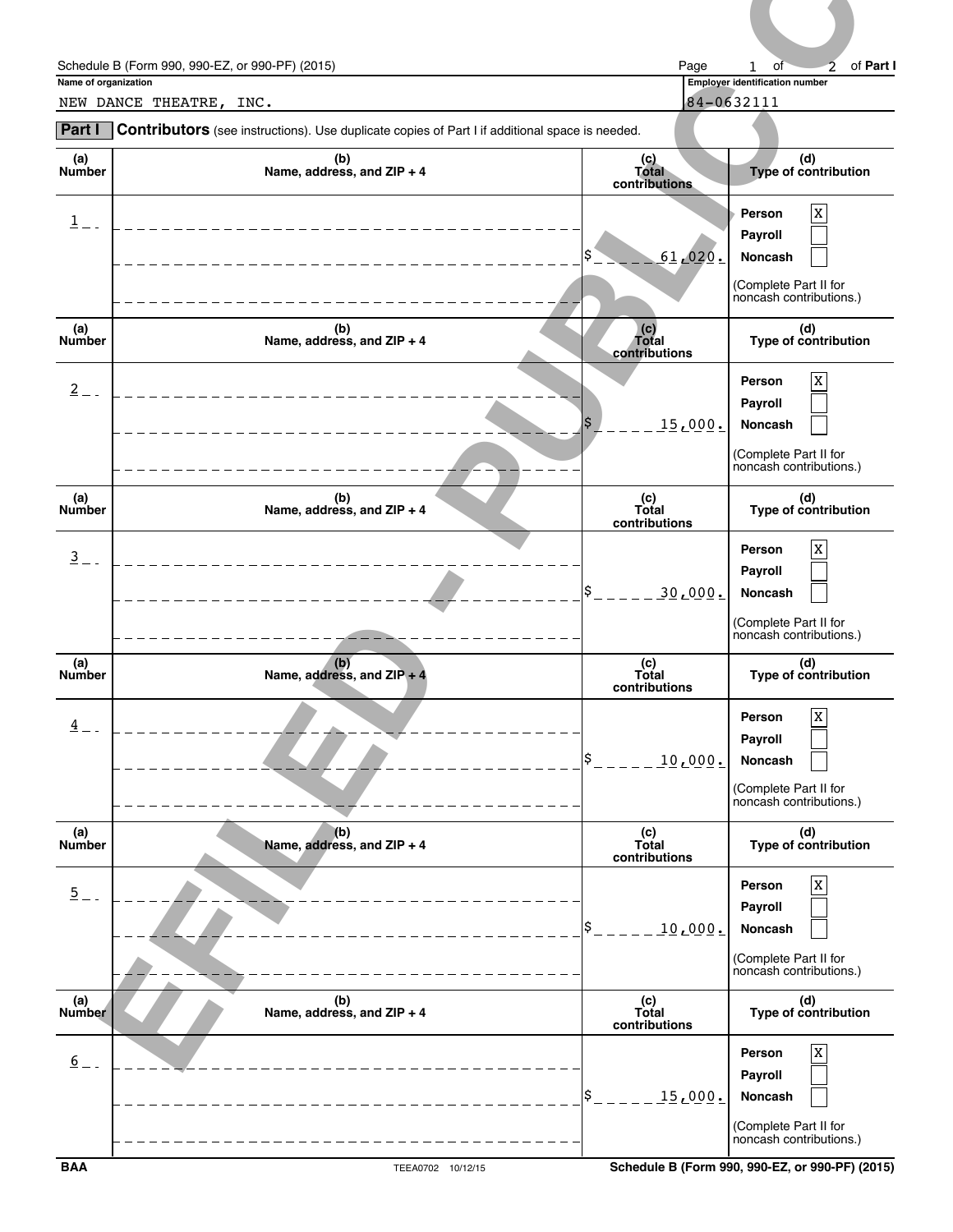|                      | Schedule B (Form 990, 990-EZ, or 990-PF) (2015)                                                | Page                          | of Part I<br>of<br>$\mathbf{1}$<br>2                                                                 |
|----------------------|------------------------------------------------------------------------------------------------|-------------------------------|------------------------------------------------------------------------------------------------------|
| Name of organization | NEW DANCE THEATRE, INC.                                                                        |                               | Employer identification number<br>84-0632111                                                         |
| Part I               | Contributors (see instructions). Use duplicate copies of Part I if additional space is needed. |                               |                                                                                                      |
| (a)<br>Number        | (b)<br>Name, address, and ZIP + 4                                                              | (c)<br>Total<br>contributions | (d)<br>Type of contribution                                                                          |
| 1                    |                                                                                                | <u>.61,020.</u>               | $\mathbf X$<br>Person<br>Payroll<br>Noncash                                                          |
|                      |                                                                                                |                               | (Complete Part II for<br>noncash contributions.)                                                     |
| (a)<br><b>Number</b> | (b)<br>Name, address, and ZIP + 4                                                              | (c)<br>Total<br>contributions | (d)<br>Type of contribution                                                                          |
| $\overline{2}$       |                                                                                                | \$<br>15,000.                 | $\mathbf X$<br>Person<br>Payroll<br>Noncash                                                          |
|                      |                                                                                                |                               | (Complete Part II for<br>noncash contributions.)                                                     |
| (a)<br>Number        | (b)<br>Name, address, and ZIP + 4                                                              | (c)<br>Total<br>contributions | (d)<br>Type of contribution                                                                          |
| $\overline{3}$ =     |                                                                                                | 30,000.                       | $\mathbf X$<br>Person<br>Payroll<br>Noncash<br>(Complete Part II for                                 |
|                      |                                                                                                |                               | noncash contributions.)                                                                              |
| (a)<br>Number        | (b)<br>Name, address, and $ZIP + 4$                                                            | (c)<br>Total<br>contributions | (d)<br>Type of contribution                                                                          |
| $\frac{4}{5}$ -      |                                                                                                | 10,000.                       | $\mathbf X$<br>Person<br>Payroll<br>Noncash<br>(Complete Part II for<br>noncash contributions.)      |
| (a)<br>Number        | (b)<br>Name, address, and ZIP + 4                                                              | (c)<br>Total                  | (d)<br>Type of contribution                                                                          |
| $\overline{2}$ =     |                                                                                                | contributions<br>10,000.      | $\mathbf X$<br>Person<br>Payroll<br>Noncash<br>(Complete Part II for<br>noncash contributions.)      |
| (a)<br>Number        | (b)<br>Name, address, and ZIP + 4                                                              | (c)<br>Total<br>contributions | (d)<br>Type of contribution                                                                          |
| $6 -$                |                                                                                                | ¦\$<br>15,000.                | $\mathbf X$<br>Person<br>Payroll<br>Noncash<br>┕<br>(Complete Part II for<br>noncash contributions.) |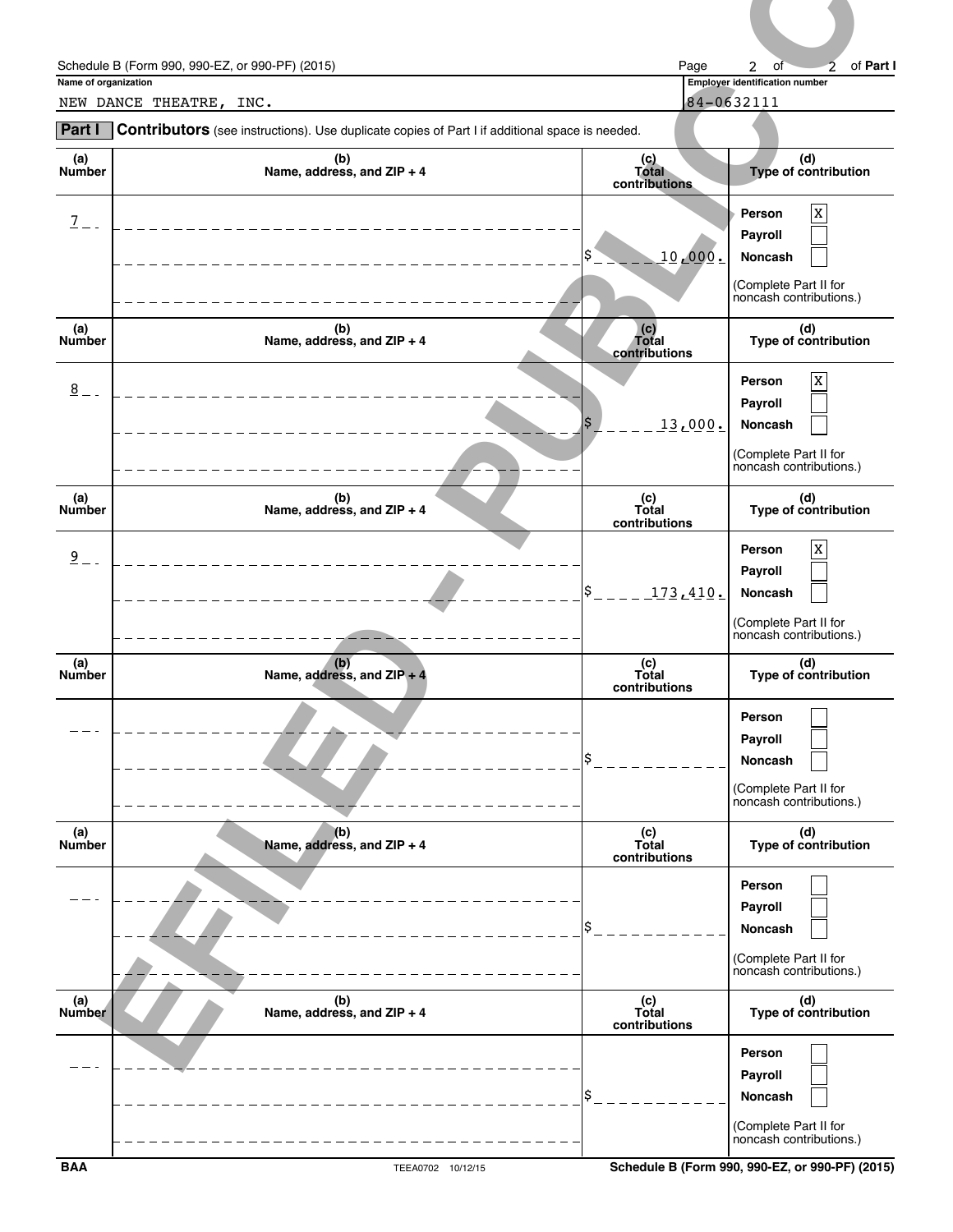|                      | Schedule B (Form 990, 990-EZ, or 990-PF) (2015)                                                | Page                            | of Part I<br>2<br>of<br>$\overline{2}$                                                          |
|----------------------|------------------------------------------------------------------------------------------------|---------------------------------|-------------------------------------------------------------------------------------------------|
| Name of organization | NEW DANCE THEATRE, INC.                                                                        |                                 | Employer identification number<br>84-0632111                                                    |
| Part I               | Contributors (see instructions). Use duplicate copies of Part I if additional space is needed. |                                 |                                                                                                 |
| (a)<br>Number        | (b)<br>Name, address, and ZIP + 4                                                              | (c)<br>Total<br>contributions   | (d)<br>Type of contribution                                                                     |
| $\overline{1}$       |                                                                                                | 10,000.                         | $\mathbf X$<br>Person<br>Payroll<br>Noncash                                                     |
|                      |                                                                                                |                                 | (Complete Part II for<br>noncash contributions.)                                                |
| (a)<br>Number        | (b)<br>Name, address, and ZIP + 4                                                              | (c)<br>Total<br>contributions   | (d)<br>Type of contribution                                                                     |
| $\underline{8}$      |                                                                                                | \$<br>13,000.                   | $\mathbf X$<br>Person<br>Payroll<br>Noncash<br>(Complete Part II for<br>noncash contributions.) |
| (a)<br>Number        | (b)<br>Name, address, and ZIP + 4                                                              | (c)<br>Total                    | (d)<br>Type of contribution                                                                     |
| $\overline{9}$       |                                                                                                | contributions<br>\$<br>173.410. | $\mathbf{x}$<br>Person<br>Payroll<br>Noncash<br>(Complete Part II for                           |
| (a)<br>Number        | (b)<br>Name, address, and $ZIP + 4$                                                            | (c)<br>Total<br>contributions   | noncash contributions.)<br>(d)<br>Type of contribution                                          |
|                      |                                                                                                |                                 | Person<br>Payroll<br>Noncash<br>(Complete Part II for<br>noncash contributions.)                |
| (a)<br>Number        | $(b)$<br>Name, address, and ZIP + 4                                                            | (c)<br>Total<br>contributions   | (d)<br>Type of contribution                                                                     |
|                      |                                                                                                |                                 | Person<br>Payroll<br>Noncash<br>(Complete Part II for<br>noncash contributions.)                |
| (a)<br>Number        | (b)<br>Name, address, and ZIP + 4                                                              | (c)<br>Total<br>contributions   | (d)<br>Type of contribution                                                                     |
|                      |                                                                                                | l\$                             | Person<br>Payroll<br>Noncash<br>لسطا<br>(Complete Part II for<br>noncash contributions.)        |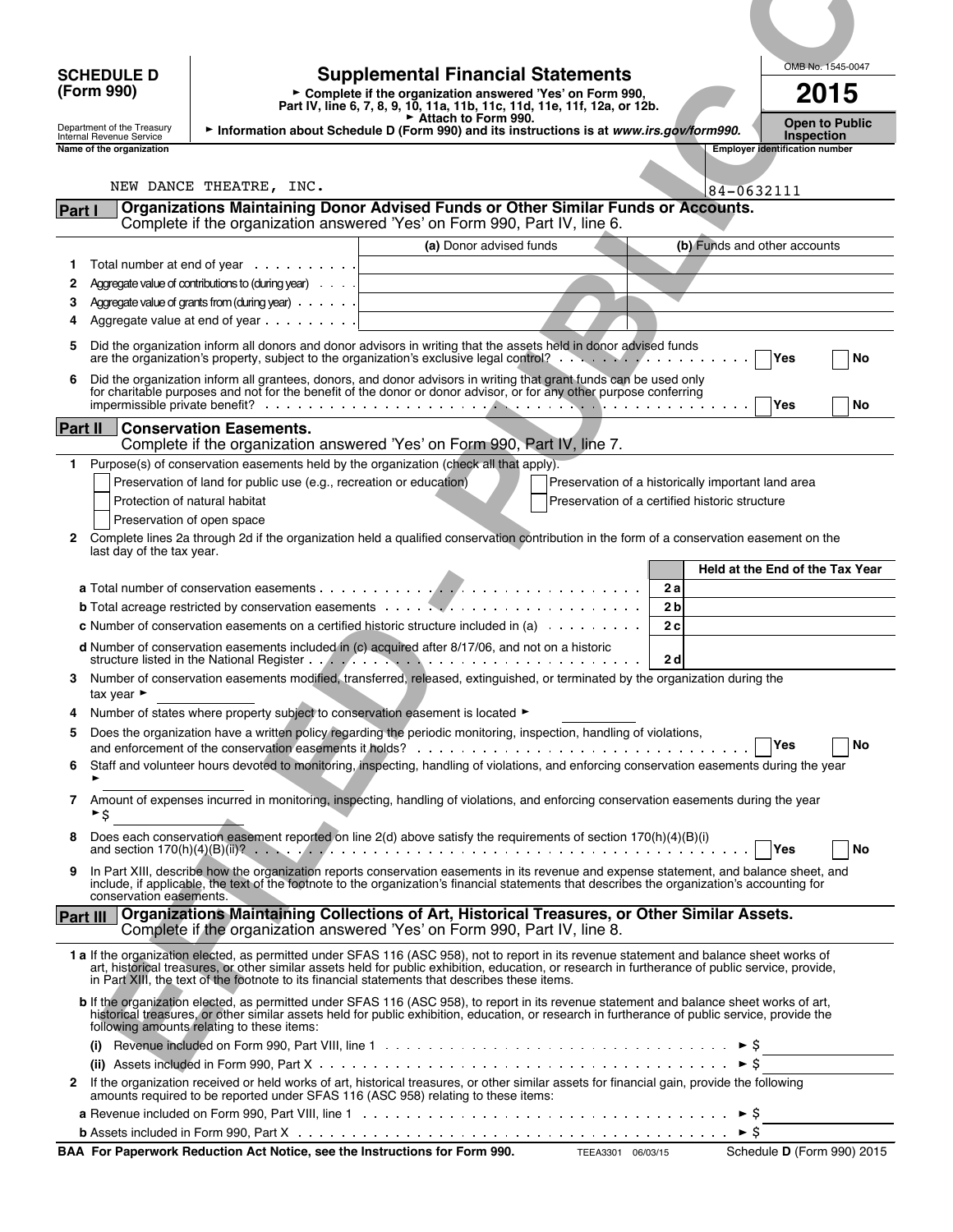## **(Form 990)**

**Part IV, line 6, 7, 8, 9, 10, 11a, 11b, 11c, 11d, 11e, 11f, 12a, or 12b.** Supplemental Financial Statements<br> **Examplete if the organization answered 'Yes' on Form 990,** 2015

Department of the Treasury **Full of Treasury Full of Schedule D (Form 990) and its instructions is at** *www.irs.gov/form990.* **Open to Public** *Inspection***<br>Internal Revenue Service <b>Inspection** 

**EFILED - PUBLIC COPY** OMB No. 1545-0047 **SCHEDULE D Supplemental Financial Statements Name of the organization Employer identification number Employer identification number Part I Organizations Maintaining Donor Advised Funds or Other Similar Funds or Accounts.** Complete if the organization answered 'Yes' on Form 990, Part IV, line 6. **(a)** Donor advised funds **(b)** Funds and other accounts **1** Total number at end of year **2** Aggregate value of contributions to (during year) **3** Aggregate value of grants from (during year) **4** Aggregate value at end of year **5** Did the organization inform all donors and donor advisors in writing that the assets held in donor advised funds are the organization's property, subject to the organization's exclusive legal control? **Activity With the organization's**  $\mathbf{Yes}$  **No 6** Did the organization inform all grantees, donors, and donor advisors in writing that grant funds can be used only for charitable purposes and not for the benefit of the donor or donor advisor, or for any other purpose conferring impermissible private benefit? **With Conservation Conservation** Conservation Conservation Conservation Conservation Conservation Conservation Conservation Conservation Conservation Conservation Conservation Conservation Co **Part II Conservation Easements.** Complete if the organization answered 'Yes' on Form 990, Part IV, line 7. **1** Purpose(s) of conservation easements held by the organization (check all that apply). Preservation of land for public use (e.g., recreation or education) Preservation of a historically important land area Protection of natural habitat **Protection of a certified historic structure** Preservation of open space **2** Complete lines 2a through 2d if the organization held a qualified conservation contribution in the form of a conservation easement on the last day of the tax year. **Held at the End of the Tax Year a** Total number of conservation easements **2 a b** Total acreage restricted by conservation easements **2 b c** Number of conservation easements on a certified historic structure included in (a) **2 c d** Number of conservation easements included in (c) acquired after 8/17/06, and not on a historic structure listed in the National Register **2 d 3** Number of conservation easements modified, transferred, released, extinguished, or terminated by the organization during the tax year  $\blacktriangleright$ **4** Number of states where property subject to conservation easement is located ► **5** Does the organization have a written policy regarding the periodic monitoring, inspection, handling of violations, and enforcement of the conservation easements it holds? **We are also assumed as a set of the conservation easements it holds? We are also assumed as a set of the conservation 6** Staff and volunteer hours devoted to monitoring, inspecting, handling of violations, and enforcing conservation easements during the year G **7** Amount of expenses incurred in monitoring, inspecting, handling of violations, and enforcing conservation easements during the year  $\overline{\phantom{a}}$ **8** Does each conservation easement reported on line 2(d) above satisfy the requirements of section 170(h)(4)(B)(i) and section 170(h)(4)(B)(ii)? **Yes No 9** In Part XIII, describe how the organization reports conservation easements in its revenue and expense statement, and balance sheet, and include, if applicable, the text of the footnote to the organization's financial statements that describes the organization's accounting for conservation easements. **Part III Organizations Maintaining Collections of Art, Historical Treasures, or Other Similar Assets.**  Complete if the organization answered 'Yes' on Form 990, Part IV, line 8. **1 a** If the organization elected, as permitted under SFAS 116 (ASC 958), not to report in its revenue statement and balance sheet works of art, historical treasures, or other similar assets held for public exhibition, education, or research in furtherance of public service, provide, in Part XIII, the text of the footnote to its financial statements that describes these items. **b** If the organization elected, as permitted under SFAS 116 (ASC 958), to report in its revenue statement and balance sheet works of art, historical treasures, or other similar assets held for public exhibition, education, or research in furtherance of public service, provide the following amounts relating to these items: **(i)** Revenue included on Form 990, Part VIII, line 1  $\cdots$   $\cdots$   $\cdots$   $\cdots$   $\cdots$   $\cdots$   $\cdots$   $\cdots$   $\cdots$   $\cdots$   $\cdots$ **(ii)** Assets included in Form 990, Part X  $\dots$ ,  $\dots$ ,  $\dots$ ,  $\dots$ ,  $\dots$ ,  $\dots$ ,  $\dots$ ,  $\dots$ ,  $\dots$ ,  $\dots$ ,  $\dots$ ,  $\triangleright$  \$ **2** If the organization received or held works of art, historical treasures, or other similar assets for financial gain, provide the following amounts required to be reported under SFAS 116 (ASC 958) relating to these items: **a** Revenue included on Form 990, Part VIII, line 1  $\ldots \ldots \ldots \ldots \ldots \ldots \ldots \ldots \ldots \ldots \ldots \ldots \vdots$ \$ **b** Assets included in Form 990, Part X \$ NEW DANCE THEATRE, INC.  $84-0632111$ 

**BAA For Paperwork Reduction Act Notice, see the Instructions for Form 990.** TEEA3301 06/03/15 Schedule D (Form 990) 2015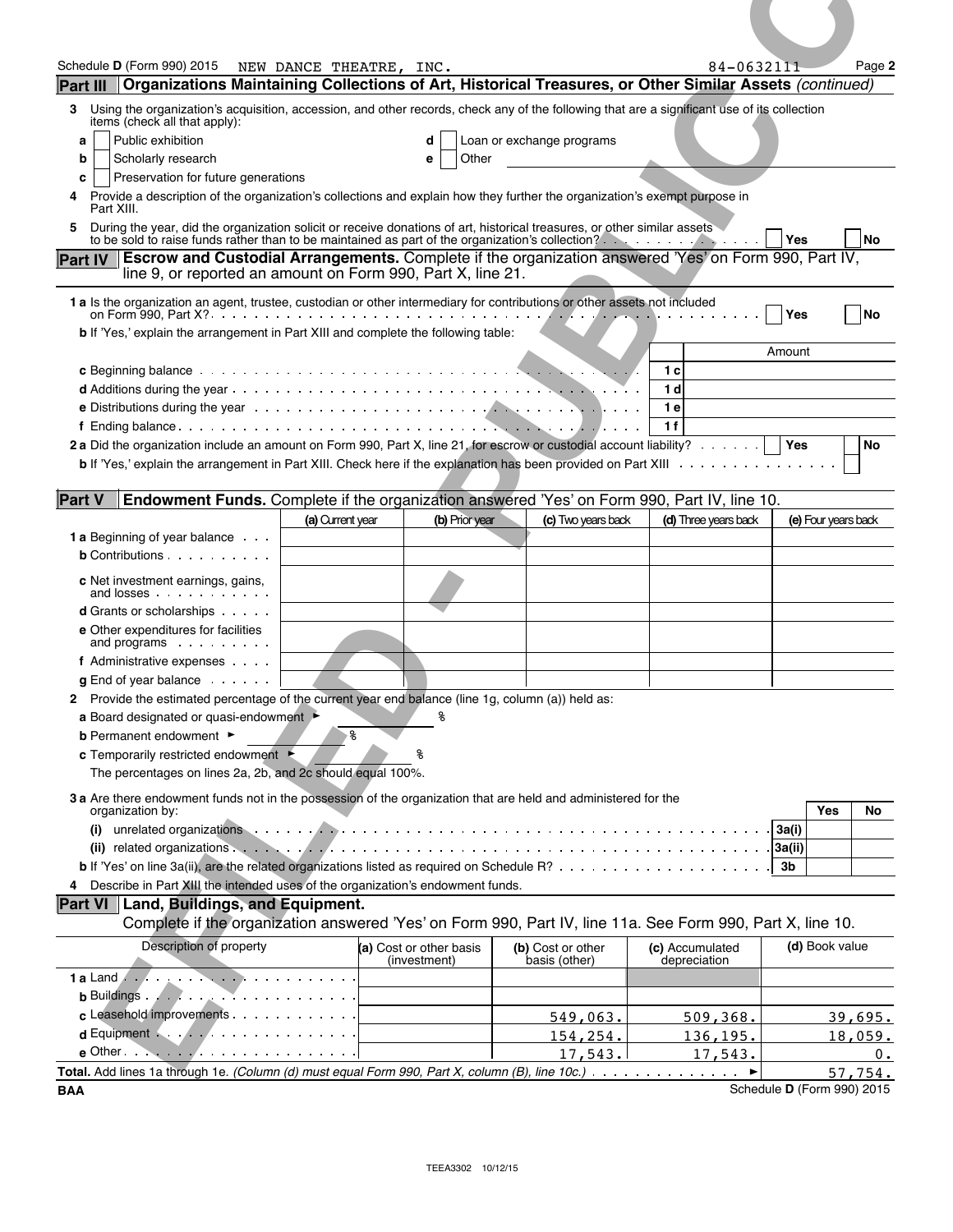| Schedule D (Form 990) 2015                                                                                                                                                                                                                                                                                                                                                                                                                                                                                                    | NEW DANCE THEATRE, INC. |                                         |                                    | 84-0632111                      | Page 2              |
|-------------------------------------------------------------------------------------------------------------------------------------------------------------------------------------------------------------------------------------------------------------------------------------------------------------------------------------------------------------------------------------------------------------------------------------------------------------------------------------------------------------------------------|-------------------------|-----------------------------------------|------------------------------------|---------------------------------|---------------------|
| Organizations Maintaining Collections of Art, Historical Treasures, or Other Similar Assets (continued)<br><b>Part III</b>                                                                                                                                                                                                                                                                                                                                                                                                    |                         |                                         |                                    |                                 |                     |
| Using the organization's acquisition, accession, and other records, check any of the following that are a significant use of its collection<br>3.<br>items (check all that apply):                                                                                                                                                                                                                                                                                                                                            |                         |                                         |                                    |                                 |                     |
| Public exhibition<br>а                                                                                                                                                                                                                                                                                                                                                                                                                                                                                                        |                         | d                                       | Loan or exchange programs          |                                 |                     |
| Scholarly research<br>b<br>Preservation for future generations<br>c                                                                                                                                                                                                                                                                                                                                                                                                                                                           |                         | Other<br>е                              |                                    |                                 |                     |
| Provide a description of the organization's collections and explain how they further the organization's exempt purpose in<br>4                                                                                                                                                                                                                                                                                                                                                                                                |                         |                                         |                                    |                                 |                     |
| Part XIII.<br>During the year, did the organization solicit or receive donations of art, historical treasures, or other similar assets<br>5                                                                                                                                                                                                                                                                                                                                                                                   |                         |                                         |                                    |                                 |                     |
| to be sold to raise funds rather than to be maintained as part of the organization's collection?                                                                                                                                                                                                                                                                                                                                                                                                                              |                         |                                         |                                    |                                 | Yes<br>No           |
| <b>Escrow and Custodial Arrangements.</b> Complete if the organization answered 'Yes' on Form 990, Part IV,<br><b>Part IV</b><br>line 9, or reported an amount on Form 990, Part X, line 21.                                                                                                                                                                                                                                                                                                                                  |                         |                                         |                                    |                                 |                     |
| 1 a Is the organization an agent, trustee, custodian or other intermediary for contributions or other assets not included                                                                                                                                                                                                                                                                                                                                                                                                     |                         |                                         |                                    |                                 |                     |
|                                                                                                                                                                                                                                                                                                                                                                                                                                                                                                                               |                         |                                         |                                    |                                 | No<br>Yes           |
| b If 'Yes,' explain the arrangement in Part XIII and complete the following table:                                                                                                                                                                                                                                                                                                                                                                                                                                            |                         |                                         |                                    |                                 |                     |
|                                                                                                                                                                                                                                                                                                                                                                                                                                                                                                                               |                         |                                         |                                    | 1 с                             | Amount              |
|                                                                                                                                                                                                                                                                                                                                                                                                                                                                                                                               |                         |                                         |                                    | 1 d                             |                     |
| <b>e</b> Distributions during the year $\cdots$ $\cdots$ $\cdots$ $\cdots$ $\cdots$ $\cdots$ $\cdots$ $\cdots$ $\cdots$ $\cdots$ $\cdots$ $\cdots$ $\cdots$                                                                                                                                                                                                                                                                                                                                                                   |                         |                                         |                                    | 1 e                             |                     |
| 2a Did the organization include an amount on Form 990, Part X, line 21, for escrow or custodial account liability?                                                                                                                                                                                                                                                                                                                                                                                                            |                         |                                         |                                    | 1 f                             | Yes                 |
|                                                                                                                                                                                                                                                                                                                                                                                                                                                                                                                               |                         |                                         |                                    |                                 | No                  |
|                                                                                                                                                                                                                                                                                                                                                                                                                                                                                                                               |                         |                                         |                                    |                                 |                     |
|                                                                                                                                                                                                                                                                                                                                                                                                                                                                                                                               |                         |                                         |                                    |                                 |                     |
| Endowment Funds. Complete if the organization answered 'Yes' on Form 990, Part IV, line 10.                                                                                                                                                                                                                                                                                                                                                                                                                                   |                         |                                         |                                    |                                 |                     |
|                                                                                                                                                                                                                                                                                                                                                                                                                                                                                                                               | (a) Current year        | (b) Prior year                          | (c) Two years back                 | (d) Three years back            | (e) Four years back |
| $b$ Contributions $\cdots$ $\cdots$ $\cdots$                                                                                                                                                                                                                                                                                                                                                                                                                                                                                  |                         |                                         |                                    |                                 |                     |
|                                                                                                                                                                                                                                                                                                                                                                                                                                                                                                                               |                         |                                         |                                    |                                 |                     |
| c Net investment earnings, gains,<br>and losses                                                                                                                                                                                                                                                                                                                                                                                                                                                                               |                         |                                         |                                    |                                 |                     |
| <b>d</b> Grants or scholarships<br>e Other expenditures for facilities                                                                                                                                                                                                                                                                                                                                                                                                                                                        |                         |                                         |                                    |                                 |                     |
| and programs                                                                                                                                                                                                                                                                                                                                                                                                                                                                                                                  |                         |                                         |                                    |                                 |                     |
| f Administrative expenses<br>$g$ End of year balance $\ldots$ .                                                                                                                                                                                                                                                                                                                                                                                                                                                               |                         |                                         |                                    |                                 |                     |
|                                                                                                                                                                                                                                                                                                                                                                                                                                                                                                                               |                         |                                         |                                    |                                 |                     |
| a Board designated or quasi-endowment                                                                                                                                                                                                                                                                                                                                                                                                                                                                                         |                         | နွ                                      |                                    |                                 |                     |
|                                                                                                                                                                                                                                                                                                                                                                                                                                                                                                                               | နွ                      |                                         |                                    |                                 |                     |
| <b>b</b> Permanent endowment ►<br>c Temporarily restricted endowment ►<br>The percentages on lines 2a, 2b, and 2c should equal 100%.                                                                                                                                                                                                                                                                                                                                                                                          |                         |                                         |                                    |                                 |                     |
|                                                                                                                                                                                                                                                                                                                                                                                                                                                                                                                               |                         |                                         |                                    |                                 |                     |
| organization by:                                                                                                                                                                                                                                                                                                                                                                                                                                                                                                              |                         |                                         |                                    |                                 | Yes<br>No           |
|                                                                                                                                                                                                                                                                                                                                                                                                                                                                                                                               |                         |                                         |                                    |                                 | 3a(i)               |
|                                                                                                                                                                                                                                                                                                                                                                                                                                                                                                                               |                         |                                         |                                    |                                 | 3 <sub>b</sub>      |
|                                                                                                                                                                                                                                                                                                                                                                                                                                                                                                                               |                         |                                         |                                    |                                 |                     |
|                                                                                                                                                                                                                                                                                                                                                                                                                                                                                                                               |                         |                                         |                                    |                                 |                     |
| Complete if the organization answered 'Yes' on Form 990, Part IV, line 11a. See Form 990, Part X, line 10.                                                                                                                                                                                                                                                                                                                                                                                                                    |                         |                                         |                                    |                                 |                     |
| Description of property                                                                                                                                                                                                                                                                                                                                                                                                                                                                                                       |                         | (a) Cost or other basis<br>(investment) | (b) Cost or other<br>basis (other) | (c) Accumulated<br>depreciation | (d) Book value      |
|                                                                                                                                                                                                                                                                                                                                                                                                                                                                                                                               |                         |                                         |                                    |                                 |                     |
|                                                                                                                                                                                                                                                                                                                                                                                                                                                                                                                               |                         |                                         |                                    |                                 |                     |
| <b>Part V</b><br><b>1 a</b> Beginning of year balance<br>2 Provide the estimated percentage of the current year end balance (line 1g, column $\overline{(a)}$ ) held as:<br>3 a Are there endowment funds not in the possession of the organization that are held and administered for the<br>4 Describe in Part XIII the intended uses of the organization's endowment funds.<br>Part VI Land, Buildings, and Equipment.<br>c Leasehold improvements<br>$d$ Equipment $\ldots$ . $\ldots$ . $\ldots$ . $\ldots$ . $\ldots$ . |                         |                                         | 549,063.                           | 509,368.                        | 39,695.             |
| $e$ Other $\cdots$ $\cdots$ $\cdots$ $\cdots$ $\cdots$ $\cdots$ $\cdots$                                                                                                                                                                                                                                                                                                                                                                                                                                                      |                         |                                         | 154,254.<br>17,543.                | 136,195.<br>17,543.             | 18,059.<br>$0$ .    |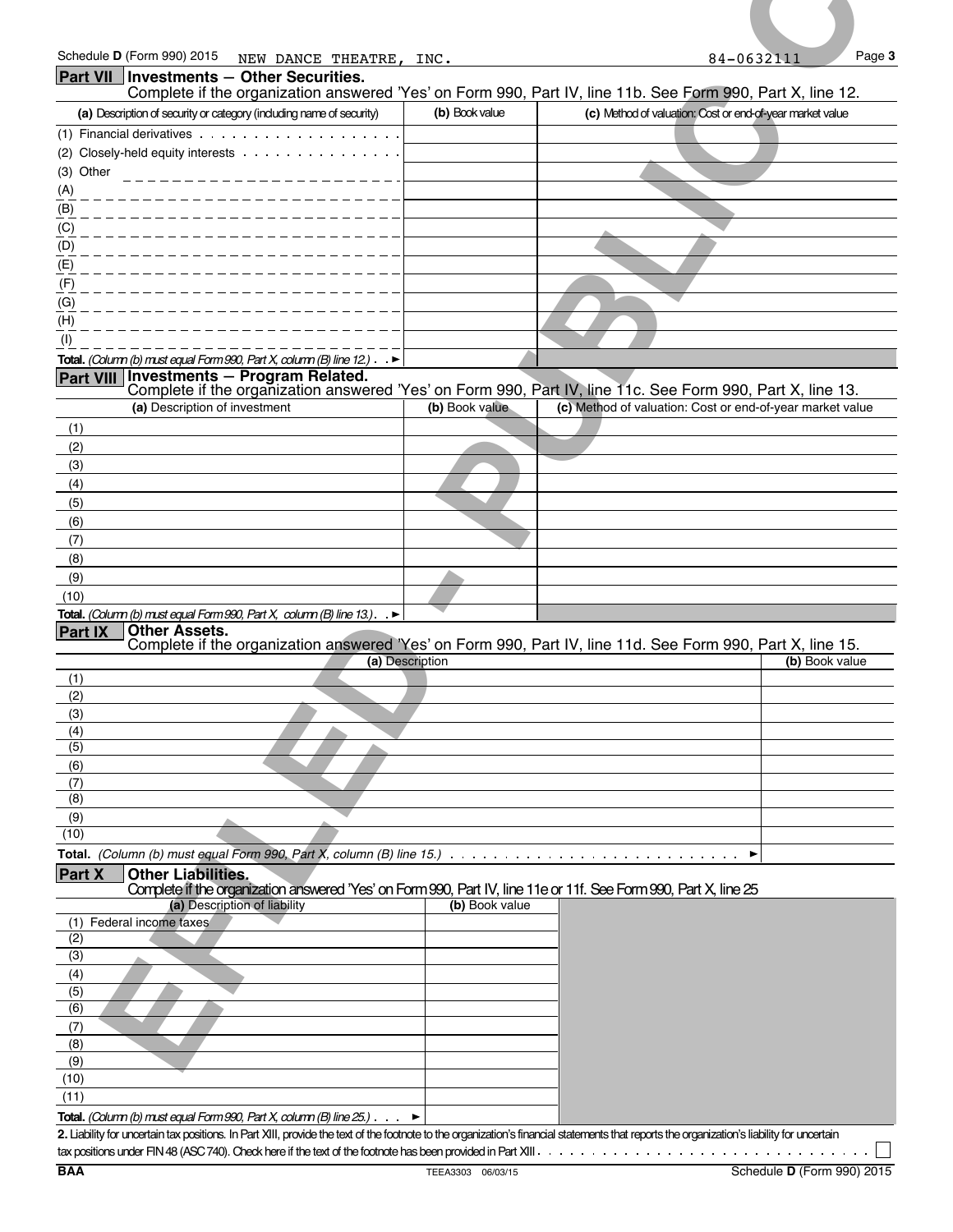| Schedule D (Form 990) 2015<br>NEW DANCE THEATRE, INC.<br>Part VII   Investments - Other Securities.<br>(a) Description of security or category (including name of security)                                                   |                | Page 3<br>84-0632111                                                                                                                                                    |
|-------------------------------------------------------------------------------------------------------------------------------------------------------------------------------------------------------------------------------|----------------|-------------------------------------------------------------------------------------------------------------------------------------------------------------------------|
|                                                                                                                                                                                                                               |                |                                                                                                                                                                         |
|                                                                                                                                                                                                                               |                | Complete if the organization answered 'Yes' on Form 990, Part IV, line 11b. See Form 990, Part X, line 12.                                                              |
|                                                                                                                                                                                                                               | (b) Book value | (c) Method of valuation: Cost or end-of-year market value                                                                                                               |
|                                                                                                                                                                                                                               |                |                                                                                                                                                                         |
| (2) Closely-held equity interests                                                                                                                                                                                             |                |                                                                                                                                                                         |
| (3) Other                                                                                                                                                                                                                     |                |                                                                                                                                                                         |
| (A)<br>(B)                                                                                                                                                                                                                    |                |                                                                                                                                                                         |
| (C)                                                                                                                                                                                                                           |                |                                                                                                                                                                         |
| (D)                                                                                                                                                                                                                           |                |                                                                                                                                                                         |
| (E)                                                                                                                                                                                                                           |                |                                                                                                                                                                         |
|                                                                                                                                                                                                                               |                |                                                                                                                                                                         |
|                                                                                                                                                                                                                               |                |                                                                                                                                                                         |
|                                                                                                                                                                                                                               |                |                                                                                                                                                                         |
| <b>Total.</b> (Column (b) must equal Form 990, Part X, column (B) line 12.) $\blacktriangleright$                                                                                                                             |                |                                                                                                                                                                         |
| <b>Investments - Program Related.</b><br><b>Part VIII</b>                                                                                                                                                                     |                |                                                                                                                                                                         |
| (a) Description of investment                                                                                                                                                                                                 | (b) Book value | Complete if the organization answered 'Yes' on Form 990, Part IV, line 11c. See Form 990, Part X, line 13.<br>(c) Method of valuation: Cost or end-of-year market value |
| (1)                                                                                                                                                                                                                           |                |                                                                                                                                                                         |
| (2)                                                                                                                                                                                                                           |                |                                                                                                                                                                         |
| (3)                                                                                                                                                                                                                           |                |                                                                                                                                                                         |
| (4)                                                                                                                                                                                                                           |                |                                                                                                                                                                         |
| (5)<br>(6)                                                                                                                                                                                                                    |                |                                                                                                                                                                         |
|                                                                                                                                                                                                                               |                |                                                                                                                                                                         |
| (7)                                                                                                                                                                                                                           |                |                                                                                                                                                                         |
| (8)<br>(9)                                                                                                                                                                                                                    |                |                                                                                                                                                                         |
| (10)                                                                                                                                                                                                                          |                |                                                                                                                                                                         |
| Total. (Column (b) must equal Form 990, Part X, column (B) line 13.). $\blacktriangleright$                                                                                                                                   |                |                                                                                                                                                                         |
| <b>Other Assets.</b><br><b>Part IX</b>                                                                                                                                                                                        |                | Complete if the organization answered 'Yes' on Form 990, Part IV, line 11d. See Form 990, Part X, line 15.                                                              |
| (a) Description                                                                                                                                                                                                               |                | (b) Book value                                                                                                                                                          |
| (1)<br>(2)                                                                                                                                                                                                                    |                |                                                                                                                                                                         |
|                                                                                                                                                                                                                               |                |                                                                                                                                                                         |
| (3)                                                                                                                                                                                                                           |                |                                                                                                                                                                         |
| (4)<br>(5)                                                                                                                                                                                                                    |                |                                                                                                                                                                         |
| (6)                                                                                                                                                                                                                           |                |                                                                                                                                                                         |
| (7)                                                                                                                                                                                                                           |                |                                                                                                                                                                         |
| (8)                                                                                                                                                                                                                           |                |                                                                                                                                                                         |
|                                                                                                                                                                                                                               |                |                                                                                                                                                                         |
|                                                                                                                                                                                                                               |                |                                                                                                                                                                         |
|                                                                                                                                                                                                                               |                |                                                                                                                                                                         |
|                                                                                                                                                                                                                               |                | ▶                                                                                                                                                                       |
| <b>Other Liabilities.</b>                                                                                                                                                                                                     |                |                                                                                                                                                                         |
| Complete if the organization answered 'Yes' on Form 990, Part IV, line 11e or 11f. See Form 990, Part X, line 25<br>(a) Description of liability                                                                              | (b) Book value |                                                                                                                                                                         |
|                                                                                                                                                                                                                               |                |                                                                                                                                                                         |
|                                                                                                                                                                                                                               |                |                                                                                                                                                                         |
| (9)<br>(10)<br>Total. (Column (b) must equal Form 990, Part X, column (B) line 15.) $\ldots \ldots \ldots \ldots \ldots \ldots \ldots \ldots \ldots \ldots$<br><b>Part X</b><br>(1) Federal income taxes<br>(2)<br>(3)<br>(4) |                |                                                                                                                                                                         |
| (5)                                                                                                                                                                                                                           |                |                                                                                                                                                                         |
|                                                                                                                                                                                                                               |                |                                                                                                                                                                         |
|                                                                                                                                                                                                                               |                |                                                                                                                                                                         |
|                                                                                                                                                                                                                               |                |                                                                                                                                                                         |
|                                                                                                                                                                                                                               |                |                                                                                                                                                                         |
|                                                                                                                                                                                                                               |                |                                                                                                                                                                         |
| Total. (Column (b) must equal Form 990, Part X, column (B) line $25$ .) $\cdot$ $\cdot$                                                                                                                                       |                |                                                                                                                                                                         |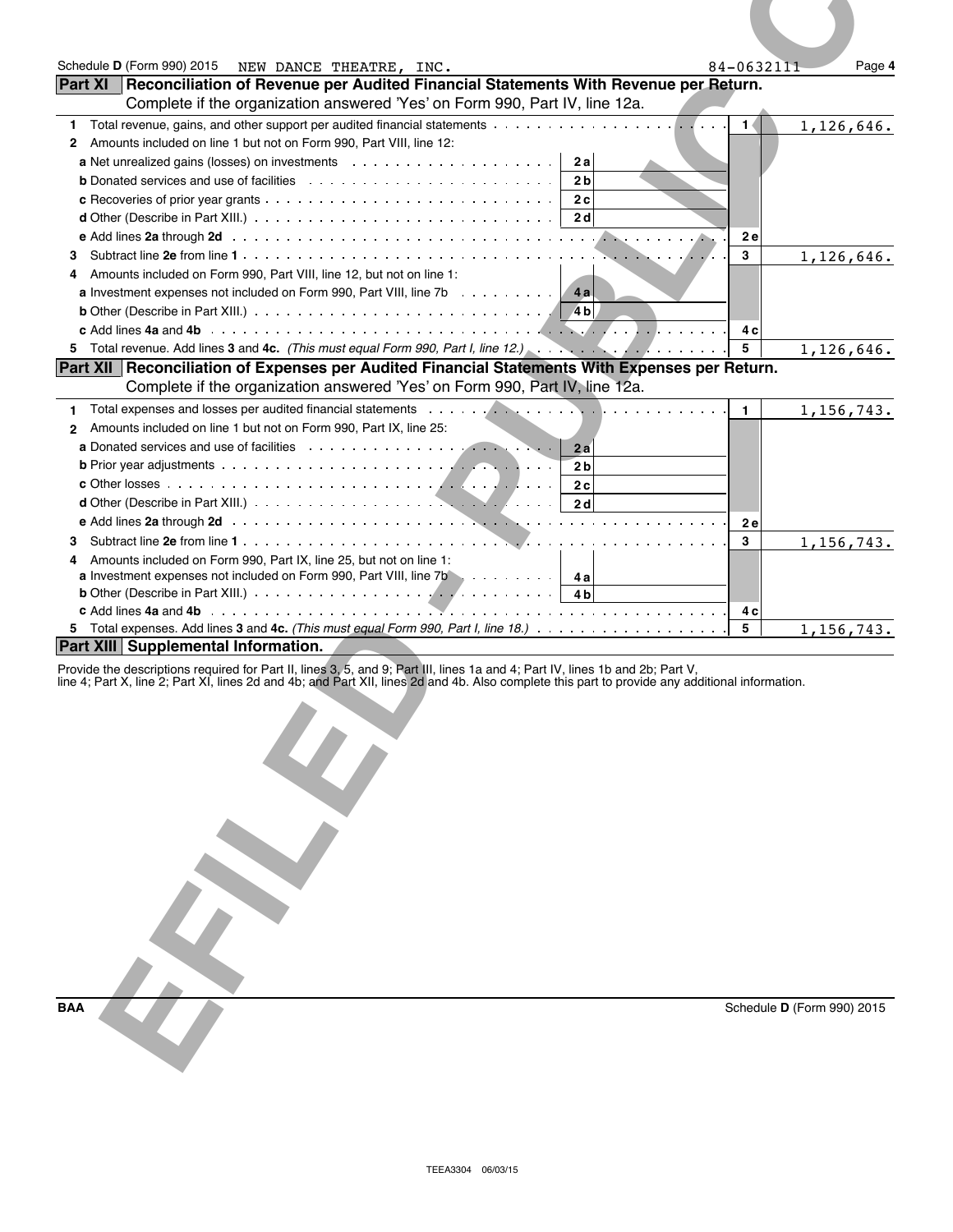| Schedule D (Form 990) 2015<br>NEW DANCE THEATRE, INC.<br><b>Part XI</b>                                                                                                                                                                                                                                       | 84-0632111<br>Page 4         |
|---------------------------------------------------------------------------------------------------------------------------------------------------------------------------------------------------------------------------------------------------------------------------------------------------------------|------------------------------|
| Reconciliation of Revenue per Audited Financial Statements With Revenue per Return.<br>Complete if the organization answered 'Yes' on Form 990, Part IV, line 12a.                                                                                                                                            |                              |
| 1.<br>2 Amounts included on line 1 but not on Form 990, Part VIII, line 12:<br>2 a<br>2 <sub>b</sub><br>2c<br>2 d                                                                                                                                                                                             | 1<br>1,126,646.<br><b>2e</b> |
| 3.<br>Amounts included on Form 990, Part VIII, line 12, but not on line 1:<br>4<br><b>a</b> Investment expenses not included on Form 990, Part VIII, line $7b$<br><b>4al</b><br><b>b</b> Other (Describe in Part XIII.) $\ldots \ldots \ldots \ldots \ldots \ldots \ldots \ldots \ldots \ldots \ldots \ldots$ | 3<br>1,126,646.              |
|                                                                                                                                                                                                                                                                                                               | 4 c<br>5<br>1, 126, 646.     |
| Part XII   Reconciliation of Expenses per Audited Financial Statements With Expenses per Return.<br>Complete if the organization answered 'Yes' on Form 990, Part IV, line 12a.                                                                                                                               |                              |
| Total expenses and losses per audited financial statements enters and contained a series and statements of the statements of the statements of the statements of the statements of the statements of the statements of the sta<br>1.                                                                          | 1,156,743.<br>$\mathbf{1}$   |
| 2 Amounts included on line 1 but not on Form 990, Part IX, line 25:<br>2a<br>2 <sub>b</sub><br>2c<br>2d                                                                                                                                                                                                       | 2e                           |
| З.<br>Amounts included on Form 990, Part IX, line 25, but not on line 1:<br>4<br><b>a</b> Investment expenses not included on Form 990, Part VIII, line $7b$ ,  4a                                                                                                                                            | 3<br>1,156,743.              |
| <b>b</b> Other (Describe in Part XIII.) $\cdots$ $\cdots$ $\cdots$ $\cdots$ $\cdots$ $\cdots$ $\cdots$ $\cdots$<br>4 b                                                                                                                                                                                        | 4 c                          |
| <b>Part XIII Supplemental Information.</b>                                                                                                                                                                                                                                                                    | 5<br>1,156,743.              |
| Provide the descriptions required for Part II, lines 3, 5, and 9; Part III, lines 1a and 4; Part IV, lines 1b and 2b; Part V,<br>line 4; Part X, line 2; Part XI, lines 2d and 4b; and Part XII, lines 2d and 4b. Also complete t                                                                             |                              |
|                                                                                                                                                                                                                                                                                                               |                              |
| <b>BAA</b>                                                                                                                                                                                                                                                                                                    | Schedule D (Form 990) 2015   |

| <b>BAA</b> |
|------------|
|            |
|            |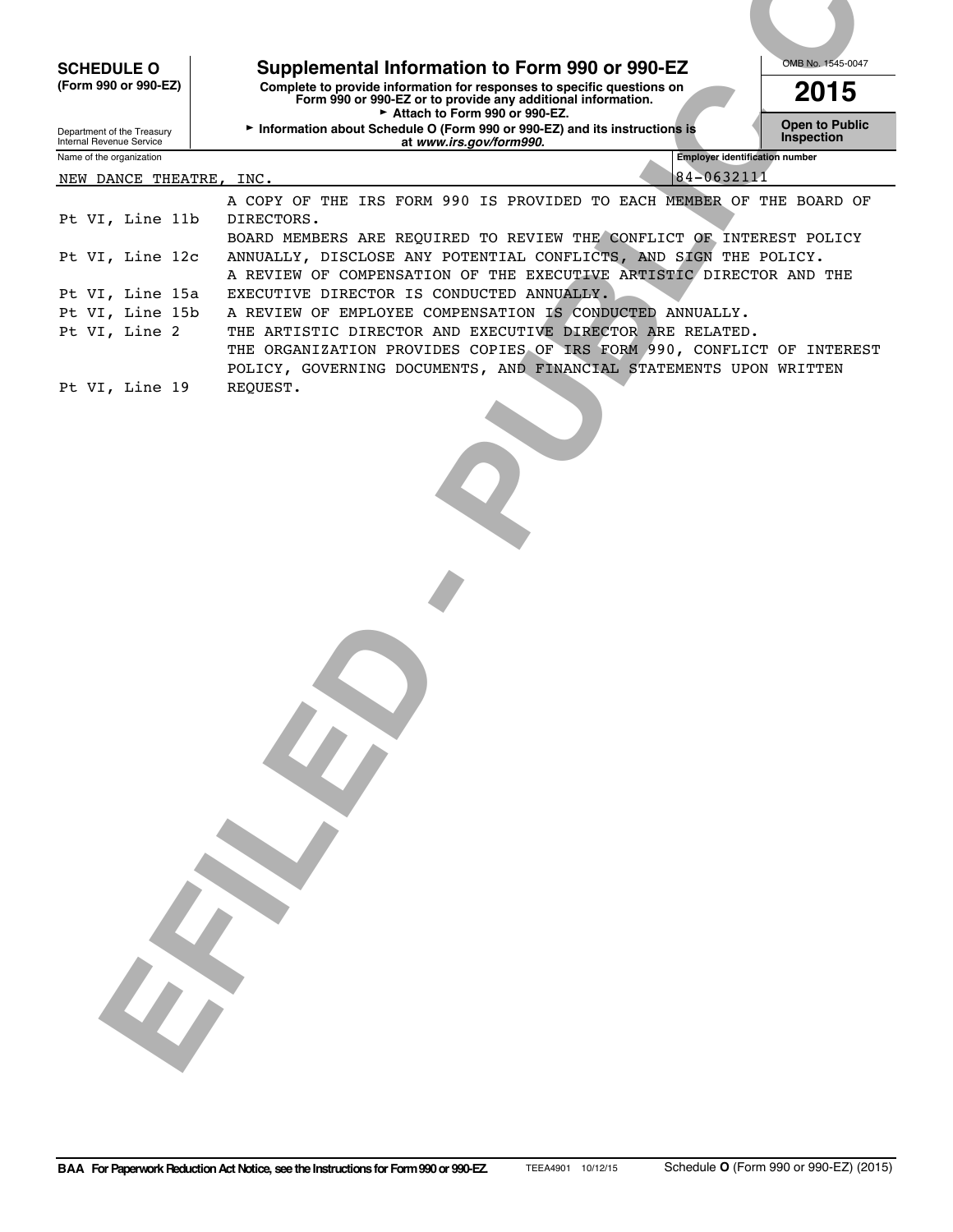| Complete to provide information for responses to specific questions on<br>2015<br>Form 990 or 990-EZ or to provide any additional information.<br>Attach to Form 990 or 990-EZ.<br>Information about Schedule O (Form 990 or 990-EZ) and its instructions is<br><b>Inspection</b><br>at www.irs.gov/form990.<br><b>Employer identification number</b><br>84-0632111<br>DIRECTORS.<br>BOARD MEMBERS ARE REQUIRED TO REVIEW THE CONFLICT OF INTEREST POLICY<br>ANNUALLY, DISCLOSE ANY POTENTIAL CONFLICTS, AND SIGN THE POLICY.<br>A REVIEW OF COMPENSATION OF THE EXECUTIVE ARTISTIC DIRECTOR AND THE<br>EXECUTIVE DIRECTOR IS CONDUCTED ANNUALLY.<br>A REVIEW OF EMPLOYEE COMPENSATION IS CONDUCTED ANNUALLY.<br>THE ARTISTIC DIRECTOR AND EXECUTIVE DIRECTOR ARE RELATED.<br>POLICY, GOVERNING DOCUMENTS, AND FINANCIAL STATEMENTS UPON WRITTEN<br>REQUEST.<br>$\sim$ | <b>SCHEDULE O</b>                                      | Supplemental Information to Form 990 or 990-EZ | OMB No. 1545-0047 |
|------------------------------------------------------------------------------------------------------------------------------------------------------------------------------------------------------------------------------------------------------------------------------------------------------------------------------------------------------------------------------------------------------------------------------------------------------------------------------------------------------------------------------------------------------------------------------------------------------------------------------------------------------------------------------------------------------------------------------------------------------------------------------------------------------------------------------------------------------------------------|--------------------------------------------------------|------------------------------------------------|-------------------|
| <b>Open to Public</b><br>A COPY OF THE IRS FORM 990 IS PROVIDED TO EACH MEMBER OF THE BOARD OF<br>THE ORGANIZATION PROVIDES COPIES OF IRS FORM 990, CONFLICT OF INTEREST                                                                                                                                                                                                                                                                                                                                                                                                                                                                                                                                                                                                                                                                                               | (Form 990 or 990-EZ)                                   |                                                |                   |
| NEW DANCE THEATRE, INC.                                                                                                                                                                                                                                                                                                                                                                                                                                                                                                                                                                                                                                                                                                                                                                                                                                                | Department of the Treasury<br>Internal Revenue Service |                                                |                   |
|                                                                                                                                                                                                                                                                                                                                                                                                                                                                                                                                                                                                                                                                                                                                                                                                                                                                        | Name of the organization                               |                                                |                   |
|                                                                                                                                                                                                                                                                                                                                                                                                                                                                                                                                                                                                                                                                                                                                                                                                                                                                        |                                                        |                                                |                   |
| Pt VI, Line 12c<br>Pt VI, Line 15a<br>Pt VI, Line 15b<br>Pt VI, Line 2<br>Pt VI, Line 19                                                                                                                                                                                                                                                                                                                                                                                                                                                                                                                                                                                                                                                                                                                                                                               | Pt VI, Line 11b                                        |                                                |                   |
|                                                                                                                                                                                                                                                                                                                                                                                                                                                                                                                                                                                                                                                                                                                                                                                                                                                                        |                                                        |                                                |                   |
|                                                                                                                                                                                                                                                                                                                                                                                                                                                                                                                                                                                                                                                                                                                                                                                                                                                                        |                                                        |                                                |                   |
|                                                                                                                                                                                                                                                                                                                                                                                                                                                                                                                                                                                                                                                                                                                                                                                                                                                                        |                                                        |                                                |                   |
|                                                                                                                                                                                                                                                                                                                                                                                                                                                                                                                                                                                                                                                                                                                                                                                                                                                                        |                                                        |                                                |                   |
|                                                                                                                                                                                                                                                                                                                                                                                                                                                                                                                                                                                                                                                                                                                                                                                                                                                                        |                                                        |                                                |                   |
|                                                                                                                                                                                                                                                                                                                                                                                                                                                                                                                                                                                                                                                                                                                                                                                                                                                                        |                                                        |                                                |                   |
|                                                                                                                                                                                                                                                                                                                                                                                                                                                                                                                                                                                                                                                                                                                                                                                                                                                                        |                                                        |                                                |                   |
|                                                                                                                                                                                                                                                                                                                                                                                                                                                                                                                                                                                                                                                                                                                                                                                                                                                                        |                                                        |                                                |                   |
|                                                                                                                                                                                                                                                                                                                                                                                                                                                                                                                                                                                                                                                                                                                                                                                                                                                                        |                                                        |                                                |                   |
|                                                                                                                                                                                                                                                                                                                                                                                                                                                                                                                                                                                                                                                                                                                                                                                                                                                                        |                                                        |                                                |                   |
|                                                                                                                                                                                                                                                                                                                                                                                                                                                                                                                                                                                                                                                                                                                                                                                                                                                                        |                                                        |                                                |                   |
|                                                                                                                                                                                                                                                                                                                                                                                                                                                                                                                                                                                                                                                                                                                                                                                                                                                                        |                                                        |                                                |                   |
|                                                                                                                                                                                                                                                                                                                                                                                                                                                                                                                                                                                                                                                                                                                                                                                                                                                                        |                                                        |                                                |                   |
|                                                                                                                                                                                                                                                                                                                                                                                                                                                                                                                                                                                                                                                                                                                                                                                                                                                                        |                                                        |                                                |                   |
|                                                                                                                                                                                                                                                                                                                                                                                                                                                                                                                                                                                                                                                                                                                                                                                                                                                                        |                                                        |                                                |                   |
|                                                                                                                                                                                                                                                                                                                                                                                                                                                                                                                                                                                                                                                                                                                                                                                                                                                                        |                                                        |                                                |                   |
|                                                                                                                                                                                                                                                                                                                                                                                                                                                                                                                                                                                                                                                                                                                                                                                                                                                                        |                                                        |                                                |                   |
|                                                                                                                                                                                                                                                                                                                                                                                                                                                                                                                                                                                                                                                                                                                                                                                                                                                                        |                                                        |                                                |                   |
|                                                                                                                                                                                                                                                                                                                                                                                                                                                                                                                                                                                                                                                                                                                                                                                                                                                                        |                                                        |                                                |                   |
|                                                                                                                                                                                                                                                                                                                                                                                                                                                                                                                                                                                                                                                                                                                                                                                                                                                                        |                                                        |                                                |                   |
|                                                                                                                                                                                                                                                                                                                                                                                                                                                                                                                                                                                                                                                                                                                                                                                                                                                                        |                                                        |                                                |                   |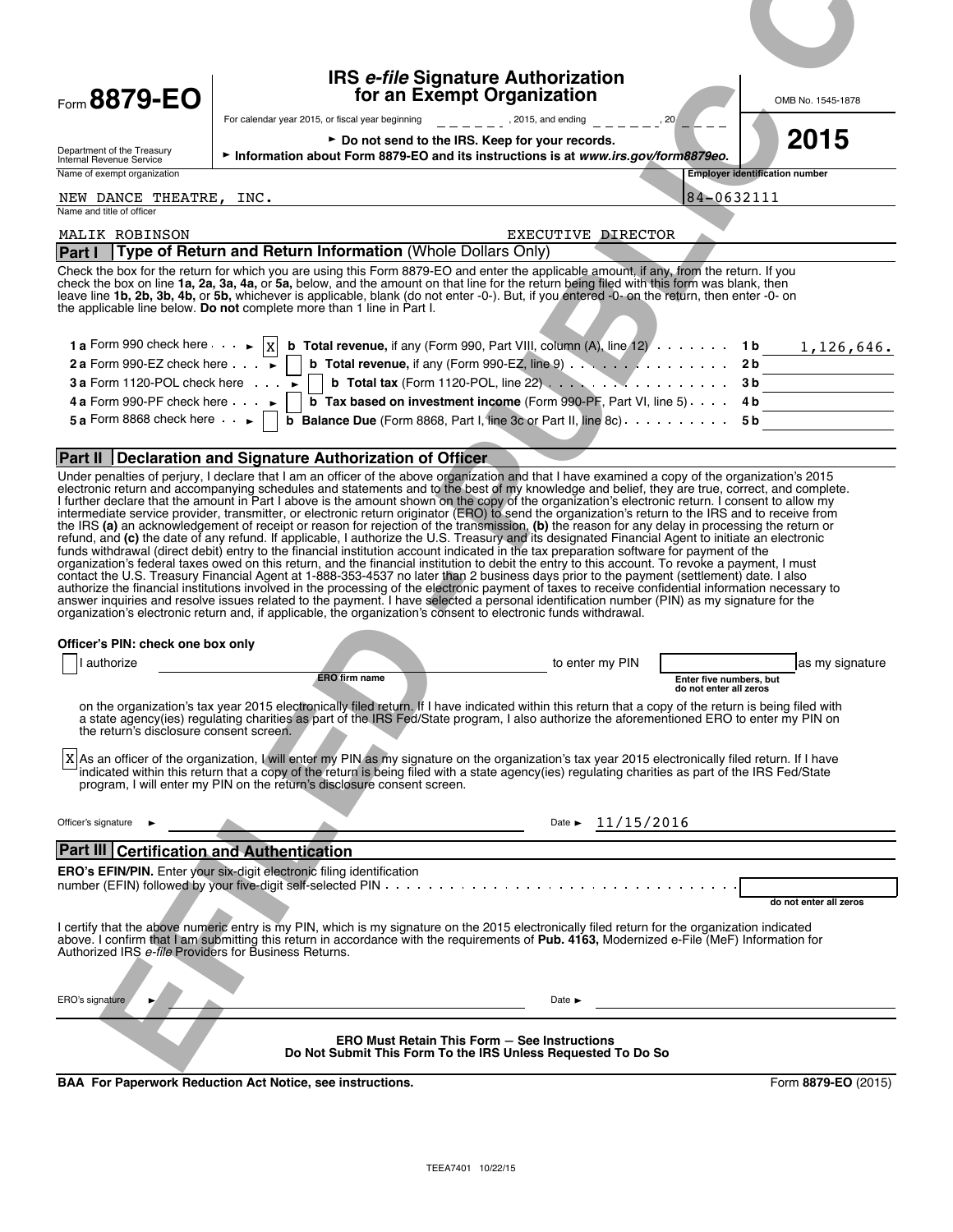| Form 8879-EO                                                        | <b>IRS e-file Signature Authorization</b><br>for an Exempt Organization                                                                                                                                                                                                                                                                                                                                                                                                                                                                                          | OMB No. 1545-1878                                   |
|---------------------------------------------------------------------|------------------------------------------------------------------------------------------------------------------------------------------------------------------------------------------------------------------------------------------------------------------------------------------------------------------------------------------------------------------------------------------------------------------------------------------------------------------------------------------------------------------------------------------------------------------|-----------------------------------------------------|
|                                                                     | For calendar year 2015, or fiscal year beginning<br>► Do not send to the IRS. Keep for your records.                                                                                                                                                                                                                                                                                                                                                                                                                                                             | 2015                                                |
| Department of the Treasury<br>Internal Revenue Service              | Information about Form 8879-EO and its instructions is at www.irs.gov/form8879eo.                                                                                                                                                                                                                                                                                                                                                                                                                                                                                |                                                     |
| Name of exempt organization<br>NEW DANCE THEATRE, INC.              |                                                                                                                                                                                                                                                                                                                                                                                                                                                                                                                                                                  | <b>Employer identification number</b><br>84-0632111 |
| Name and title of officer<br>MALIK ROBINSON                         | EXECUTIVE DIRECTOR                                                                                                                                                                                                                                                                                                                                                                                                                                                                                                                                               |                                                     |
| Part I                                                              | Type of Return and Return Information (Whole Dollars Only)<br>Check the box for the return for which you are using this Form 8879-EO and enter the applicable amount, if any, from the return. If you                                                                                                                                                                                                                                                                                                                                                            |                                                     |
|                                                                     | check the box on line 1a, 2a, 3a, 4a, or 5a, below, and the amount on that line for the return being filed with this form was blank, then<br>leave line 1b, 2b, 3b, 4b, or 5b, whichever is applicable, blank (do not enter -0-). But, if you entered -0- on the return, then enter -0- on<br>the applicable line below. Do not complete more than 1 line in Part I.                                                                                                                                                                                             |                                                     |
|                                                                     | 1 a Form 990 check here $\cdots$  x  b Total revenue, if any (Form 990, Part VIII, column (A), line 12) $\cdots$ 1 b                                                                                                                                                                                                                                                                                                                                                                                                                                             | 1,126,646.                                          |
| 2 a Form 990-EZ check here $\cdots$                                 | <b>b</b> Total revenue, if any (Form 990-EZ, line 9) $\ldots$ $\ldots$ $\ldots$ $\ldots$                                                                                                                                                                                                                                                                                                                                                                                                                                                                         | 2 b                                                 |
| 3 a Form 1120-POL check here $\cdots$<br>4 a Form 990-PF check here | <b>b</b> Total tax (Form 1120-POL, line $22$ ) $\cdots$ $\cdots$ $\cdots$ $\cdots$ $\cdots$<br><b>b</b> Tax based on investment income (Form 990-PF, Part VI, line 5) $\ldots$                                                                                                                                                                                                                                                                                                                                                                                   | 3 <sub>b</sub><br>4 b                               |
| 5 a Form 8868 check here $\cdot \cdot$                              | <b>b</b> Balance Due (Form 8868, Part I, line 3c or Part II, line 8c) $\ldots$ 5 b                                                                                                                                                                                                                                                                                                                                                                                                                                                                               |                                                     |
|                                                                     | Part II Declaration and Signature Authorization of Officer                                                                                                                                                                                                                                                                                                                                                                                                                                                                                                       |                                                     |
|                                                                     | Under penalties of perjury, I declare that I am an officer of the above organization and that I have examined a copy of the organization's 2015                                                                                                                                                                                                                                                                                                                                                                                                                  |                                                     |
|                                                                     | electronic return and accompanying schedules and statements and to the best of my knowledge and belief, they are true, correct, and complete.<br>I further declare that the amount in Part I above is the amount shown on the copy of the organization's electronic return. I consent to allow my<br>intermediate service provider, transmitter, or electronic return originator (ERO) to send the organization's return to the IRS and to receive from                                                                                                          |                                                     |
|                                                                     | the IRS (a) an acknowledgement of receipt or reason for rejection of the transmission, (b) the reason for any delay in processing the return or<br>refund, and (c) the date of any refund. If applicable, I authorize the U.S. Treasury and its designated Financial Agent to initiate an electronic                                                                                                                                                                                                                                                             |                                                     |
|                                                                     | funds withdrawal (direct debit) entry to the financial institution account indicated in the tax preparation software for payment of the<br>organization's federal taxes owed on this return, and the financial institution to debit the entry to this account. To revoke a payment, I must                                                                                                                                                                                                                                                                       |                                                     |
|                                                                     | contact the U.S. Treasury Financial Agent at 1-888-353-4537 no later than 2 business days prior to the payment (settlement) date. I also<br>authorize the financial institutions involved in the processing of the electronic payment of taxes to receive confidential information necessary to<br>answer inquiries and resolve issues related to the payment. I have selected a personal identification number (PIN) as my signature for the<br>organization's electronic return and, if applicable, the organization's consent to electronic funds withdrawal. |                                                     |
| Officer's PIN: check one box only                                   |                                                                                                                                                                                                                                                                                                                                                                                                                                                                                                                                                                  |                                                     |
| authorize                                                           | to enter my PIN                                                                                                                                                                                                                                                                                                                                                                                                                                                                                                                                                  | as my signature                                     |
|                                                                     | ERO firm name                                                                                                                                                                                                                                                                                                                                                                                                                                                                                                                                                    | Enter five numbers, but<br>do not enter all zeros   |
| the return's disclosure consent screen.                             | on the organization's tax year 2015 electronically filed return. If I have indicated within this return that a copy of the return is being filed with<br>a state agency(ies) regulating charities as part of the IRS Fed/State program, I also authorize the aforementioned ERO to enter my PIN on                                                                                                                                                                                                                                                               |                                                     |
| ΙX                                                                  | As an officer of the organization, I will enter my PIN as my signature on the organization's tax year 2015 electronically filed return. If I have<br>indicated within this return that a copy of the return is being filed with a state agency(ies) regulating charities as part of the IRS Fed/State<br>program, I will enter my PIN on the return's disclosure consent screen.                                                                                                                                                                                 |                                                     |
| Officer's signature                                                 | Date $\triangleright$ 11/15/2016                                                                                                                                                                                                                                                                                                                                                                                                                                                                                                                                 |                                                     |
| Part III Certification and Authentication                           |                                                                                                                                                                                                                                                                                                                                                                                                                                                                                                                                                                  |                                                     |
|                                                                     | ERO's EFIN/PIN. Enter your six-digit electronic filing identification                                                                                                                                                                                                                                                                                                                                                                                                                                                                                            | do not enter all zeros                              |
| Authorized IRS e-file Providers for Business Returns.               | I certify that the above numeric entry is my PIN, which is my signature on the 2015 electronically filed return for the organization indicated<br>above. I confirm that I am submitting this return in accordance with the requirements of Pub. 4163, Modernized e-File (MeF) Information for                                                                                                                                                                                                                                                                    |                                                     |
|                                                                     |                                                                                                                                                                                                                                                                                                                                                                                                                                                                                                                                                                  |                                                     |
| ERO's signature                                                     | Date $\blacktriangleright$                                                                                                                                                                                                                                                                                                                                                                                                                                                                                                                                       |                                                     |
|                                                                     | <b>ERO Must Retain This Form - See Instructions</b><br>Do Not Submit This Form To the IRS Unless Requested To Do So                                                                                                                                                                                                                                                                                                                                                                                                                                              |                                                     |
|                                                                     | <b>BAA For Paperwork Reduction Act Notice, see instructions.</b>                                                                                                                                                                                                                                                                                                                                                                                                                                                                                                 | Form 8879-EO (2015)                                 |